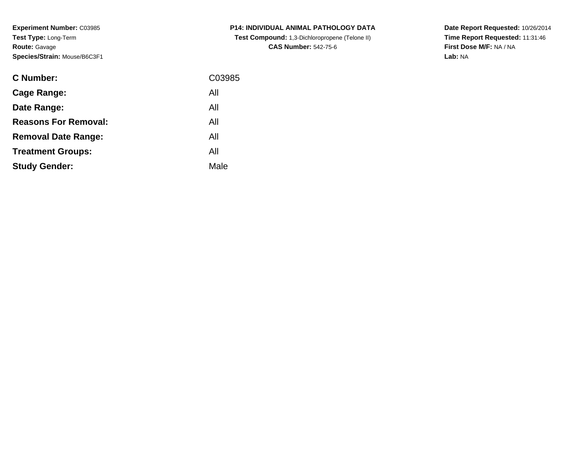**Experiment Number:** C03985**Test Type:** Long-Term**Route:** Gavage**Species/Strain:** Mouse/B6C3F1

| <b>C Number:</b>            | C03985 |
|-----------------------------|--------|
| <b>Cage Range:</b>          | All    |
| Date Range:                 | All    |
| <b>Reasons For Removal:</b> | All    |
| <b>Removal Date Range:</b>  | All    |
| <b>Treatment Groups:</b>    | All    |
| <b>Study Gender:</b>        | Male   |
|                             |        |

**P14: INDIVIDUAL ANIMAL PATHOLOGY DATA Test Compound:** 1,3-Dichloropropene (Telone II) **CAS Number:** 542-75-6

**Date Report Requested:** 10/26/2014 **Time Report Requested:** 11:31:46**First Dose M/F:** NA / NA**Lab:** NA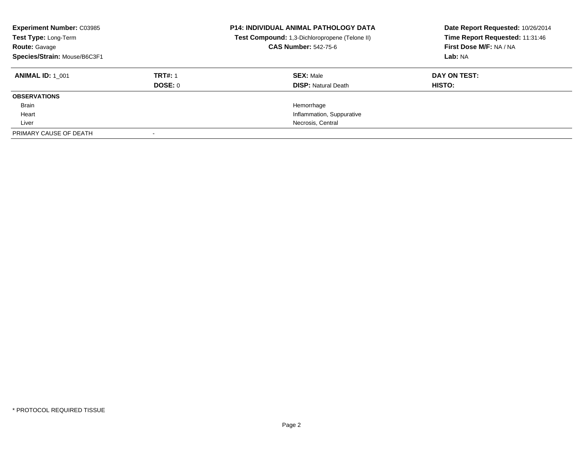| <b>Experiment Number: C03985</b><br>Test Type: Long-Term<br><b>Route: Gavage</b><br>Species/Strain: Mouse/B6C3F1 |                | <b>P14: INDIVIDUAL ANIMAL PATHOLOGY DATA</b><br>Test Compound: 1,3-Dichloropropene (Telone II)<br><b>CAS Number: 542-75-6</b> | Date Report Requested: 10/26/2014<br>Time Report Requested: 11:31:46<br>First Dose M/F: NA / NA<br>Lab: NA |
|------------------------------------------------------------------------------------------------------------------|----------------|-------------------------------------------------------------------------------------------------------------------------------|------------------------------------------------------------------------------------------------------------|
| <b>ANIMAL ID: 1 001</b>                                                                                          | <b>TRT#: 1</b> | <b>SEX: Male</b>                                                                                                              | DAY ON TEST:                                                                                               |
|                                                                                                                  | <b>DOSE: 0</b> | <b>DISP:</b> Natural Death                                                                                                    | HISTO:                                                                                                     |
| <b>OBSERVATIONS</b>                                                                                              |                |                                                                                                                               |                                                                                                            |
| Brain                                                                                                            |                | Hemorrhage                                                                                                                    |                                                                                                            |
| Heart                                                                                                            |                | Inflammation, Suppurative                                                                                                     |                                                                                                            |
| Liver                                                                                                            |                | Necrosis, Central                                                                                                             |                                                                                                            |
| PRIMARY CAUSE OF DEATH                                                                                           |                |                                                                                                                               |                                                                                                            |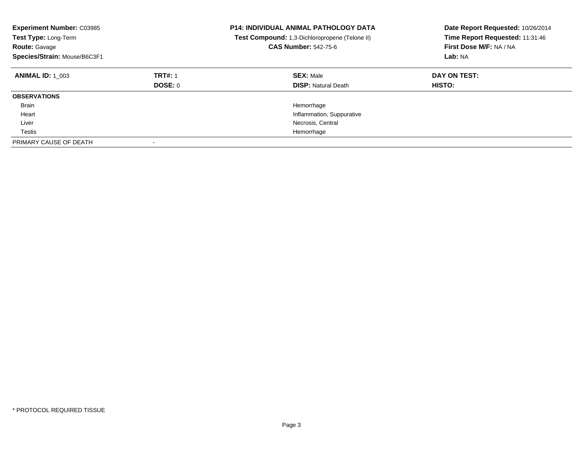| <b>Experiment Number: C03985</b><br>Test Type: Long-Term<br><b>Route: Gavage</b><br>Species/Strain: Mouse/B6C3F1 |                           | <b>P14: INDIVIDUAL ANIMAL PATHOLOGY DATA</b><br>Test Compound: 1,3-Dichloropropene (Telone II)<br><b>CAS Number: 542-75-6</b> | Date Report Requested: 10/26/2014<br>Time Report Requested: 11:31:46<br>First Dose M/F: NA / NA<br>Lab: NA |
|------------------------------------------------------------------------------------------------------------------|---------------------------|-------------------------------------------------------------------------------------------------------------------------------|------------------------------------------------------------------------------------------------------------|
| <b>ANIMAL ID: 1 003</b>                                                                                          | <b>TRT#: 1</b><br>DOSE: 0 | <b>SEX: Male</b><br><b>DISP:</b> Natural Death                                                                                | DAY ON TEST:<br><b>HISTO:</b>                                                                              |
| <b>OBSERVATIONS</b>                                                                                              |                           |                                                                                                                               |                                                                                                            |
| <b>Brain</b>                                                                                                     |                           | Hemorrhage                                                                                                                    |                                                                                                            |
| Heart                                                                                                            |                           | Inflammation, Suppurative                                                                                                     |                                                                                                            |
| Liver                                                                                                            |                           | Necrosis, Central                                                                                                             |                                                                                                            |
| Testis                                                                                                           |                           | Hemorrhage                                                                                                                    |                                                                                                            |
| PRIMARY CAUSE OF DEATH                                                                                           |                           |                                                                                                                               |                                                                                                            |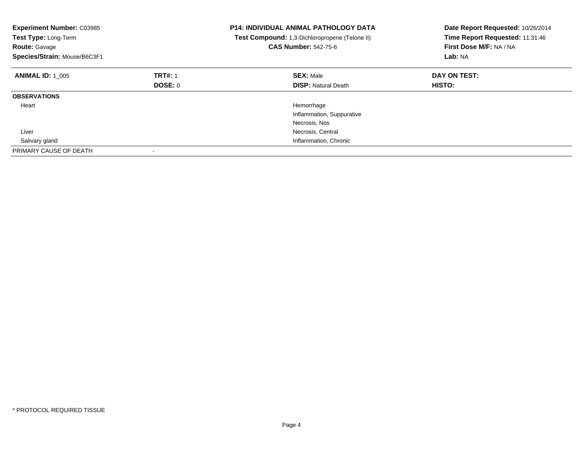| <b>Experiment Number: C03985</b><br>Test Type: Long-Term<br><b>Route: Gavage</b><br>Species/Strain: Mouse/B6C3F1 |                | <b>P14: INDIVIDUAL ANIMAL PATHOLOGY DATA</b><br>Test Compound: 1,3-Dichloropropene (Telone II)<br><b>CAS Number: 542-75-6</b> | Date Report Requested: 10/26/2014<br>Time Report Requested: 11:31:46<br>First Dose M/F: NA / NA<br>Lab: NA |
|------------------------------------------------------------------------------------------------------------------|----------------|-------------------------------------------------------------------------------------------------------------------------------|------------------------------------------------------------------------------------------------------------|
| <b>ANIMAL ID: 1 005</b>                                                                                          | <b>TRT#: 1</b> | <b>SEX: Male</b>                                                                                                              | DAY ON TEST:                                                                                               |
|                                                                                                                  | DOSE: 0        | <b>DISP:</b> Natural Death                                                                                                    | HISTO:                                                                                                     |
| <b>OBSERVATIONS</b>                                                                                              |                |                                                                                                                               |                                                                                                            |
| Heart                                                                                                            |                | Hemorrhage                                                                                                                    |                                                                                                            |
|                                                                                                                  |                | Inflammation, Suppurative                                                                                                     |                                                                                                            |
|                                                                                                                  |                | Necrosis, Nos                                                                                                                 |                                                                                                            |
| Liver                                                                                                            |                | Necrosis, Central                                                                                                             |                                                                                                            |
| Salivary gland                                                                                                   |                | Inflammation, Chronic                                                                                                         |                                                                                                            |
| PRIMARY CAUSE OF DEATH                                                                                           |                |                                                                                                                               |                                                                                                            |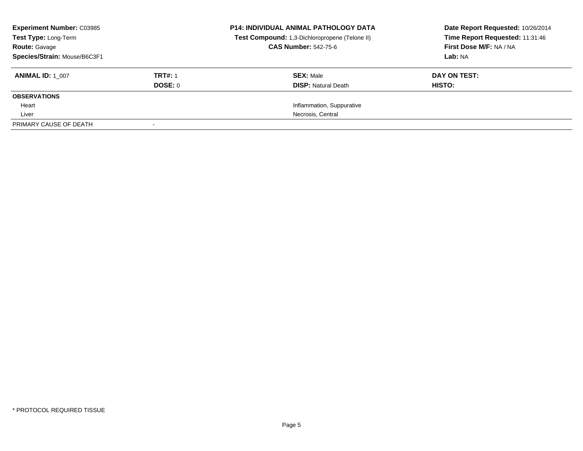| <b>Experiment Number: C03985</b><br>Test Type: Long-Term<br><b>Route: Gavage</b> |                | <b>P14: INDIVIDUAL ANIMAL PATHOLOGY DATA</b><br>Test Compound: 1,3-Dichloropropene (Telone II)<br><b>CAS Number: 542-75-6</b> | Date Report Requested: 10/26/2014<br>Time Report Requested: 11:31:46<br>First Dose M/F: NA / NA |
|----------------------------------------------------------------------------------|----------------|-------------------------------------------------------------------------------------------------------------------------------|-------------------------------------------------------------------------------------------------|
| Species/Strain: Mouse/B6C3F1                                                     |                |                                                                                                                               | Lab: NA                                                                                         |
| <b>ANIMAL ID: 1 007</b>                                                          | <b>TRT#: 1</b> | <b>SEX: Male</b>                                                                                                              | DAY ON TEST:                                                                                    |
|                                                                                  | DOSE: 0        | <b>DISP:</b> Natural Death                                                                                                    | HISTO:                                                                                          |
| <b>OBSERVATIONS</b>                                                              |                |                                                                                                                               |                                                                                                 |
| Heart                                                                            |                | Inflammation, Suppurative                                                                                                     |                                                                                                 |
| Liver                                                                            |                | Necrosis, Central                                                                                                             |                                                                                                 |
| PRIMARY CAUSE OF DEATH                                                           |                |                                                                                                                               |                                                                                                 |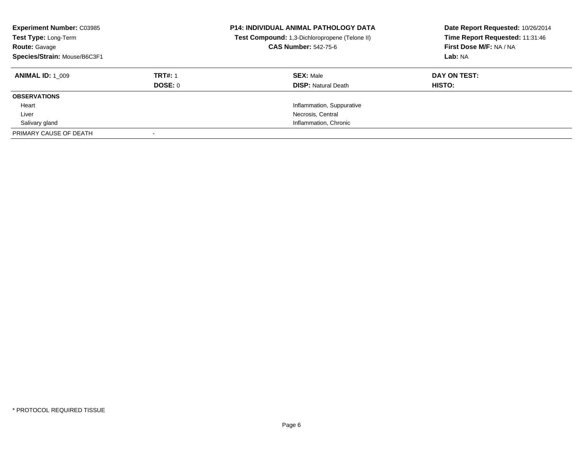| <b>Experiment Number: C03985</b><br>Test Type: Long-Term<br><b>Route: Gavage</b><br>Species/Strain: Mouse/B6C3F1 |                | <b>P14: INDIVIDUAL ANIMAL PATHOLOGY DATA</b><br>Test Compound: 1,3-Dichloropropene (Telone II)<br><b>CAS Number: 542-75-6</b> | Date Report Requested: 10/26/2014<br>Time Report Requested: 11:31:46<br>First Dose M/F: NA / NA<br>Lab: NA |
|------------------------------------------------------------------------------------------------------------------|----------------|-------------------------------------------------------------------------------------------------------------------------------|------------------------------------------------------------------------------------------------------------|
| <b>ANIMAL ID: 1 009</b>                                                                                          | <b>TRT#: 1</b> | <b>SEX: Male</b>                                                                                                              | DAY ON TEST:                                                                                               |
|                                                                                                                  | DOSE: 0        | <b>DISP:</b> Natural Death                                                                                                    | HISTO:                                                                                                     |
| <b>OBSERVATIONS</b>                                                                                              |                |                                                                                                                               |                                                                                                            |
| Heart                                                                                                            |                | Inflammation, Suppurative                                                                                                     |                                                                                                            |
| Liver                                                                                                            |                | Necrosis, Central                                                                                                             |                                                                                                            |
| Salivary gland                                                                                                   |                | Inflammation, Chronic                                                                                                         |                                                                                                            |
| PRIMARY CAUSE OF DEATH                                                                                           |                |                                                                                                                               |                                                                                                            |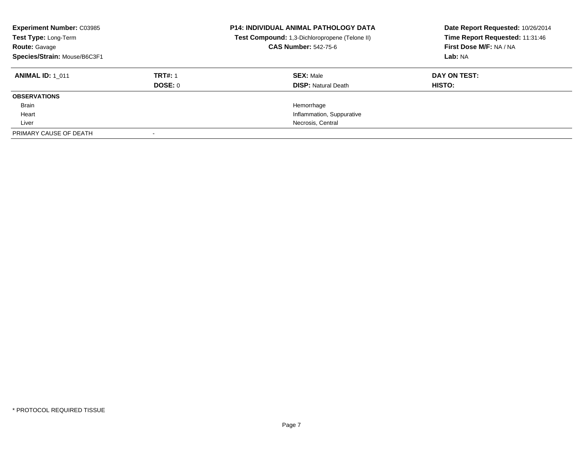| <b>Experiment Number: C03985</b><br>Test Type: Long-Term<br><b>Route: Gavage</b><br>Species/Strain: Mouse/B6C3F1 |                | <b>P14: INDIVIDUAL ANIMAL PATHOLOGY DATA</b><br>Test Compound: 1,3-Dichloropropene (Telone II)<br><b>CAS Number: 542-75-6</b> | Date Report Requested: 10/26/2014<br>Time Report Requested: 11:31:46<br>First Dose M/F: NA / NA<br>Lab: NA |
|------------------------------------------------------------------------------------------------------------------|----------------|-------------------------------------------------------------------------------------------------------------------------------|------------------------------------------------------------------------------------------------------------|
| <b>ANIMAL ID: 1 011</b>                                                                                          | <b>TRT#: 1</b> | <b>SEX: Male</b>                                                                                                              | DAY ON TEST:                                                                                               |
|                                                                                                                  | <b>DOSE: 0</b> | <b>DISP:</b> Natural Death                                                                                                    | HISTO:                                                                                                     |
| <b>OBSERVATIONS</b>                                                                                              |                |                                                                                                                               |                                                                                                            |
| Brain                                                                                                            |                | Hemorrhage                                                                                                                    |                                                                                                            |
| Heart                                                                                                            |                | Inflammation, Suppurative                                                                                                     |                                                                                                            |
| Liver                                                                                                            |                | Necrosis, Central                                                                                                             |                                                                                                            |
| PRIMARY CAUSE OF DEATH                                                                                           |                |                                                                                                                               |                                                                                                            |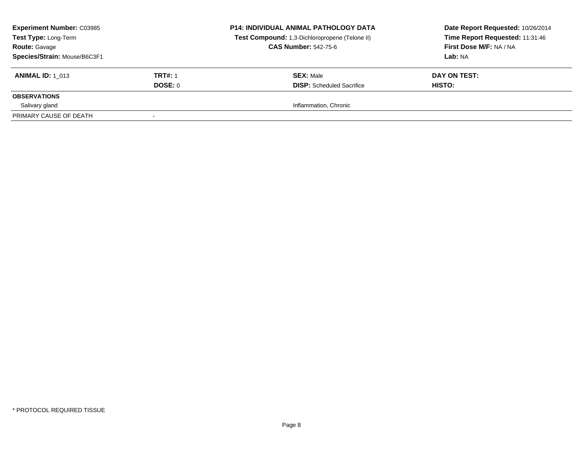| <b>Experiment Number: C03985</b><br><b>Test Type: Long-Term</b><br><b>Route: Gavage</b><br>Species/Strain: Mouse/B6C3F1 |                | <b>P14: INDIVIDUAL ANIMAL PATHOLOGY DATA</b><br>Test Compound: 1,3-Dichloropropene (Telone II)<br><b>CAS Number: 542-75-6</b> | Date Report Requested: 10/26/2014<br>Time Report Requested: 11:31:46<br>First Dose M/F: NA / NA<br>Lab: NA |
|-------------------------------------------------------------------------------------------------------------------------|----------------|-------------------------------------------------------------------------------------------------------------------------------|------------------------------------------------------------------------------------------------------------|
| <b>ANIMAL ID: 1 013</b>                                                                                                 | <b>TRT#: 1</b> | <b>SEX: Male</b>                                                                                                              | DAY ON TEST:                                                                                               |
|                                                                                                                         | DOSE: 0        | <b>DISP:</b> Scheduled Sacrifice                                                                                              | HISTO:                                                                                                     |
| <b>OBSERVATIONS</b>                                                                                                     |                |                                                                                                                               |                                                                                                            |
| Salivary gland                                                                                                          |                | Inflammation, Chronic                                                                                                         |                                                                                                            |
| PRIMARY CAUSE OF DEATH                                                                                                  |                |                                                                                                                               |                                                                                                            |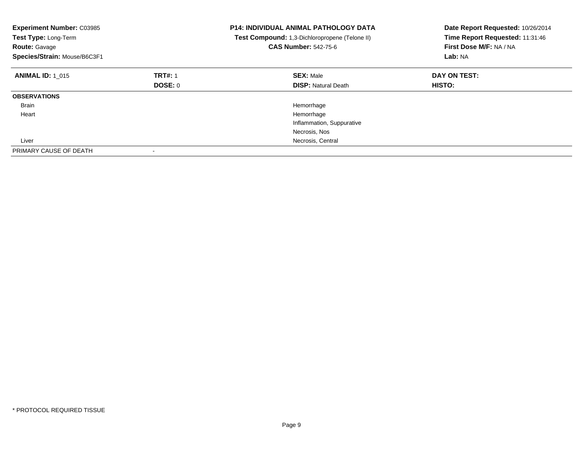| <b>Experiment Number: C03985</b><br>Test Type: Long-Term<br><b>Route: Gavage</b><br>Species/Strain: Mouse/B6C3F1 |                | <b>P14: INDIVIDUAL ANIMAL PATHOLOGY DATA</b><br>Test Compound: 1,3-Dichloropropene (Telone II)<br><b>CAS Number: 542-75-6</b> | Date Report Requested: 10/26/2014<br>Time Report Requested: 11:31:46<br>First Dose M/F: NA / NA<br>Lab: NA |
|------------------------------------------------------------------------------------------------------------------|----------------|-------------------------------------------------------------------------------------------------------------------------------|------------------------------------------------------------------------------------------------------------|
| <b>ANIMAL ID: 1 015</b>                                                                                          | <b>TRT#: 1</b> | <b>SEX: Male</b>                                                                                                              | DAY ON TEST:                                                                                               |
|                                                                                                                  | <b>DOSE: 0</b> | <b>DISP:</b> Natural Death                                                                                                    | <b>HISTO:</b>                                                                                              |
| <b>OBSERVATIONS</b>                                                                                              |                |                                                                                                                               |                                                                                                            |
| <b>Brain</b>                                                                                                     |                | Hemorrhage                                                                                                                    |                                                                                                            |
| Heart                                                                                                            |                | Hemorrhage                                                                                                                    |                                                                                                            |
|                                                                                                                  |                | Inflammation, Suppurative                                                                                                     |                                                                                                            |
|                                                                                                                  |                | Necrosis, Nos                                                                                                                 |                                                                                                            |
| Liver                                                                                                            |                | Necrosis, Central                                                                                                             |                                                                                                            |
| PRIMARY CAUSE OF DEATH                                                                                           |                |                                                                                                                               |                                                                                                            |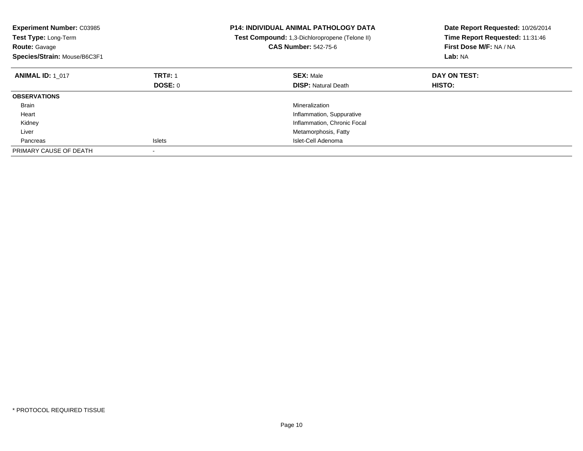| <b>Experiment Number: C03985</b><br>Test Type: Long-Term<br><b>Route: Gavage</b><br>Species/Strain: Mouse/B6C3F1 |                | <b>P14: INDIVIDUAL ANIMAL PATHOLOGY DATA</b><br>Test Compound: 1,3-Dichloropropene (Telone II)<br><b>CAS Number: 542-75-6</b> | Date Report Requested: 10/26/2014<br>Time Report Requested: 11:31:46<br>First Dose M/F: NA / NA<br>Lab: NA |
|------------------------------------------------------------------------------------------------------------------|----------------|-------------------------------------------------------------------------------------------------------------------------------|------------------------------------------------------------------------------------------------------------|
| <b>ANIMAL ID: 1 017</b>                                                                                          | <b>TRT#: 1</b> | <b>SEX: Male</b>                                                                                                              | DAY ON TEST:                                                                                               |
|                                                                                                                  | <b>DOSE: 0</b> | <b>DISP: Natural Death</b>                                                                                                    | <b>HISTO:</b>                                                                                              |
| <b>OBSERVATIONS</b>                                                                                              |                |                                                                                                                               |                                                                                                            |
| <b>Brain</b>                                                                                                     |                | Mineralization                                                                                                                |                                                                                                            |
| Heart                                                                                                            |                | Inflammation, Suppurative                                                                                                     |                                                                                                            |
| Kidney                                                                                                           |                | Inflammation, Chronic Focal                                                                                                   |                                                                                                            |
| Liver                                                                                                            |                | Metamorphosis, Fatty                                                                                                          |                                                                                                            |
| Pancreas                                                                                                         | <b>Islets</b>  | Islet-Cell Adenoma                                                                                                            |                                                                                                            |
| PRIMARY CAUSE OF DEATH                                                                                           |                |                                                                                                                               |                                                                                                            |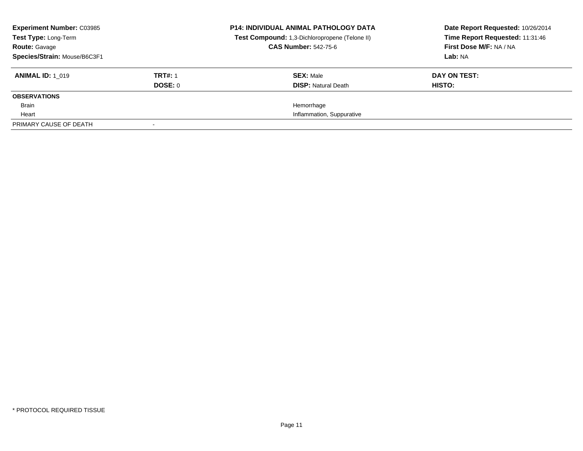| <b>Experiment Number: C03985</b><br>Test Type: Long-Term<br><b>Route: Gavage</b><br>Species/Strain: Mouse/B6C3F1 |                           | <b>P14: INDIVIDUAL ANIMAL PATHOLOGY DATA</b><br>Test Compound: 1,3-Dichloropropene (Telone II)<br><b>CAS Number: 542-75-6</b> | Date Report Requested: 10/26/2014<br>Time Report Requested: 11:31:46<br>First Dose M/F: NA / NA<br>Lab: NA |
|------------------------------------------------------------------------------------------------------------------|---------------------------|-------------------------------------------------------------------------------------------------------------------------------|------------------------------------------------------------------------------------------------------------|
| <b>ANIMAL ID: 1 019</b>                                                                                          | <b>TRT#: 1</b><br>DOSE: 0 | <b>SEX: Male</b><br><b>DISP:</b> Natural Death                                                                                | DAY ON TEST:<br>HISTO:                                                                                     |
| <b>OBSERVATIONS</b>                                                                                              |                           |                                                                                                                               |                                                                                                            |
| Brain                                                                                                            |                           | Hemorrhage                                                                                                                    |                                                                                                            |
| Heart                                                                                                            |                           | Inflammation, Suppurative                                                                                                     |                                                                                                            |
| PRIMARY CAUSE OF DEATH                                                                                           |                           |                                                                                                                               |                                                                                                            |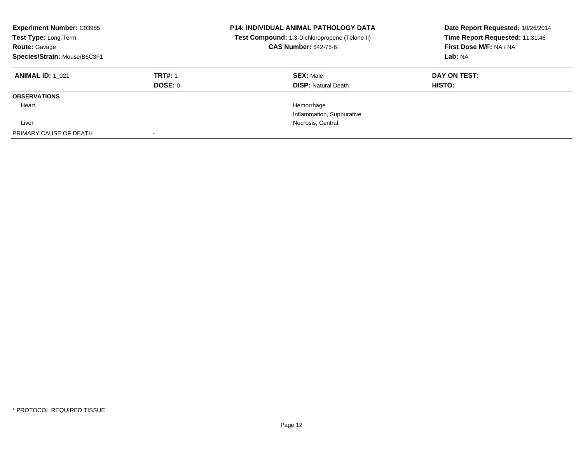| <b>Experiment Number: C03985</b><br>Test Type: Long-Term<br><b>Route: Gavage</b><br>Species/Strain: Mouse/B6C3F1 |                | <b>P14: INDIVIDUAL ANIMAL PATHOLOGY DATA</b><br>Test Compound: 1,3-Dichloropropene (Telone II)<br><b>CAS Number: 542-75-6</b> | Date Report Requested: 10/26/2014<br>Time Report Requested: 11:31:46<br>First Dose M/F: NA / NA<br>Lab: NA |
|------------------------------------------------------------------------------------------------------------------|----------------|-------------------------------------------------------------------------------------------------------------------------------|------------------------------------------------------------------------------------------------------------|
| <b>ANIMAL ID: 1 021</b>                                                                                          | <b>TRT#: 1</b> | <b>SEX: Male</b>                                                                                                              | DAY ON TEST:                                                                                               |
|                                                                                                                  | DOSE: 0        | <b>DISP: Natural Death</b>                                                                                                    | <b>HISTO:</b>                                                                                              |
| <b>OBSERVATIONS</b>                                                                                              |                |                                                                                                                               |                                                                                                            |
| Heart                                                                                                            |                | Hemorrhage                                                                                                                    |                                                                                                            |
|                                                                                                                  |                | Inflammation, Suppurative                                                                                                     |                                                                                                            |
| Liver                                                                                                            |                | Necrosis, Central                                                                                                             |                                                                                                            |
| PRIMARY CAUSE OF DEATH                                                                                           |                |                                                                                                                               |                                                                                                            |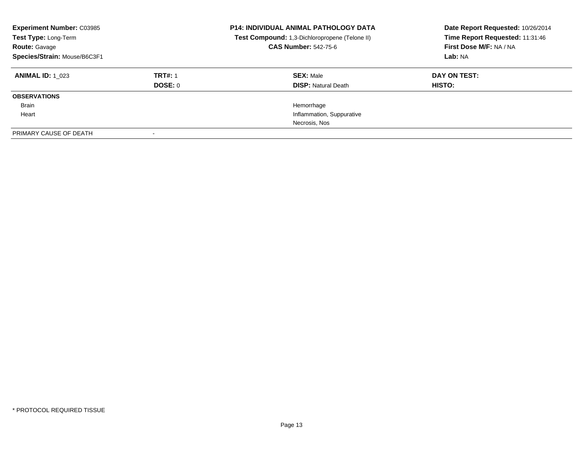| <b>Experiment Number: C03985</b><br>Test Type: Long-Term<br><b>Route: Gavage</b><br>Species/Strain: Mouse/B6C3F1 |                | <b>P14: INDIVIDUAL ANIMAL PATHOLOGY DATA</b><br>Test Compound: 1,3-Dichloropropene (Telone II)<br><b>CAS Number: 542-75-6</b> | Date Report Requested: 10/26/2014<br>Time Report Requested: 11:31:46<br>First Dose M/F: NA / NA<br>Lab: NA |
|------------------------------------------------------------------------------------------------------------------|----------------|-------------------------------------------------------------------------------------------------------------------------------|------------------------------------------------------------------------------------------------------------|
| <b>ANIMAL ID: 1 023</b>                                                                                          | <b>TRT#: 1</b> | <b>SEX: Male</b>                                                                                                              | DAY ON TEST:                                                                                               |
|                                                                                                                  | DOSE: 0        | <b>DISP:</b> Natural Death                                                                                                    | <b>HISTO:</b>                                                                                              |
| <b>OBSERVATIONS</b>                                                                                              |                |                                                                                                                               |                                                                                                            |
| Brain                                                                                                            |                | Hemorrhage                                                                                                                    |                                                                                                            |
| Heart                                                                                                            |                | Inflammation, Suppurative                                                                                                     |                                                                                                            |
|                                                                                                                  |                | Necrosis, Nos                                                                                                                 |                                                                                                            |
| PRIMARY CAUSE OF DEATH                                                                                           |                |                                                                                                                               |                                                                                                            |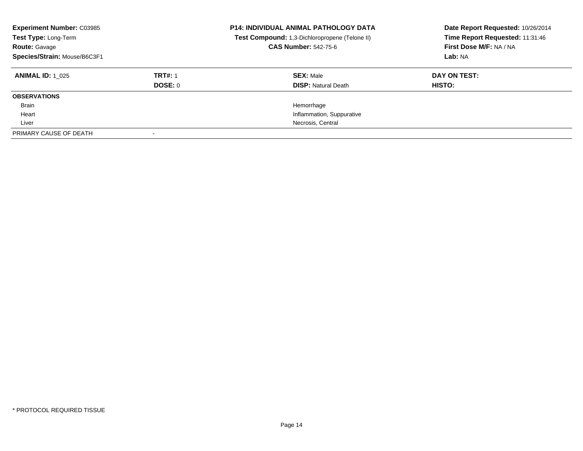| <b>Experiment Number: C03985</b><br>Test Type: Long-Term<br><b>Route: Gavage</b><br>Species/Strain: Mouse/B6C3F1 |                | <b>P14: INDIVIDUAL ANIMAL PATHOLOGY DATA</b><br>Test Compound: 1,3-Dichloropropene (Telone II)<br><b>CAS Number: 542-75-6</b> | Date Report Requested: 10/26/2014<br>Time Report Requested: 11:31:46<br>First Dose M/F: NA / NA<br>Lab: NA |
|------------------------------------------------------------------------------------------------------------------|----------------|-------------------------------------------------------------------------------------------------------------------------------|------------------------------------------------------------------------------------------------------------|
| <b>ANIMAL ID: 1 025</b>                                                                                          | <b>TRT#: 1</b> | <b>SEX: Male</b>                                                                                                              | DAY ON TEST:                                                                                               |
|                                                                                                                  | DOSE: 0        | <b>DISP: Natural Death</b>                                                                                                    | HISTO:                                                                                                     |
| <b>OBSERVATIONS</b>                                                                                              |                |                                                                                                                               |                                                                                                            |
| Brain                                                                                                            |                | Hemorrhage                                                                                                                    |                                                                                                            |
| Heart                                                                                                            |                | Inflammation, Suppurative                                                                                                     |                                                                                                            |
| Liver                                                                                                            |                | Necrosis, Central                                                                                                             |                                                                                                            |
| PRIMARY CAUSE OF DEATH                                                                                           |                |                                                                                                                               |                                                                                                            |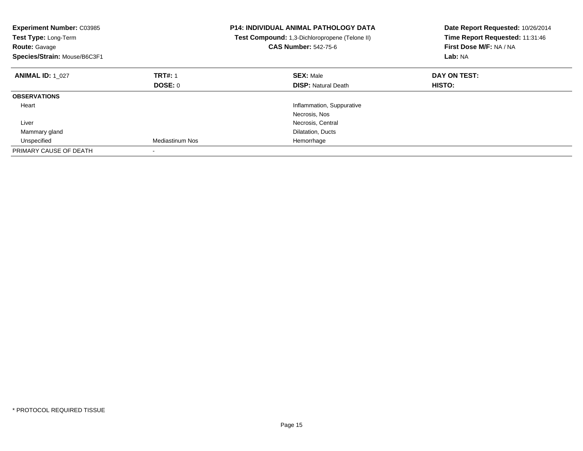| <b>Experiment Number: C03985</b><br>Test Type: Long-Term<br><b>Route: Gavage</b><br>Species/Strain: Mouse/B6C3F1 |                 | <b>P14: INDIVIDUAL ANIMAL PATHOLOGY DATA</b><br>Test Compound: 1,3-Dichloropropene (Telone II)<br><b>CAS Number: 542-75-6</b> | Date Report Requested: 10/26/2014<br>Time Report Requested: 11:31:46<br>First Dose M/F: NA / NA<br>Lab: NA |
|------------------------------------------------------------------------------------------------------------------|-----------------|-------------------------------------------------------------------------------------------------------------------------------|------------------------------------------------------------------------------------------------------------|
| <b>ANIMAL ID: 1 027</b>                                                                                          | <b>TRT#: 1</b>  | <b>SEX: Male</b>                                                                                                              | DAY ON TEST:                                                                                               |
|                                                                                                                  | <b>DOSE: 0</b>  | <b>DISP:</b> Natural Death                                                                                                    | HISTO:                                                                                                     |
| <b>OBSERVATIONS</b>                                                                                              |                 |                                                                                                                               |                                                                                                            |
| Heart                                                                                                            |                 | Inflammation, Suppurative                                                                                                     |                                                                                                            |
|                                                                                                                  |                 | Necrosis, Nos                                                                                                                 |                                                                                                            |
| Liver                                                                                                            |                 | Necrosis, Central                                                                                                             |                                                                                                            |
| Mammary gland                                                                                                    |                 | Dilatation, Ducts                                                                                                             |                                                                                                            |
| Unspecified                                                                                                      | Mediastinum Nos | Hemorrhage                                                                                                                    |                                                                                                            |
| PRIMARY CAUSE OF DEATH                                                                                           |                 |                                                                                                                               |                                                                                                            |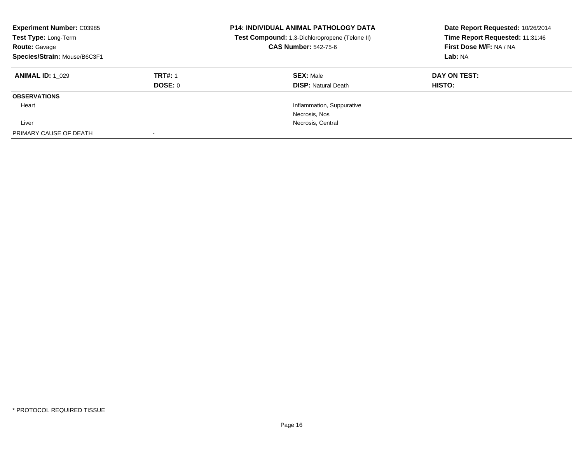| <b>Experiment Number: C03985</b><br>Test Type: Long-Term<br><b>Route: Gavage</b><br>Species/Strain: Mouse/B6C3F1 |                | <b>P14: INDIVIDUAL ANIMAL PATHOLOGY DATA</b><br>Test Compound: 1,3-Dichloropropene (Telone II)<br><b>CAS Number: 542-75-6</b> | Date Report Requested: 10/26/2014<br>Time Report Requested: 11:31:46<br>First Dose M/F: NA / NA<br>Lab: NA |
|------------------------------------------------------------------------------------------------------------------|----------------|-------------------------------------------------------------------------------------------------------------------------------|------------------------------------------------------------------------------------------------------------|
| <b>ANIMAL ID: 1 029</b>                                                                                          | <b>TRT#: 1</b> | <b>SEX: Male</b>                                                                                                              | DAY ON TEST:                                                                                               |
|                                                                                                                  | DOSE: 0        | <b>DISP:</b> Natural Death                                                                                                    | HISTO:                                                                                                     |
| <b>OBSERVATIONS</b>                                                                                              |                |                                                                                                                               |                                                                                                            |
| Heart                                                                                                            |                | Inflammation, Suppurative                                                                                                     |                                                                                                            |
|                                                                                                                  |                | Necrosis, Nos                                                                                                                 |                                                                                                            |
| Liver                                                                                                            |                | Necrosis, Central                                                                                                             |                                                                                                            |
| PRIMARY CAUSE OF DEATH                                                                                           |                |                                                                                                                               |                                                                                                            |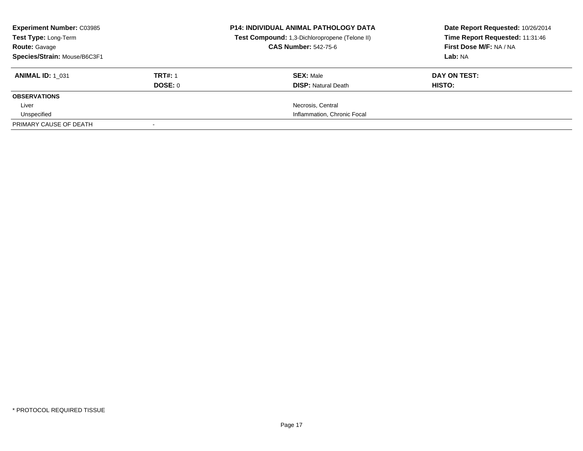| <b>Experiment Number: C03985</b><br>Test Type: Long-Term<br><b>Route: Gavage</b> |                | <b>P14: INDIVIDUAL ANIMAL PATHOLOGY DATA</b><br>Test Compound: 1,3-Dichloropropene (Telone II)<br><b>CAS Number: 542-75-6</b> | Date Report Requested: 10/26/2014<br>Time Report Requested: 11:31:46<br>First Dose M/F: NA / NA |
|----------------------------------------------------------------------------------|----------------|-------------------------------------------------------------------------------------------------------------------------------|-------------------------------------------------------------------------------------------------|
| Species/Strain: Mouse/B6C3F1                                                     |                |                                                                                                                               | Lab: NA                                                                                         |
| <b>ANIMAL ID: 1 031</b>                                                          | <b>TRT#: 1</b> | <b>SEX: Male</b>                                                                                                              | DAY ON TEST:                                                                                    |
|                                                                                  | DOSE: 0        | <b>DISP:</b> Natural Death                                                                                                    | HISTO:                                                                                          |
| <b>OBSERVATIONS</b>                                                              |                |                                                                                                                               |                                                                                                 |
| Liver                                                                            |                | Necrosis, Central                                                                                                             |                                                                                                 |
| Unspecified                                                                      |                | Inflammation, Chronic Focal                                                                                                   |                                                                                                 |
| PRIMARY CAUSE OF DEATH                                                           |                |                                                                                                                               |                                                                                                 |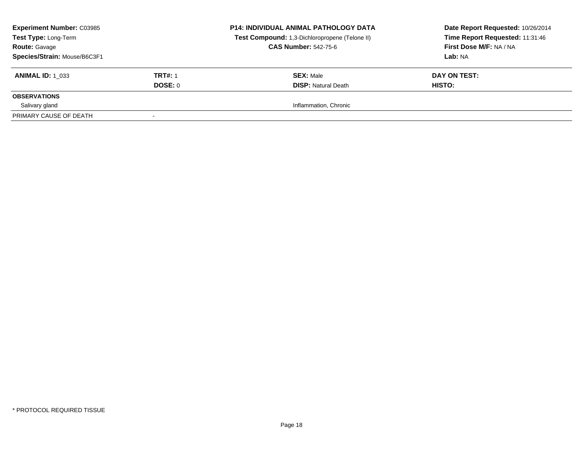| <b>Experiment Number: C03985</b><br><b>Test Type: Long-Term</b><br><b>Route: Gavage</b><br>Species/Strain: Mouse/B6C3F1 |                | <b>P14: INDIVIDUAL ANIMAL PATHOLOGY DATA</b><br>Test Compound: 1,3-Dichloropropene (Telone II)<br><b>CAS Number: 542-75-6</b> | Date Report Requested: 10/26/2014<br>Time Report Requested: 11:31:46<br>First Dose M/F: NA / NA<br>Lab: NA |
|-------------------------------------------------------------------------------------------------------------------------|----------------|-------------------------------------------------------------------------------------------------------------------------------|------------------------------------------------------------------------------------------------------------|
| <b>ANIMAL ID: 1 033</b>                                                                                                 | <b>TRT#: 1</b> | <b>SEX: Male</b>                                                                                                              | DAY ON TEST:                                                                                               |
|                                                                                                                         | DOSE: 0        | <b>DISP:</b> Natural Death                                                                                                    | HISTO:                                                                                                     |
| <b>OBSERVATIONS</b>                                                                                                     |                |                                                                                                                               |                                                                                                            |
| Salivary gland                                                                                                          |                | Inflammation, Chronic                                                                                                         |                                                                                                            |
| PRIMARY CAUSE OF DEATH                                                                                                  |                |                                                                                                                               |                                                                                                            |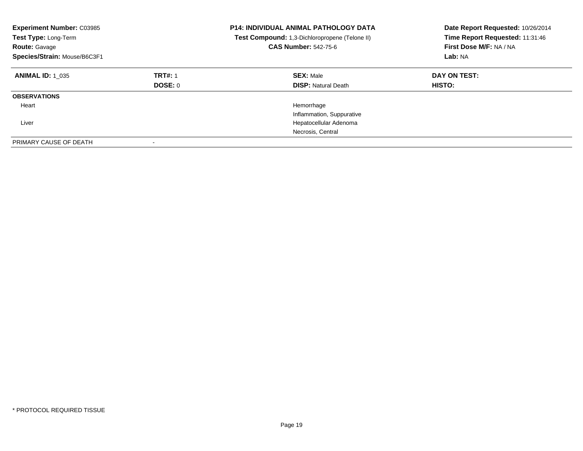| <b>Experiment Number: C03985</b><br>Test Type: Long-Term<br><b>Route: Gavage</b><br>Species/Strain: Mouse/B6C3F1 |                           | <b>P14: INDIVIDUAL ANIMAL PATHOLOGY DATA</b><br>Test Compound: 1,3-Dichloropropene (Telone II)<br><b>CAS Number: 542-75-6</b> | Date Report Requested: 10/26/2014<br>Time Report Requested: 11:31:46<br>First Dose M/F: NA / NA<br>Lab: NA |
|------------------------------------------------------------------------------------------------------------------|---------------------------|-------------------------------------------------------------------------------------------------------------------------------|------------------------------------------------------------------------------------------------------------|
| <b>ANIMAL ID: 1 035</b>                                                                                          | <b>TRT#: 1</b><br>DOSE: 0 | <b>SEX: Male</b><br><b>DISP: Natural Death</b>                                                                                | DAY ON TEST:<br>HISTO:                                                                                     |
| <b>OBSERVATIONS</b>                                                                                              |                           |                                                                                                                               |                                                                                                            |
| Heart<br>Liver                                                                                                   |                           | Hemorrhage<br>Inflammation, Suppurative<br>Hepatocellular Adenoma<br>Necrosis, Central                                        |                                                                                                            |
| PRIMARY CAUSE OF DEATH                                                                                           |                           |                                                                                                                               |                                                                                                            |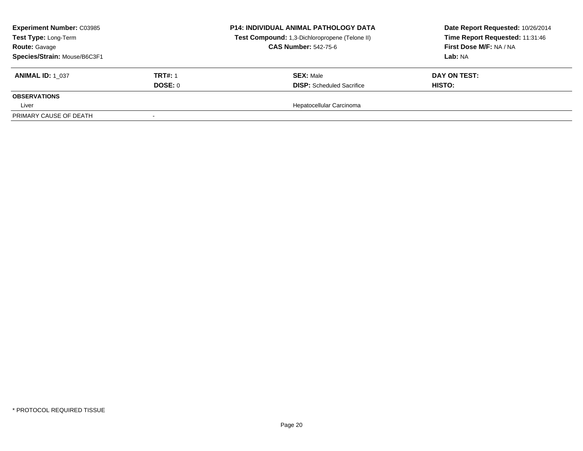|                           | <b>P14: INDIVIDUAL ANIMAL PATHOLOGY DATA</b><br>Test Compound: 1,3-Dichloropropene (Telone II)<br><b>CAS Number: 542-75-6</b> | Date Report Requested: 10/26/2014<br>Time Report Requested: 11:31:46<br>First Dose M/F: NA / NA<br>Lab: NA |
|---------------------------|-------------------------------------------------------------------------------------------------------------------------------|------------------------------------------------------------------------------------------------------------|
| <b>TRT#: 1</b><br>DOSE: 0 | <b>SEX: Male</b><br><b>DISP:</b> Scheduled Sacrifice                                                                          | DAY ON TEST:<br><b>HISTO:</b>                                                                              |
|                           |                                                                                                                               |                                                                                                            |
|                           | Hepatocellular Carcinoma                                                                                                      |                                                                                                            |
|                           |                                                                                                                               |                                                                                                            |
|                           |                                                                                                                               |                                                                                                            |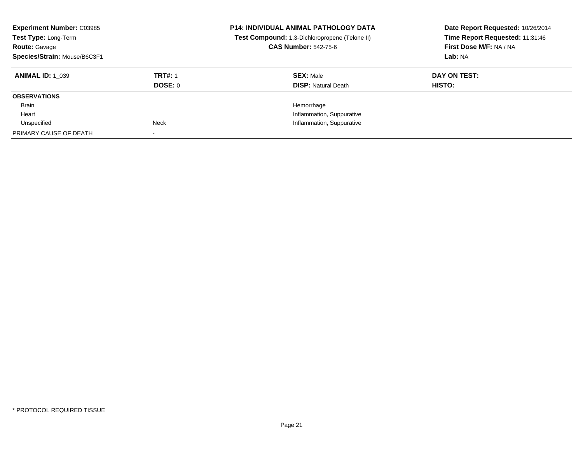| <b>Experiment Number: C03985</b><br>Test Type: Long-Term<br><b>Route: Gavage</b><br>Species/Strain: Mouse/B6C3F1 |                                  | <b>P14: INDIVIDUAL ANIMAL PATHOLOGY DATA</b><br>Test Compound: 1,3-Dichloropropene (Telone II)<br><b>CAS Number: 542-75-6</b> | Date Report Requested: 10/26/2014<br>Time Report Requested: 11:31:46<br>First Dose M/F: NA / NA<br>Lab: NA |
|------------------------------------------------------------------------------------------------------------------|----------------------------------|-------------------------------------------------------------------------------------------------------------------------------|------------------------------------------------------------------------------------------------------------|
| <b>ANIMAL ID: 1 039</b>                                                                                          | <b>TRT#: 1</b><br><b>DOSE: 0</b> | <b>SEX: Male</b><br><b>DISP:</b> Natural Death                                                                                | DAY ON TEST:<br>HISTO:                                                                                     |
| <b>OBSERVATIONS</b>                                                                                              |                                  |                                                                                                                               |                                                                                                            |
| Brain                                                                                                            |                                  | Hemorrhage                                                                                                                    |                                                                                                            |
| Heart                                                                                                            |                                  | Inflammation, Suppurative                                                                                                     |                                                                                                            |
| Unspecified                                                                                                      | Neck                             | Inflammation, Suppurative                                                                                                     |                                                                                                            |
| PRIMARY CAUSE OF DEATH                                                                                           |                                  |                                                                                                                               |                                                                                                            |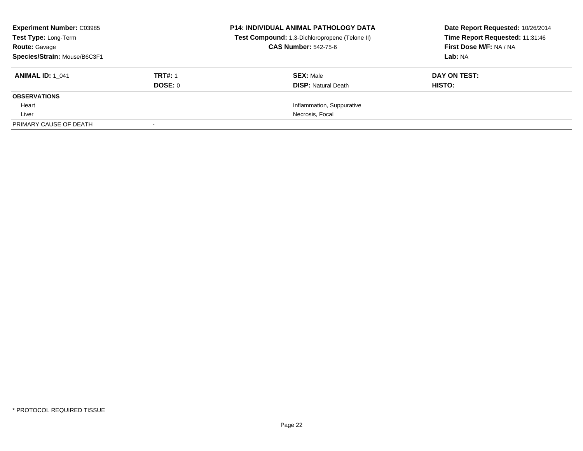| <b>Experiment Number: C03985</b><br>Test Type: Long-Term |                | <b>P14: INDIVIDUAL ANIMAL PATHOLOGY DATA</b><br>Test Compound: 1,3-Dichloropropene (Telone II) | Date Report Requested: 10/26/2014<br>Time Report Requested: 11:31:46 |
|----------------------------------------------------------|----------------|------------------------------------------------------------------------------------------------|----------------------------------------------------------------------|
| <b>Route: Gavage</b>                                     |                | <b>CAS Number: 542-75-6</b>                                                                    | First Dose M/F: NA / NA                                              |
| Species/Strain: Mouse/B6C3F1                             |                |                                                                                                | Lab: NA                                                              |
| <b>ANIMAL ID: 1 041</b>                                  | <b>TRT#: 1</b> | <b>SEX: Male</b>                                                                               | DAY ON TEST:                                                         |
|                                                          | DOSE: 0        | <b>DISP:</b> Natural Death                                                                     | HISTO:                                                               |
| <b>OBSERVATIONS</b>                                      |                |                                                                                                |                                                                      |
| Heart                                                    |                | Inflammation, Suppurative                                                                      |                                                                      |
| Liver                                                    |                | Necrosis, Focal                                                                                |                                                                      |
| PRIMARY CAUSE OF DEATH                                   |                |                                                                                                |                                                                      |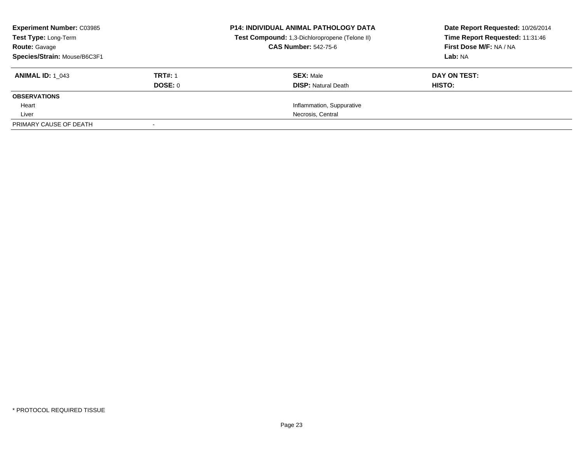| <b>Experiment Number: C03985</b><br>Test Type: Long-Term |                | <b>P14: INDIVIDUAL ANIMAL PATHOLOGY DATA</b><br>Test Compound: 1,3-Dichloropropene (Telone II) | Date Report Requested: 10/26/2014<br>Time Report Requested: 11:31:46 |
|----------------------------------------------------------|----------------|------------------------------------------------------------------------------------------------|----------------------------------------------------------------------|
| <b>Route: Gavage</b>                                     |                | <b>CAS Number: 542-75-6</b>                                                                    | First Dose M/F: NA / NA                                              |
| Species/Strain: Mouse/B6C3F1                             |                |                                                                                                | Lab: NA                                                              |
| <b>ANIMAL ID:</b> 1 043                                  | <b>TRT#: 1</b> | <b>SEX: Male</b>                                                                               | DAY ON TEST:                                                         |
|                                                          | DOSE: 0        | <b>DISP:</b> Natural Death                                                                     | HISTO:                                                               |
| <b>OBSERVATIONS</b>                                      |                |                                                                                                |                                                                      |
| Heart                                                    |                | Inflammation, Suppurative                                                                      |                                                                      |
| Liver                                                    |                | Necrosis, Central                                                                              |                                                                      |
| PRIMARY CAUSE OF DEATH                                   |                |                                                                                                |                                                                      |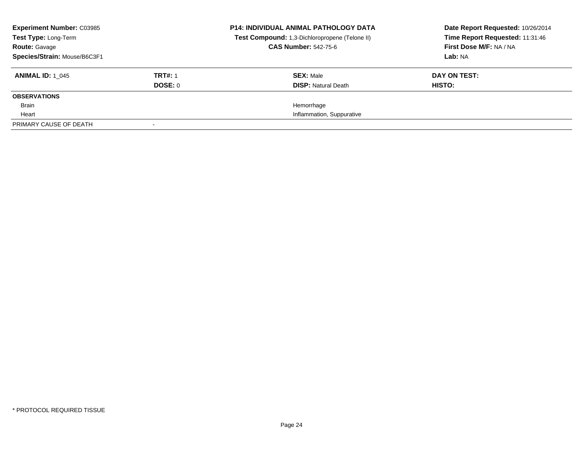| <b>Experiment Number: C03985</b><br>Test Type: Long-Term<br><b>Route: Gavage</b> |                | <b>P14: INDIVIDUAL ANIMAL PATHOLOGY DATA</b><br>Test Compound: 1,3-Dichloropropene (Telone II)<br><b>CAS Number: 542-75-6</b> | Date Report Requested: 10/26/2014<br>Time Report Requested: 11:31:46<br>First Dose M/F: NA / NA |
|----------------------------------------------------------------------------------|----------------|-------------------------------------------------------------------------------------------------------------------------------|-------------------------------------------------------------------------------------------------|
| Species/Strain: Mouse/B6C3F1                                                     |                |                                                                                                                               | Lab: NA                                                                                         |
| <b>ANIMAL ID: 1 045</b>                                                          | <b>TRT#: 1</b> | <b>SEX: Male</b>                                                                                                              | DAY ON TEST:                                                                                    |
|                                                                                  | DOSE: 0        | <b>DISP:</b> Natural Death                                                                                                    | HISTO:                                                                                          |
| <b>OBSERVATIONS</b>                                                              |                |                                                                                                                               |                                                                                                 |
| Brain                                                                            |                | Hemorrhage                                                                                                                    |                                                                                                 |
| Heart                                                                            |                | Inflammation, Suppurative                                                                                                     |                                                                                                 |
| PRIMARY CAUSE OF DEATH                                                           |                |                                                                                                                               |                                                                                                 |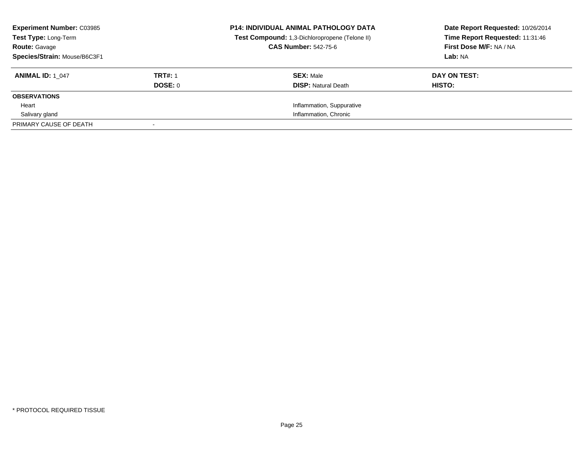| <b>Experiment Number: C03985</b><br><b>Test Type: Long-Term</b> |                | <b>P14: INDIVIDUAL ANIMAL PATHOLOGY DATA</b><br>Test Compound: 1,3-Dichloropropene (Telone II) | Date Report Requested: 10/26/2014<br>Time Report Requested: 11:31:46 |
|-----------------------------------------------------------------|----------------|------------------------------------------------------------------------------------------------|----------------------------------------------------------------------|
| <b>Route: Gavage</b>                                            |                | <b>CAS Number: 542-75-6</b>                                                                    | First Dose M/F: NA / NA                                              |
| Species/Strain: Mouse/B6C3F1                                    |                |                                                                                                | Lab: NA                                                              |
| <b>ANIMAL ID: 1 047</b>                                         | <b>TRT#: 1</b> | <b>SEX: Male</b>                                                                               | DAY ON TEST:                                                         |
|                                                                 | DOSE: 0        | <b>DISP:</b> Natural Death                                                                     | HISTO:                                                               |
| <b>OBSERVATIONS</b>                                             |                |                                                                                                |                                                                      |
| Heart                                                           |                | Inflammation, Suppurative                                                                      |                                                                      |
| Salivary gland                                                  |                | Inflammation, Chronic                                                                          |                                                                      |
| PRIMARY CAUSE OF DEATH                                          |                |                                                                                                |                                                                      |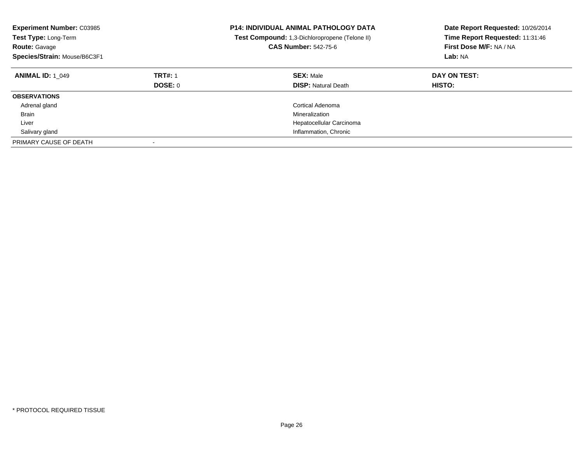| <b>Experiment Number: C03985</b><br>Test Type: Long-Term<br><b>Route: Gavage</b><br>Species/Strain: Mouse/B6C3F1 |                           | <b>P14: INDIVIDUAL ANIMAL PATHOLOGY DATA</b><br>Test Compound: 1,3-Dichloropropene (Telone II)<br><b>CAS Number: 542-75-6</b> | Date Report Requested: 10/26/2014<br>Time Report Requested: 11:31:46<br>First Dose M/F: NA / NA<br>Lab: NA |
|------------------------------------------------------------------------------------------------------------------|---------------------------|-------------------------------------------------------------------------------------------------------------------------------|------------------------------------------------------------------------------------------------------------|
| <b>ANIMAL ID: 1 049</b>                                                                                          | <b>TRT#: 1</b><br>DOSE: 0 | <b>SEX: Male</b><br><b>DISP:</b> Natural Death                                                                                | DAY ON TEST:<br><b>HISTO:</b>                                                                              |
| <b>OBSERVATIONS</b>                                                                                              |                           |                                                                                                                               |                                                                                                            |
| Adrenal gland                                                                                                    |                           | Cortical Adenoma                                                                                                              |                                                                                                            |
| <b>Brain</b>                                                                                                     |                           | Mineralization                                                                                                                |                                                                                                            |
| Liver                                                                                                            |                           | Hepatocellular Carcinoma                                                                                                      |                                                                                                            |
| Salivary gland                                                                                                   |                           | Inflammation, Chronic                                                                                                         |                                                                                                            |
| PRIMARY CAUSE OF DEATH                                                                                           |                           |                                                                                                                               |                                                                                                            |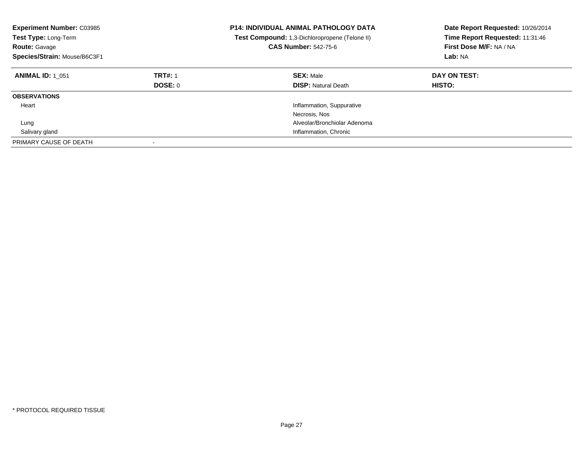| <b>Experiment Number: C03985</b><br><b>Test Type: Long-Term</b><br><b>Route: Gavage</b><br>Species/Strain: Mouse/B6C3F1 |                                  | <b>P14: INDIVIDUAL ANIMAL PATHOLOGY DATA</b><br><b>Test Compound:</b> 1,3-Dichloropropene (Telone II)<br><b>CAS Number: 542-75-6</b> | Date Report Requested: 10/26/2014<br>Time Report Requested: 11:31:46<br>First Dose M/F: NA / NA<br>Lab: NA |
|-------------------------------------------------------------------------------------------------------------------------|----------------------------------|--------------------------------------------------------------------------------------------------------------------------------------|------------------------------------------------------------------------------------------------------------|
| <b>ANIMAL ID: 1 051</b>                                                                                                 | <b>TRT#: 1</b><br><b>DOSE: 0</b> | <b>SEX: Male</b><br><b>DISP:</b> Natural Death                                                                                       | DAY ON TEST:<br><b>HISTO:</b>                                                                              |
| <b>OBSERVATIONS</b>                                                                                                     |                                  |                                                                                                                                      |                                                                                                            |
| Heart                                                                                                                   |                                  | Inflammation, Suppurative                                                                                                            |                                                                                                            |
|                                                                                                                         |                                  | Necrosis, Nos                                                                                                                        |                                                                                                            |
| Lung                                                                                                                    |                                  | Alveolar/Bronchiolar Adenoma                                                                                                         |                                                                                                            |
| Salivary gland                                                                                                          |                                  | Inflammation, Chronic                                                                                                                |                                                                                                            |
| PRIMARY CAUSE OF DEATH                                                                                                  | $\overline{\phantom{a}}$         |                                                                                                                                      |                                                                                                            |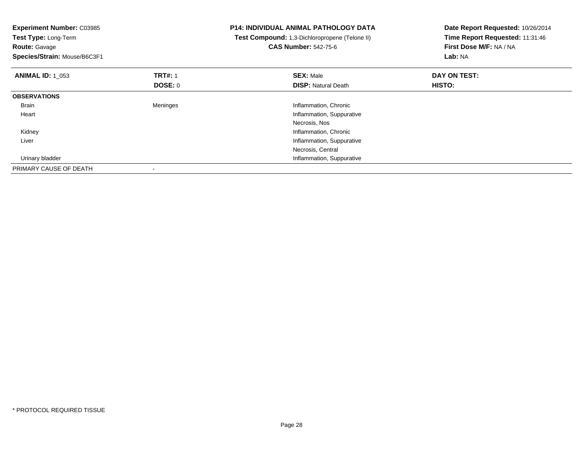| <b>Experiment Number: C03985</b> |                | <b>P14: INDIVIDUAL ANIMAL PATHOLOGY DATA</b>   | Date Report Requested: 10/26/2014 |  |
|----------------------------------|----------------|------------------------------------------------|-----------------------------------|--|
| Test Type: Long-Term             |                | Test Compound: 1,3-Dichloropropene (Telone II) | Time Report Requested: 11:31:46   |  |
| <b>Route: Gavage</b>             |                | <b>CAS Number: 542-75-6</b>                    | First Dose M/F: NA / NA           |  |
| Species/Strain: Mouse/B6C3F1     |                |                                                | Lab: NA                           |  |
| <b>ANIMAL ID: 1 053</b>          | <b>TRT#: 1</b> | <b>SEX: Male</b>                               | DAY ON TEST:                      |  |
|                                  | DOSE: 0        | <b>DISP:</b> Natural Death                     | <b>HISTO:</b>                     |  |
| <b>OBSERVATIONS</b>              |                |                                                |                                   |  |
| Brain                            | Meninges       | Inflammation, Chronic                          |                                   |  |
| Heart                            |                | Inflammation, Suppurative                      |                                   |  |
|                                  |                | Necrosis, Nos                                  |                                   |  |
| Kidney                           |                | Inflammation, Chronic                          |                                   |  |
| Liver                            |                | Inflammation, Suppurative                      |                                   |  |
|                                  |                | Necrosis, Central                              |                                   |  |
| Urinary bladder                  |                | Inflammation, Suppurative                      |                                   |  |
| PRIMARY CAUSE OF DEATH           |                |                                                |                                   |  |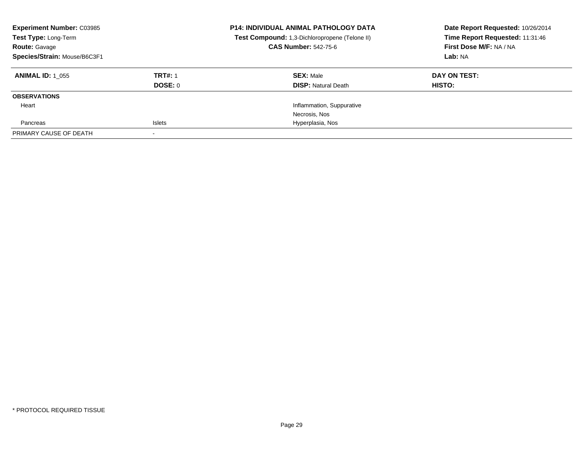| <b>Experiment Number: C03985</b><br>Test Type: Long-Term<br><b>Route: Gavage</b><br>Species/Strain: Mouse/B6C3F1 |                                  | <b>P14: INDIVIDUAL ANIMAL PATHOLOGY DATA</b><br>Test Compound: 1,3-Dichloropropene (Telone II)<br><b>CAS Number: 542-75-6</b> | Date Report Requested: 10/26/2014<br>Time Report Requested: 11:31:46<br>First Dose M/F: NA / NA<br>Lab: NA |
|------------------------------------------------------------------------------------------------------------------|----------------------------------|-------------------------------------------------------------------------------------------------------------------------------|------------------------------------------------------------------------------------------------------------|
| <b>ANIMAL ID: 1 055</b>                                                                                          | <b>TRT#: 1</b><br><b>DOSE: 0</b> | <b>SEX: Male</b><br><b>DISP: Natural Death</b>                                                                                | DAY ON TEST:<br>HISTO:                                                                                     |
| <b>OBSERVATIONS</b>                                                                                              |                                  |                                                                                                                               |                                                                                                            |
| Heart                                                                                                            |                                  | Inflammation, Suppurative                                                                                                     |                                                                                                            |
|                                                                                                                  |                                  | Necrosis, Nos                                                                                                                 |                                                                                                            |
| Pancreas                                                                                                         | Islets                           | Hyperplasia, Nos                                                                                                              |                                                                                                            |
| PRIMARY CAUSE OF DEATH                                                                                           |                                  |                                                                                                                               |                                                                                                            |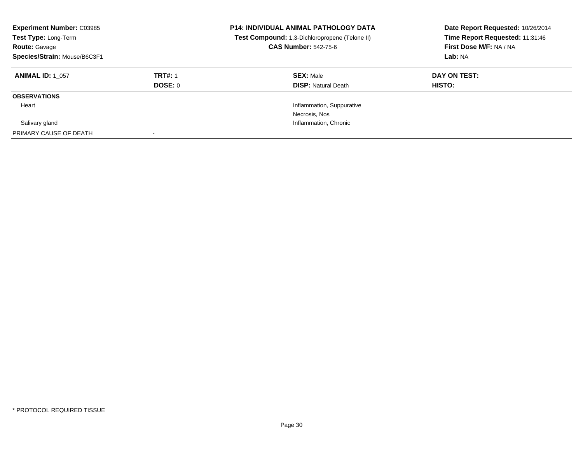| <b>Experiment Number: C03985</b><br>Test Type: Long-Term<br><b>Route: Gavage</b><br>Species/Strain: Mouse/B6C3F1 |                           | <b>P14: INDIVIDUAL ANIMAL PATHOLOGY DATA</b><br>Test Compound: 1,3-Dichloropropene (Telone II)<br><b>CAS Number: 542-75-6</b> | Date Report Requested: 10/26/2014<br>Time Report Requested: 11:31:46<br>First Dose M/F: NA / NA<br>Lab: NA |
|------------------------------------------------------------------------------------------------------------------|---------------------------|-------------------------------------------------------------------------------------------------------------------------------|------------------------------------------------------------------------------------------------------------|
| <b>ANIMAL ID: 1 057</b>                                                                                          | <b>TRT#: 1</b><br>DOSE: 0 | <b>SEX: Male</b><br><b>DISP: Natural Death</b>                                                                                | DAY ON TEST:<br>HISTO:                                                                                     |
| <b>OBSERVATIONS</b>                                                                                              |                           |                                                                                                                               |                                                                                                            |
| Heart                                                                                                            |                           | Inflammation, Suppurative                                                                                                     |                                                                                                            |
|                                                                                                                  |                           | Necrosis, Nos                                                                                                                 |                                                                                                            |
| Salivary gland                                                                                                   |                           | Inflammation, Chronic                                                                                                         |                                                                                                            |
| PRIMARY CAUSE OF DEATH                                                                                           |                           |                                                                                                                               |                                                                                                            |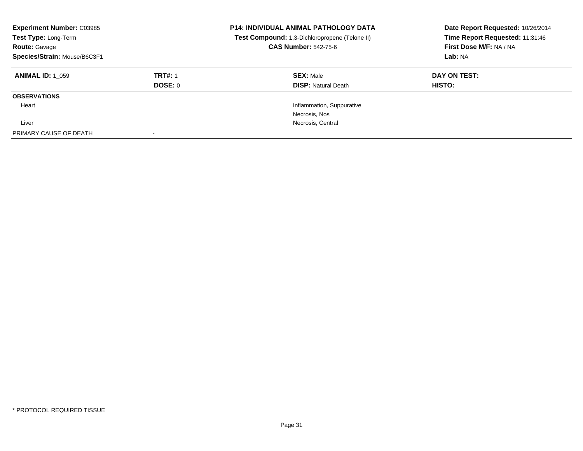| <b>Experiment Number: C03985</b><br>Test Type: Long-Term<br><b>Route: Gavage</b><br>Species/Strain: Mouse/B6C3F1 |                           | <b>P14: INDIVIDUAL ANIMAL PATHOLOGY DATA</b><br>Test Compound: 1,3-Dichloropropene (Telone II)<br><b>CAS Number: 542-75-6</b> | Date Report Requested: 10/26/2014<br>Time Report Requested: 11:31:46<br>First Dose M/F: NA / NA<br>Lab: NA |
|------------------------------------------------------------------------------------------------------------------|---------------------------|-------------------------------------------------------------------------------------------------------------------------------|------------------------------------------------------------------------------------------------------------|
| <b>ANIMAL ID: 1 059</b>                                                                                          | <b>TRT#: 1</b><br>DOSE: 0 | <b>SEX: Male</b><br><b>DISP: Natural Death</b>                                                                                | DAY ON TEST:<br>HISTO:                                                                                     |
| <b>OBSERVATIONS</b>                                                                                              |                           |                                                                                                                               |                                                                                                            |
| Heart                                                                                                            |                           | Inflammation, Suppurative                                                                                                     |                                                                                                            |
|                                                                                                                  |                           | Necrosis, Nos                                                                                                                 |                                                                                                            |
| Liver                                                                                                            |                           | Necrosis, Central                                                                                                             |                                                                                                            |
| PRIMARY CAUSE OF DEATH                                                                                           |                           |                                                                                                                               |                                                                                                            |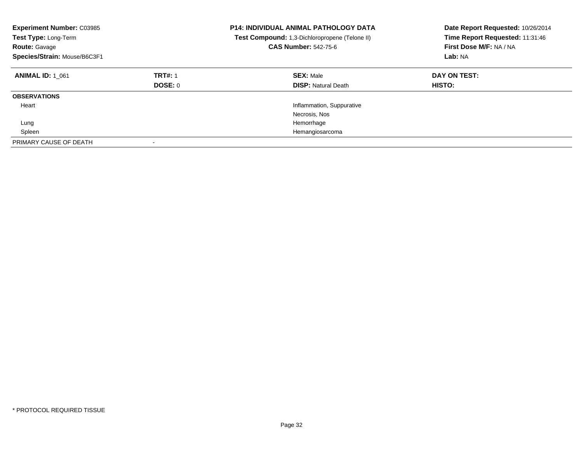| <b>Experiment Number: C03985</b><br>Test Type: Long-Term<br><b>Route: Gavage</b><br>Species/Strain: Mouse/B6C3F1 |                                  | <b>P14: INDIVIDUAL ANIMAL PATHOLOGY DATA</b><br>Test Compound: 1,3-Dichloropropene (Telone II)<br><b>CAS Number: 542-75-6</b> | Date Report Requested: 10/26/2014<br>Time Report Requested: 11:31:46<br>First Dose M/F: NA / NA<br>Lab: NA |
|------------------------------------------------------------------------------------------------------------------|----------------------------------|-------------------------------------------------------------------------------------------------------------------------------|------------------------------------------------------------------------------------------------------------|
| <b>ANIMAL ID: 1 061</b>                                                                                          | <b>TRT#: 1</b><br><b>DOSE: 0</b> | <b>SEX: Male</b><br><b>DISP: Natural Death</b>                                                                                | DAY ON TEST:<br><b>HISTO:</b>                                                                              |
| <b>OBSERVATIONS</b>                                                                                              |                                  |                                                                                                                               |                                                                                                            |
| Heart                                                                                                            |                                  | Inflammation, Suppurative                                                                                                     |                                                                                                            |
|                                                                                                                  |                                  | Necrosis, Nos                                                                                                                 |                                                                                                            |
| Lung                                                                                                             |                                  | Hemorrhage                                                                                                                    |                                                                                                            |
| Spleen                                                                                                           |                                  | Hemangiosarcoma                                                                                                               |                                                                                                            |
| PRIMARY CAUSE OF DEATH                                                                                           | $\overline{\phantom{a}}$         |                                                                                                                               |                                                                                                            |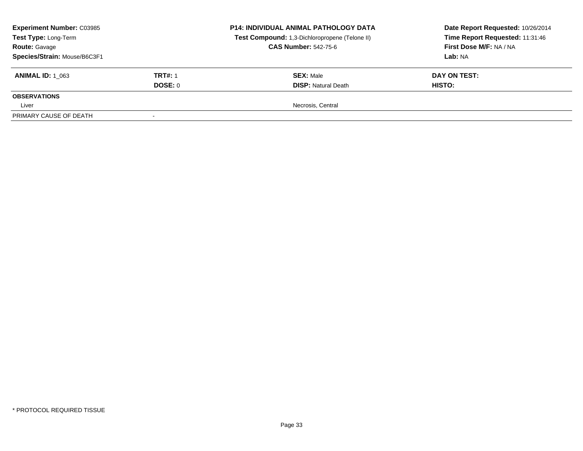| <b>Experiment Number: C03985</b><br>Test Type: Long-Term<br><b>Route: Gavage</b><br>Species/Strain: Mouse/B6C3F1 |                | <b>P14: INDIVIDUAL ANIMAL PATHOLOGY DATA</b><br>Test Compound: 1,3-Dichloropropene (Telone II)<br><b>CAS Number: 542-75-6</b> | Date Report Requested: 10/26/2014<br>Time Report Requested: 11:31:46<br>First Dose M/F: NA / NA<br>Lab: NA |
|------------------------------------------------------------------------------------------------------------------|----------------|-------------------------------------------------------------------------------------------------------------------------------|------------------------------------------------------------------------------------------------------------|
| <b>ANIMAL ID:</b> 1 063                                                                                          | <b>TRT#: 1</b> | <b>SEX: Male</b>                                                                                                              | DAY ON TEST:                                                                                               |
|                                                                                                                  | DOSE: 0        | <b>DISP:</b> Natural Death                                                                                                    | <b>HISTO:</b>                                                                                              |
| <b>OBSERVATIONS</b>                                                                                              |                |                                                                                                                               |                                                                                                            |
| Liver                                                                                                            |                | Necrosis, Central                                                                                                             |                                                                                                            |
| PRIMARY CAUSE OF DEATH                                                                                           |                |                                                                                                                               |                                                                                                            |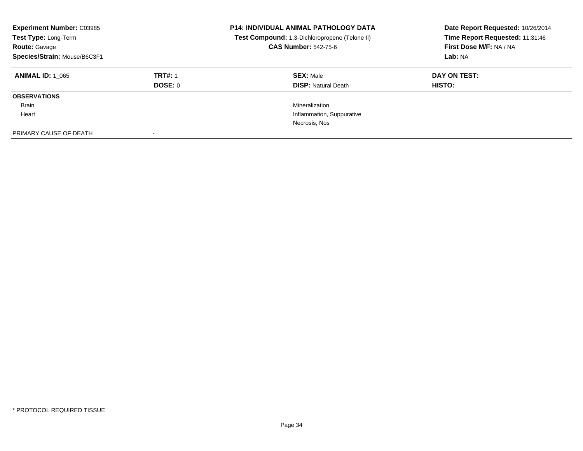| <b>Experiment Number: C03985</b><br>Test Type: Long-Term<br><b>Route: Gavage</b><br>Species/Strain: Mouse/B6C3F1 |                           | <b>P14: INDIVIDUAL ANIMAL PATHOLOGY DATA</b><br>Test Compound: 1,3-Dichloropropene (Telone II)<br><b>CAS Number: 542-75-6</b> | Date Report Requested: 10/26/2014<br>Time Report Requested: 11:31:46<br>First Dose M/F: NA / NA<br>Lab: NA |
|------------------------------------------------------------------------------------------------------------------|---------------------------|-------------------------------------------------------------------------------------------------------------------------------|------------------------------------------------------------------------------------------------------------|
| <b>ANIMAL ID: 1 065</b>                                                                                          | <b>TRT#: 1</b><br>DOSE: 0 | <b>SEX: Male</b><br><b>DISP: Natural Death</b>                                                                                | DAY ON TEST:<br><b>HISTO:</b>                                                                              |
| <b>OBSERVATIONS</b>                                                                                              |                           |                                                                                                                               |                                                                                                            |
| Brain                                                                                                            |                           | Mineralization                                                                                                                |                                                                                                            |
| Heart                                                                                                            |                           | Inflammation, Suppurative                                                                                                     |                                                                                                            |
|                                                                                                                  |                           | Necrosis, Nos                                                                                                                 |                                                                                                            |
| PRIMARY CAUSE OF DEATH                                                                                           |                           |                                                                                                                               |                                                                                                            |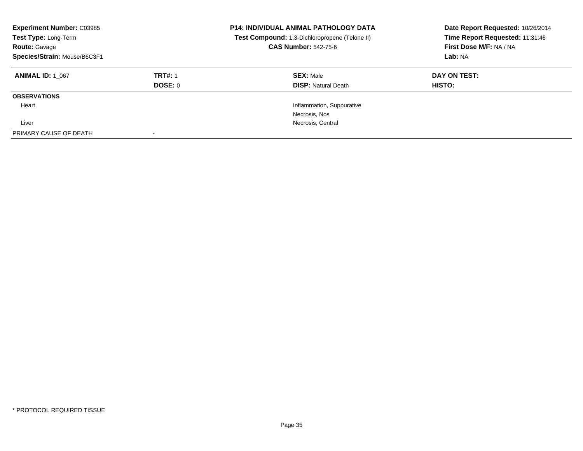| <b>Experiment Number: C03985</b><br>Test Type: Long-Term<br><b>Route: Gavage</b><br>Species/Strain: Mouse/B6C3F1 |                | <b>P14: INDIVIDUAL ANIMAL PATHOLOGY DATA</b><br>Test Compound: 1,3-Dichloropropene (Telone II)<br><b>CAS Number: 542-75-6</b> | Date Report Requested: 10/26/2014<br>Time Report Requested: 11:31:46<br>First Dose M/F: NA / NA<br>Lab: NA |
|------------------------------------------------------------------------------------------------------------------|----------------|-------------------------------------------------------------------------------------------------------------------------------|------------------------------------------------------------------------------------------------------------|
| <b>ANIMAL ID: 1 067</b>                                                                                          | <b>TRT#: 1</b> | <b>SEX: Male</b>                                                                                                              | DAY ON TEST:                                                                                               |
|                                                                                                                  | DOSE: 0        | <b>DISP:</b> Natural Death                                                                                                    | HISTO:                                                                                                     |
| <b>OBSERVATIONS</b>                                                                                              |                |                                                                                                                               |                                                                                                            |
| Heart                                                                                                            |                | Inflammation, Suppurative                                                                                                     |                                                                                                            |
|                                                                                                                  |                | Necrosis, Nos                                                                                                                 |                                                                                                            |
| Liver                                                                                                            |                | Necrosis, Central                                                                                                             |                                                                                                            |
| PRIMARY CAUSE OF DEATH                                                                                           |                |                                                                                                                               |                                                                                                            |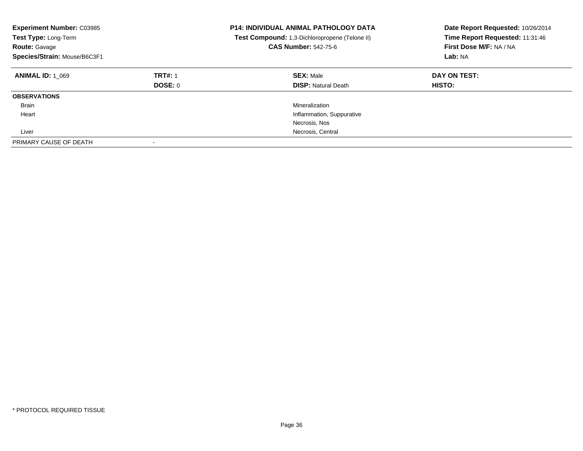| <b>Experiment Number: C03985</b><br>Test Type: Long-Term<br><b>Route: Gavage</b><br>Species/Strain: Mouse/B6C3F1 |                           | <b>P14: INDIVIDUAL ANIMAL PATHOLOGY DATA</b><br>Test Compound: 1,3-Dichloropropene (Telone II)<br><b>CAS Number: 542-75-6</b> | Date Report Requested: 10/26/2014<br>Time Report Requested: 11:31:46<br>First Dose M/F: NA / NA<br>Lab: NA |
|------------------------------------------------------------------------------------------------------------------|---------------------------|-------------------------------------------------------------------------------------------------------------------------------|------------------------------------------------------------------------------------------------------------|
| <b>ANIMAL ID: 1 069</b>                                                                                          | <b>TRT#: 1</b><br>DOSE: 0 | <b>SEX: Male</b><br><b>DISP: Natural Death</b>                                                                                | DAY ON TEST:<br>HISTO:                                                                                     |
| <b>OBSERVATIONS</b>                                                                                              |                           |                                                                                                                               |                                                                                                            |
| Brain                                                                                                            |                           | Mineralization                                                                                                                |                                                                                                            |
| Heart                                                                                                            |                           | Inflammation, Suppurative                                                                                                     |                                                                                                            |
|                                                                                                                  |                           | Necrosis, Nos                                                                                                                 |                                                                                                            |
| Liver                                                                                                            |                           | Necrosis, Central                                                                                                             |                                                                                                            |
| PRIMARY CAUSE OF DEATH                                                                                           |                           |                                                                                                                               |                                                                                                            |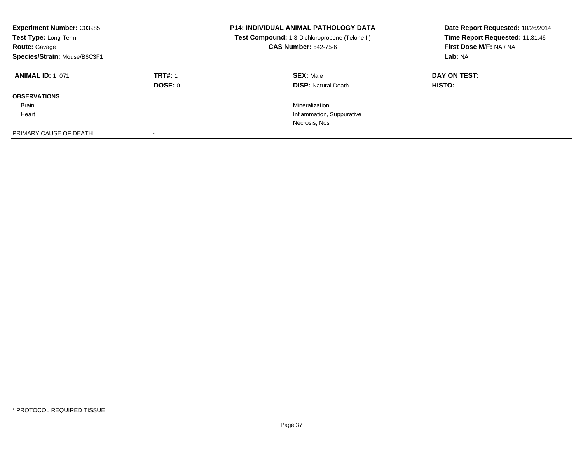| <b>Experiment Number: C03985</b><br>Test Type: Long-Term<br><b>Route: Gavage</b><br>Species/Strain: Mouse/B6C3F1 |                | <b>P14: INDIVIDUAL ANIMAL PATHOLOGY DATA</b><br>Test Compound: 1,3-Dichloropropene (Telone II)<br><b>CAS Number: 542-75-6</b> | Date Report Requested: 10/26/2014<br>Time Report Requested: 11:31:46<br>First Dose M/F: NA / NA<br>Lab: NA |
|------------------------------------------------------------------------------------------------------------------|----------------|-------------------------------------------------------------------------------------------------------------------------------|------------------------------------------------------------------------------------------------------------|
| <b>ANIMAL ID: 1 071</b>                                                                                          | <b>TRT#: 1</b> | <b>SEX: Male</b>                                                                                                              | DAY ON TEST:                                                                                               |
|                                                                                                                  | DOSE: 0        | <b>DISP:</b> Natural Death                                                                                                    | <b>HISTO:</b>                                                                                              |
| <b>OBSERVATIONS</b>                                                                                              |                |                                                                                                                               |                                                                                                            |
| Brain                                                                                                            |                | Mineralization                                                                                                                |                                                                                                            |
| Heart                                                                                                            |                | Inflammation, Suppurative                                                                                                     |                                                                                                            |
|                                                                                                                  |                | Necrosis, Nos                                                                                                                 |                                                                                                            |
| PRIMARY CAUSE OF DEATH                                                                                           |                |                                                                                                                               |                                                                                                            |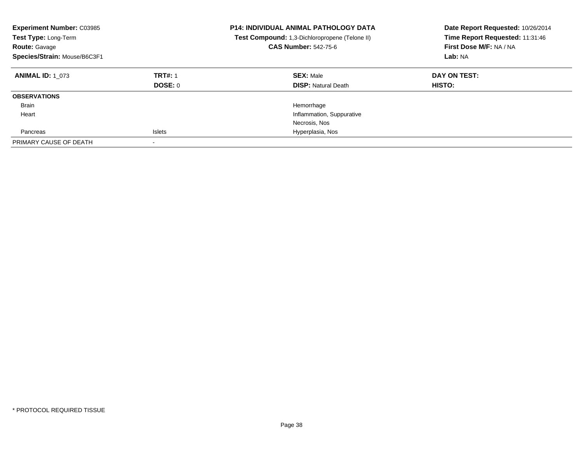| <b>Experiment Number: C03985</b><br>Test Type: Long-Term<br><b>Route: Gavage</b><br>Species/Strain: Mouse/B6C3F1 |                           | <b>P14: INDIVIDUAL ANIMAL PATHOLOGY DATA</b><br>Test Compound: 1,3-Dichloropropene (Telone II)<br><b>CAS Number: 542-75-6</b> | Date Report Requested: 10/26/2014<br>Time Report Requested: 11:31:46<br>First Dose M/F: NA / NA<br>Lab: NA |
|------------------------------------------------------------------------------------------------------------------|---------------------------|-------------------------------------------------------------------------------------------------------------------------------|------------------------------------------------------------------------------------------------------------|
| <b>ANIMAL ID: 1 073</b>                                                                                          | <b>TRT#: 1</b><br>DOSE: 0 | <b>SEX: Male</b><br><b>DISP:</b> Natural Death                                                                                | DAY ON TEST:<br><b>HISTO:</b>                                                                              |
| <b>OBSERVATIONS</b>                                                                                              |                           |                                                                                                                               |                                                                                                            |
| Brain                                                                                                            |                           | Hemorrhage                                                                                                                    |                                                                                                            |
| Heart                                                                                                            |                           | Inflammation, Suppurative                                                                                                     |                                                                                                            |
|                                                                                                                  |                           | Necrosis, Nos                                                                                                                 |                                                                                                            |
| Pancreas                                                                                                         | <b>Islets</b>             | Hyperplasia, Nos                                                                                                              |                                                                                                            |
| PRIMARY CAUSE OF DEATH                                                                                           |                           |                                                                                                                               |                                                                                                            |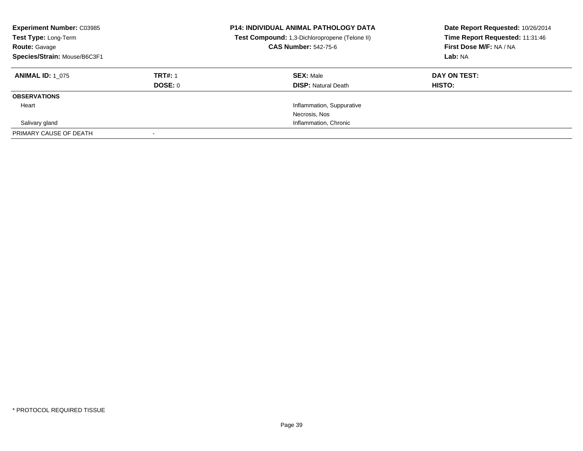| <b>Experiment Number: C03985</b><br>Test Type: Long-Term<br><b>Route: Gavage</b><br>Species/Strain: Mouse/B6C3F1 |                | <b>P14: INDIVIDUAL ANIMAL PATHOLOGY DATA</b><br>Test Compound: 1,3-Dichloropropene (Telone II)<br><b>CAS Number: 542-75-6</b> | Date Report Requested: 10/26/2014<br>Time Report Requested: 11:31:46<br>First Dose M/F: NA / NA<br>Lab: NA |
|------------------------------------------------------------------------------------------------------------------|----------------|-------------------------------------------------------------------------------------------------------------------------------|------------------------------------------------------------------------------------------------------------|
| <b>ANIMAL ID: 1 075</b>                                                                                          | <b>TRT#: 1</b> | <b>SEX: Male</b>                                                                                                              | DAY ON TEST:                                                                                               |
|                                                                                                                  | <b>DOSE: 0</b> | <b>DISP:</b> Natural Death                                                                                                    | HISTO:                                                                                                     |
| <b>OBSERVATIONS</b>                                                                                              |                |                                                                                                                               |                                                                                                            |
| Heart                                                                                                            |                | Inflammation, Suppurative                                                                                                     |                                                                                                            |
|                                                                                                                  |                | Necrosis, Nos                                                                                                                 |                                                                                                            |
| Salivary gland                                                                                                   |                | Inflammation, Chronic                                                                                                         |                                                                                                            |
| PRIMARY CAUSE OF DEATH                                                                                           |                |                                                                                                                               |                                                                                                            |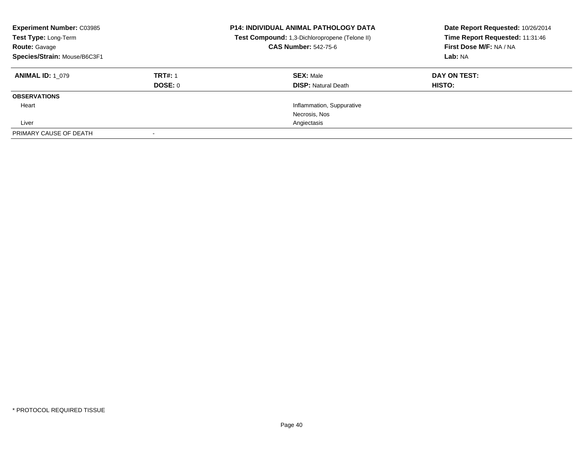| <b>Experiment Number: C03985</b><br>Test Type: Long-Term<br><b>Route: Gavage</b><br>Species/Strain: Mouse/B6C3F1 |                | <b>P14: INDIVIDUAL ANIMAL PATHOLOGY DATA</b><br>Test Compound: 1,3-Dichloropropene (Telone II)<br><b>CAS Number: 542-75-6</b> | Date Report Requested: 10/26/2014<br>Time Report Requested: 11:31:46<br>First Dose M/F: NA / NA<br>Lab: NA |
|------------------------------------------------------------------------------------------------------------------|----------------|-------------------------------------------------------------------------------------------------------------------------------|------------------------------------------------------------------------------------------------------------|
| <b>ANIMAL ID: 1 079</b>                                                                                          | <b>TRT#: 1</b> | <b>SEX: Male</b>                                                                                                              | DAY ON TEST:                                                                                               |
|                                                                                                                  | DOSE: 0        | <b>DISP: Natural Death</b>                                                                                                    | <b>HISTO:</b>                                                                                              |
| <b>OBSERVATIONS</b>                                                                                              |                |                                                                                                                               |                                                                                                            |
| Heart                                                                                                            |                | Inflammation, Suppurative                                                                                                     |                                                                                                            |
|                                                                                                                  |                | Necrosis, Nos                                                                                                                 |                                                                                                            |
| Liver                                                                                                            |                | Angiectasis                                                                                                                   |                                                                                                            |
| PRIMARY CAUSE OF DEATH                                                                                           |                |                                                                                                                               |                                                                                                            |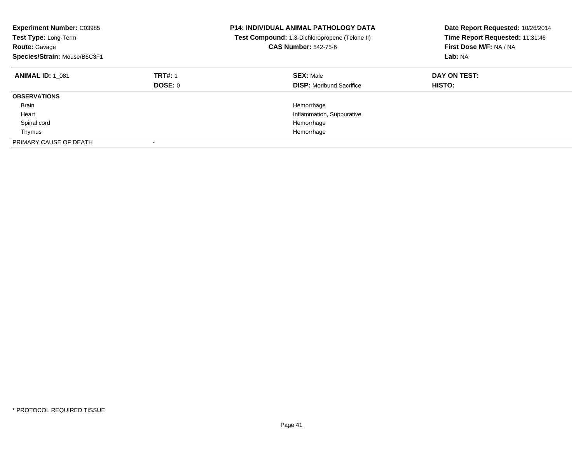| <b>Experiment Number: C03985</b><br>Test Type: Long-Term<br><b>Route: Gavage</b><br>Species/Strain: Mouse/B6C3F1 |                           | <b>P14: INDIVIDUAL ANIMAL PATHOLOGY DATA</b><br><b>Test Compound:</b> 1,3-Dichloropropene (Telone II)<br><b>CAS Number: 542-75-6</b> | Date Report Requested: 10/26/2014<br>Time Report Requested: 11:31:46<br>First Dose M/F: NA / NA<br>Lab: NA |
|------------------------------------------------------------------------------------------------------------------|---------------------------|--------------------------------------------------------------------------------------------------------------------------------------|------------------------------------------------------------------------------------------------------------|
| <b>ANIMAL ID: 1 081</b>                                                                                          | <b>TRT#: 1</b><br>DOSE: 0 | <b>SEX: Male</b><br><b>DISP:</b> Moribund Sacrifice                                                                                  | DAY ON TEST:<br><b>HISTO:</b>                                                                              |
| <b>OBSERVATIONS</b>                                                                                              |                           |                                                                                                                                      |                                                                                                            |
| <b>Brain</b>                                                                                                     |                           | Hemorrhage                                                                                                                           |                                                                                                            |
| Heart                                                                                                            |                           | Inflammation, Suppurative                                                                                                            |                                                                                                            |
| Spinal cord                                                                                                      |                           | Hemorrhage                                                                                                                           |                                                                                                            |
| Thymus                                                                                                           |                           | Hemorrhage                                                                                                                           |                                                                                                            |
| PRIMARY CAUSE OF DEATH                                                                                           |                           |                                                                                                                                      |                                                                                                            |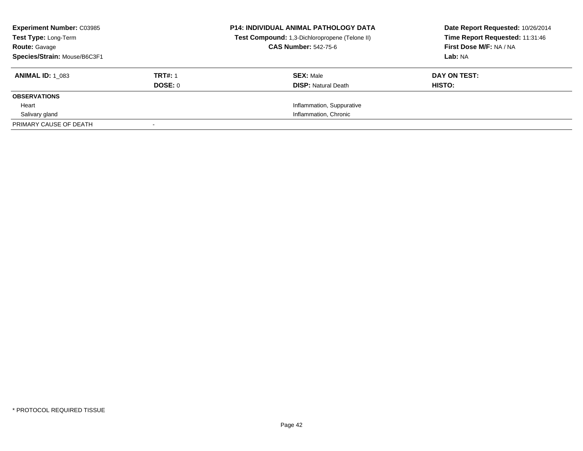| <b>Experiment Number: C03985</b><br><b>Test Type: Long-Term</b> |                | <b>P14: INDIVIDUAL ANIMAL PATHOLOGY DATA</b><br>Test Compound: 1,3-Dichloropropene (Telone II) | Date Report Requested: 10/26/2014<br>Time Report Requested: 11:31:46 |
|-----------------------------------------------------------------|----------------|------------------------------------------------------------------------------------------------|----------------------------------------------------------------------|
| <b>Route: Gavage</b>                                            |                | <b>CAS Number: 542-75-6</b>                                                                    | First Dose M/F: NA / NA                                              |
| Species/Strain: Mouse/B6C3F1                                    |                |                                                                                                | Lab: NA                                                              |
| <b>ANIMAL ID:</b> 1 083                                         | <b>TRT#: 1</b> | <b>SEX: Male</b>                                                                               | DAY ON TEST:                                                         |
|                                                                 | <b>DOSE: 0</b> | <b>DISP:</b> Natural Death                                                                     | HISTO:                                                               |
| <b>OBSERVATIONS</b>                                             |                |                                                                                                |                                                                      |
| Heart                                                           |                | Inflammation, Suppurative                                                                      |                                                                      |
| Salivary gland                                                  |                | Inflammation, Chronic                                                                          |                                                                      |
| PRIMARY CAUSE OF DEATH                                          |                |                                                                                                |                                                                      |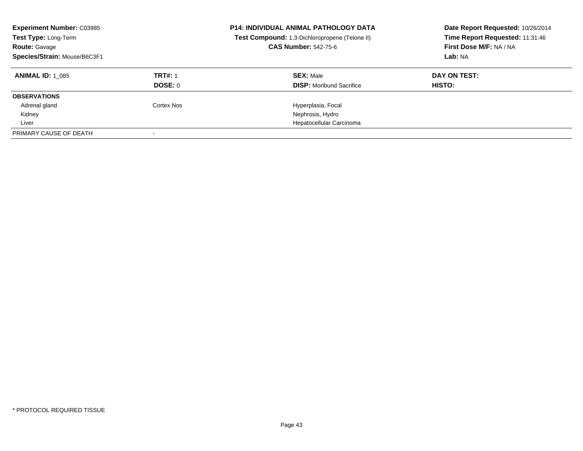| <b>Experiment Number: C03985</b><br>Test Type: Long-Term<br><b>Route: Gavage</b><br>Species/Strain: Mouse/B6C3F1 |                | <b>P14: INDIVIDUAL ANIMAL PATHOLOGY DATA</b><br>Test Compound: 1,3-Dichloropropene (Telone II)<br><b>CAS Number: 542-75-6</b> | Date Report Requested: 10/26/2014<br>Time Report Requested: 11:31:46<br>First Dose M/F: NA / NA<br>Lab: NA |
|------------------------------------------------------------------------------------------------------------------|----------------|-------------------------------------------------------------------------------------------------------------------------------|------------------------------------------------------------------------------------------------------------|
| <b>ANIMAL ID: 1 085</b>                                                                                          | <b>TRT#: 1</b> | <b>SEX: Male</b>                                                                                                              | DAY ON TEST:                                                                                               |
|                                                                                                                  | DOSE: 0        | <b>DISP:</b> Moribund Sacrifice                                                                                               | HISTO:                                                                                                     |
| <b>OBSERVATIONS</b>                                                                                              |                |                                                                                                                               |                                                                                                            |
| Adrenal gland                                                                                                    | Cortex Nos     | Hyperplasia, Focal                                                                                                            |                                                                                                            |
| Kidney                                                                                                           |                | Nephrosis, Hydro                                                                                                              |                                                                                                            |
| Liver                                                                                                            |                | Hepatocellular Carcinoma                                                                                                      |                                                                                                            |
| PRIMARY CAUSE OF DEATH                                                                                           |                |                                                                                                                               |                                                                                                            |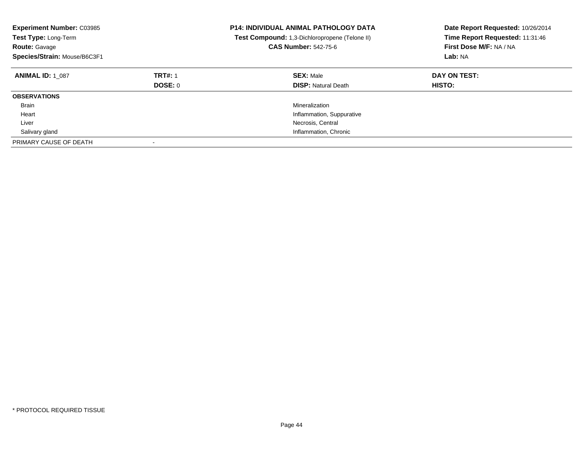| <b>Experiment Number: C03985</b><br>Test Type: Long-Term<br><b>Route: Gavage</b><br>Species/Strain: Mouse/B6C3F1 |                           | <b>P14: INDIVIDUAL ANIMAL PATHOLOGY DATA</b><br>Test Compound: 1,3-Dichloropropene (Telone II)<br><b>CAS Number: 542-75-6</b> | Date Report Requested: 10/26/2014<br>Time Report Requested: 11:31:46<br>First Dose M/F: NA / NA<br>Lab: NA |
|------------------------------------------------------------------------------------------------------------------|---------------------------|-------------------------------------------------------------------------------------------------------------------------------|------------------------------------------------------------------------------------------------------------|
| <b>ANIMAL ID: 1 087</b>                                                                                          | <b>TRT#: 1</b><br>DOSE: 0 | <b>SEX: Male</b><br><b>DISP:</b> Natural Death                                                                                | DAY ON TEST:<br><b>HISTO:</b>                                                                              |
| <b>OBSERVATIONS</b>                                                                                              |                           |                                                                                                                               |                                                                                                            |
| <b>Brain</b>                                                                                                     |                           | Mineralization                                                                                                                |                                                                                                            |
| Heart                                                                                                            |                           | Inflammation, Suppurative                                                                                                     |                                                                                                            |
| Liver                                                                                                            |                           | Necrosis, Central                                                                                                             |                                                                                                            |
| Salivary gland                                                                                                   |                           | Inflammation, Chronic                                                                                                         |                                                                                                            |
| PRIMARY CAUSE OF DEATH                                                                                           |                           |                                                                                                                               |                                                                                                            |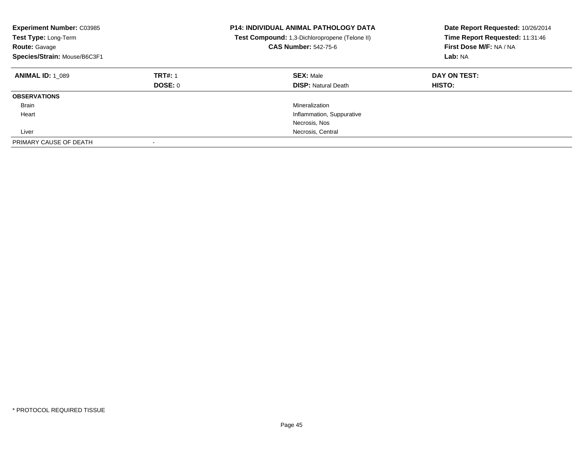| <b>Experiment Number: C03985</b><br>Test Type: Long-Term<br><b>Route: Gavage</b><br>Species/Strain: Mouse/B6C3F1 |                           | <b>P14: INDIVIDUAL ANIMAL PATHOLOGY DATA</b><br>Test Compound: 1,3-Dichloropropene (Telone II)<br><b>CAS Number: 542-75-6</b> | Date Report Requested: 10/26/2014<br>Time Report Requested: 11:31:46<br>First Dose M/F: NA / NA<br>Lab: NA |
|------------------------------------------------------------------------------------------------------------------|---------------------------|-------------------------------------------------------------------------------------------------------------------------------|------------------------------------------------------------------------------------------------------------|
| <b>ANIMAL ID: 1 089</b>                                                                                          | <b>TRT#: 1</b><br>DOSE: 0 | <b>SEX: Male</b><br><b>DISP: Natural Death</b>                                                                                | DAY ON TEST:<br>HISTO:                                                                                     |
| <b>OBSERVATIONS</b>                                                                                              |                           |                                                                                                                               |                                                                                                            |
| Brain                                                                                                            |                           | Mineralization                                                                                                                |                                                                                                            |
| Heart                                                                                                            |                           | Inflammation, Suppurative                                                                                                     |                                                                                                            |
|                                                                                                                  |                           | Necrosis, Nos                                                                                                                 |                                                                                                            |
| Liver                                                                                                            |                           | Necrosis, Central                                                                                                             |                                                                                                            |
| PRIMARY CAUSE OF DEATH                                                                                           |                           |                                                                                                                               |                                                                                                            |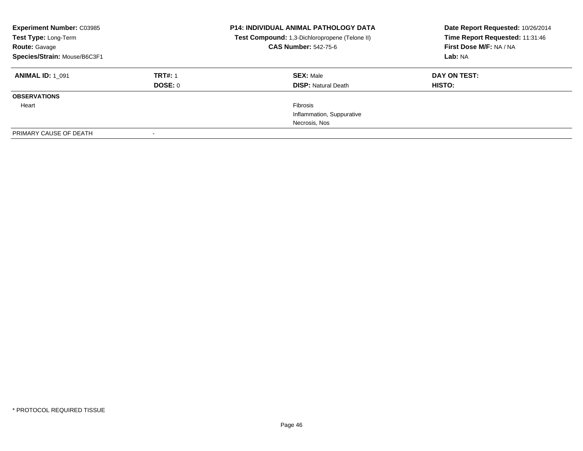| <b>Experiment Number: C03985</b><br>Test Type: Long-Term<br><b>Route: Gavage</b><br>Species/Strain: Mouse/B6C3F1 |                                  | <b>P14: INDIVIDUAL ANIMAL PATHOLOGY DATA</b><br>Test Compound: 1,3-Dichloropropene (Telone II)<br><b>CAS Number: 542-75-6</b> | Date Report Requested: 10/26/2014<br>Time Report Requested: 11:31:46<br>First Dose M/F: NA / NA<br>Lab: NA |
|------------------------------------------------------------------------------------------------------------------|----------------------------------|-------------------------------------------------------------------------------------------------------------------------------|------------------------------------------------------------------------------------------------------------|
| <b>ANIMAL ID: 1 091</b>                                                                                          | <b>TRT#: 1</b><br><b>DOSE: 0</b> | <b>SEX: Male</b><br><b>DISP:</b> Natural Death                                                                                | DAY ON TEST:<br>HISTO:                                                                                     |
| <b>OBSERVATIONS</b>                                                                                              |                                  |                                                                                                                               |                                                                                                            |
| Heart                                                                                                            |                                  | <b>Fibrosis</b>                                                                                                               |                                                                                                            |
|                                                                                                                  |                                  | Inflammation, Suppurative                                                                                                     |                                                                                                            |
|                                                                                                                  |                                  | Necrosis, Nos                                                                                                                 |                                                                                                            |
| PRIMARY CAUSE OF DEATH                                                                                           |                                  |                                                                                                                               |                                                                                                            |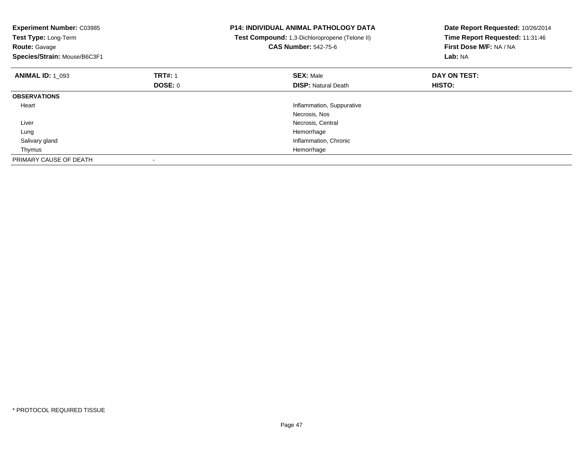| <b>Experiment Number: C03985</b><br>Test Type: Long-Term<br><b>Route: Gavage</b><br>Species/Strain: Mouse/B6C3F1 |                | <b>P14: INDIVIDUAL ANIMAL PATHOLOGY DATA</b><br>Test Compound: 1,3-Dichloropropene (Telone II)<br><b>CAS Number: 542-75-6</b> | Date Report Requested: 10/26/2014<br>Time Report Requested: 11:31:46<br>First Dose M/F: NA / NA<br>Lab: NA |
|------------------------------------------------------------------------------------------------------------------|----------------|-------------------------------------------------------------------------------------------------------------------------------|------------------------------------------------------------------------------------------------------------|
| <b>ANIMAL ID: 1_093</b>                                                                                          | <b>TRT#: 1</b> | <b>SEX: Male</b>                                                                                                              | DAY ON TEST:                                                                                               |
|                                                                                                                  | <b>DOSE: 0</b> | <b>DISP:</b> Natural Death                                                                                                    | <b>HISTO:</b>                                                                                              |
| <b>OBSERVATIONS</b>                                                                                              |                |                                                                                                                               |                                                                                                            |
| Heart                                                                                                            |                | Inflammation, Suppurative                                                                                                     |                                                                                                            |
|                                                                                                                  |                | Necrosis, Nos                                                                                                                 |                                                                                                            |
| Liver                                                                                                            |                | Necrosis, Central                                                                                                             |                                                                                                            |
| Lung                                                                                                             |                | Hemorrhage                                                                                                                    |                                                                                                            |
| Salivary gland                                                                                                   |                | Inflammation, Chronic                                                                                                         |                                                                                                            |
| Thymus                                                                                                           |                | Hemorrhage                                                                                                                    |                                                                                                            |
| PRIMARY CAUSE OF DEATH                                                                                           |                |                                                                                                                               |                                                                                                            |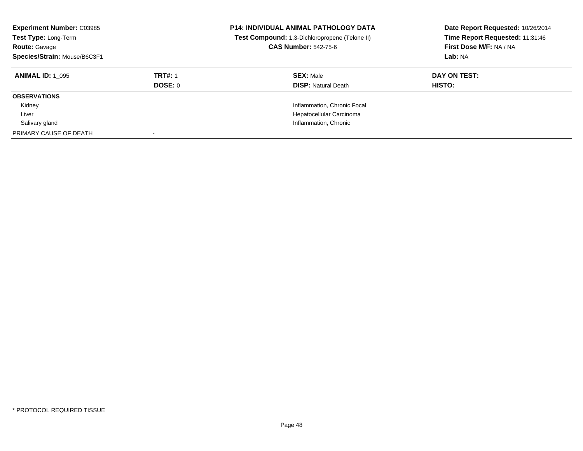| <b>Experiment Number: C03985</b><br>Test Type: Long-Term<br><b>Route: Gavage</b><br>Species/Strain: Mouse/B6C3F1 |                | <b>P14: INDIVIDUAL ANIMAL PATHOLOGY DATA</b><br>Test Compound: 1,3-Dichloropropene (Telone II)<br><b>CAS Number: 542-75-6</b> | Date Report Requested: 10/26/2014<br>Time Report Requested: 11:31:46<br>First Dose M/F: NA / NA<br>Lab: NA |
|------------------------------------------------------------------------------------------------------------------|----------------|-------------------------------------------------------------------------------------------------------------------------------|------------------------------------------------------------------------------------------------------------|
| <b>ANIMAL ID: 1 095</b>                                                                                          | <b>TRT#: 1</b> | <b>SEX: Male</b>                                                                                                              | DAY ON TEST:                                                                                               |
|                                                                                                                  | DOSE: 0        | <b>DISP:</b> Natural Death                                                                                                    | HISTO:                                                                                                     |
| <b>OBSERVATIONS</b>                                                                                              |                |                                                                                                                               |                                                                                                            |
| Kidney                                                                                                           |                | Inflammation, Chronic Focal                                                                                                   |                                                                                                            |
| Liver                                                                                                            |                | Hepatocellular Carcinoma                                                                                                      |                                                                                                            |
| Salivary gland                                                                                                   |                | Inflammation, Chronic                                                                                                         |                                                                                                            |
| PRIMARY CAUSE OF DEATH                                                                                           |                |                                                                                                                               |                                                                                                            |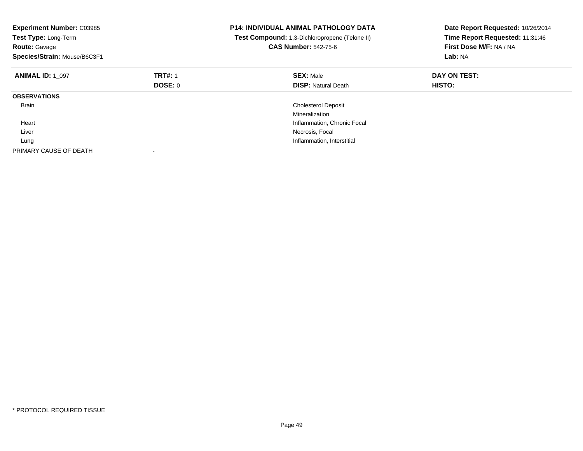| <b>Experiment Number: C03985</b><br>Test Type: Long-Term<br><b>Route: Gavage</b><br>Species/Strain: Mouse/B6C3F1 |                | <b>P14: INDIVIDUAL ANIMAL PATHOLOGY DATA</b><br>Test Compound: 1,3-Dichloropropene (Telone II)<br><b>CAS Number: 542-75-6</b> | Date Report Requested: 10/26/2014<br>Time Report Requested: 11:31:46<br>First Dose M/F: NA / NA<br>Lab: NA |
|------------------------------------------------------------------------------------------------------------------|----------------|-------------------------------------------------------------------------------------------------------------------------------|------------------------------------------------------------------------------------------------------------|
| <b>ANIMAL ID: 1 097</b>                                                                                          | <b>TRT#: 1</b> | <b>SEX: Male</b>                                                                                                              | DAY ON TEST:                                                                                               |
|                                                                                                                  | DOSE: 0        | <b>DISP: Natural Death</b>                                                                                                    | <b>HISTO:</b>                                                                                              |
| <b>OBSERVATIONS</b>                                                                                              |                |                                                                                                                               |                                                                                                            |
| <b>Brain</b>                                                                                                     |                | <b>Cholesterol Deposit</b>                                                                                                    |                                                                                                            |
|                                                                                                                  |                | Mineralization                                                                                                                |                                                                                                            |
| Heart                                                                                                            |                | Inflammation, Chronic Focal                                                                                                   |                                                                                                            |
| Liver                                                                                                            |                | Necrosis, Focal                                                                                                               |                                                                                                            |
| Lung                                                                                                             |                | Inflammation, Interstitial                                                                                                    |                                                                                                            |
| PRIMARY CAUSE OF DEATH                                                                                           |                |                                                                                                                               |                                                                                                            |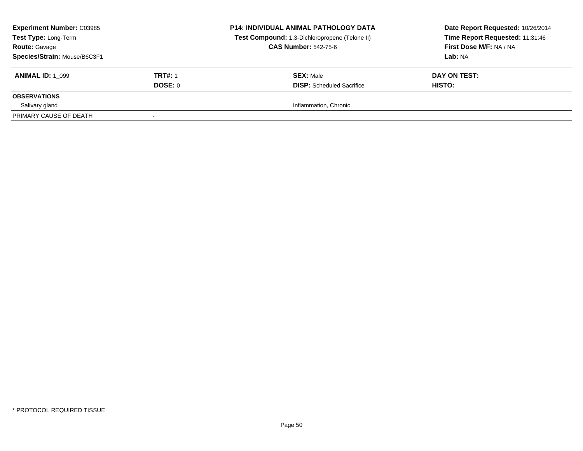| <b>Experiment Number: C03985</b><br><b>Test Type: Long-Term</b><br><b>Route: Gavage</b><br>Species/Strain: Mouse/B6C3F1 |                | <b>P14: INDIVIDUAL ANIMAL PATHOLOGY DATA</b><br>Test Compound: 1,3-Dichloropropene (Telone II)<br><b>CAS Number: 542-75-6</b> | Date Report Requested: 10/26/2014<br>Time Report Requested: 11:31:46<br>First Dose M/F: NA / NA<br>Lab: NA |
|-------------------------------------------------------------------------------------------------------------------------|----------------|-------------------------------------------------------------------------------------------------------------------------------|------------------------------------------------------------------------------------------------------------|
| <b>ANIMAL ID: 1 099</b>                                                                                                 | <b>TRT#: 1</b> | <b>SEX: Male</b>                                                                                                              | DAY ON TEST:                                                                                               |
|                                                                                                                         | DOSE: 0        | <b>DISP:</b> Scheduled Sacrifice                                                                                              | HISTO:                                                                                                     |
| <b>OBSERVATIONS</b>                                                                                                     |                |                                                                                                                               |                                                                                                            |
| Salivary gland                                                                                                          |                | Inflammation, Chronic                                                                                                         |                                                                                                            |
| PRIMARY CAUSE OF DEATH                                                                                                  |                |                                                                                                                               |                                                                                                            |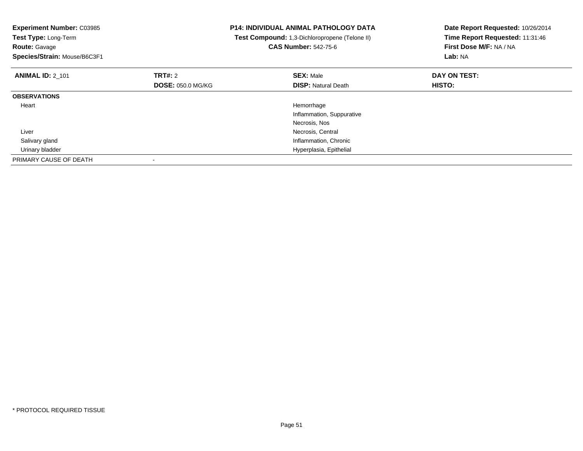| <b>Experiment Number: C03985</b><br>Test Type: Long-Term<br><b>Route: Gavage</b><br>Species/Strain: Mouse/B6C3F1 |                          | <b>P14: INDIVIDUAL ANIMAL PATHOLOGY DATA</b><br>Test Compound: 1,3-Dichloropropene (Telone II)<br><b>CAS Number: 542-75-6</b> | Date Report Requested: 10/26/2014<br>Time Report Requested: 11:31:46<br>First Dose M/F: NA / NA<br>Lab: NA |
|------------------------------------------------------------------------------------------------------------------|--------------------------|-------------------------------------------------------------------------------------------------------------------------------|------------------------------------------------------------------------------------------------------------|
| <b>ANIMAL ID: 2 101</b>                                                                                          | TRT#: 2                  | <b>SEX: Male</b>                                                                                                              | DAY ON TEST:                                                                                               |
|                                                                                                                  | <b>DOSE: 050.0 MG/KG</b> | <b>DISP:</b> Natural Death                                                                                                    | HISTO:                                                                                                     |
| <b>OBSERVATIONS</b>                                                                                              |                          |                                                                                                                               |                                                                                                            |
| Heart                                                                                                            |                          | Hemorrhage                                                                                                                    |                                                                                                            |
|                                                                                                                  |                          | Inflammation, Suppurative                                                                                                     |                                                                                                            |
|                                                                                                                  |                          | Necrosis, Nos                                                                                                                 |                                                                                                            |
| Liver                                                                                                            |                          | Necrosis, Central                                                                                                             |                                                                                                            |
| Salivary gland                                                                                                   |                          | Inflammation, Chronic                                                                                                         |                                                                                                            |
| Urinary bladder                                                                                                  |                          | Hyperplasia, Epithelial                                                                                                       |                                                                                                            |
| PRIMARY CAUSE OF DEATH                                                                                           |                          |                                                                                                                               |                                                                                                            |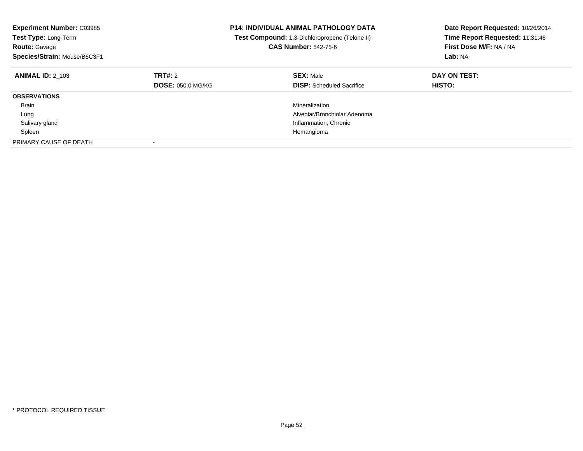| <b>Experiment Number: C03985</b><br><b>Test Type: Long-Term</b><br><b>Route: Gavage</b><br>Species/Strain: Mouse/B6C3F1 |                                     | <b>P14: INDIVIDUAL ANIMAL PATHOLOGY DATA</b><br><b>Test Compound:</b> 1,3-Dichloropropene (Telone II)<br><b>CAS Number: 542-75-6</b> | Date Report Requested: 10/26/2014<br>Time Report Requested: 11:31:46<br>First Dose M/F: NA / NA<br>Lab: NA |
|-------------------------------------------------------------------------------------------------------------------------|-------------------------------------|--------------------------------------------------------------------------------------------------------------------------------------|------------------------------------------------------------------------------------------------------------|
| <b>ANIMAL ID: 2 103</b>                                                                                                 | TRT#: 2<br><b>DOSE: 050.0 MG/KG</b> | <b>SEX: Male</b><br><b>DISP:</b> Scheduled Sacrifice                                                                                 | DAY ON TEST:<br><b>HISTO:</b>                                                                              |
| <b>OBSERVATIONS</b>                                                                                                     |                                     |                                                                                                                                      |                                                                                                            |
| <b>Brain</b>                                                                                                            |                                     | Mineralization                                                                                                                       |                                                                                                            |
| Lung                                                                                                                    |                                     | Alveolar/Bronchiolar Adenoma                                                                                                         |                                                                                                            |
| Salivary gland                                                                                                          |                                     | Inflammation, Chronic                                                                                                                |                                                                                                            |
| Spleen                                                                                                                  |                                     | Hemangioma                                                                                                                           |                                                                                                            |
| PRIMARY CAUSE OF DEATH                                                                                                  | $\overline{\phantom{a}}$            |                                                                                                                                      |                                                                                                            |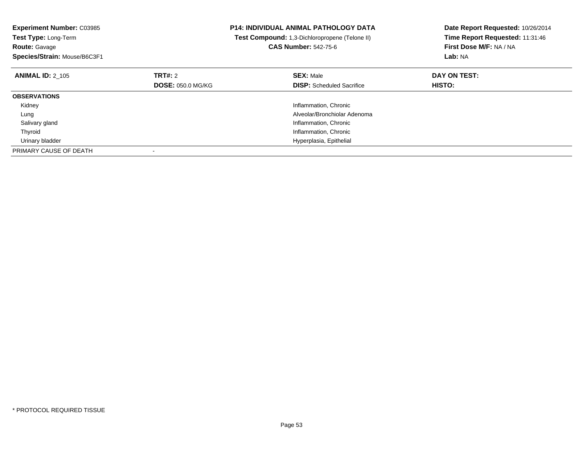| <b>Experiment Number: C03985</b><br><b>Test Type: Long-Term</b><br><b>Route: Gavage</b><br>Species/Strain: Mouse/B6C3F1 |                                     | <b>P14: INDIVIDUAL ANIMAL PATHOLOGY DATA</b><br>Test Compound: 1,3-Dichloropropene (Telone II)<br><b>CAS Number: 542-75-6</b> | Date Report Requested: 10/26/2014<br>Time Report Requested: 11:31:46<br>First Dose M/F: NA / NA<br>Lab: NA |
|-------------------------------------------------------------------------------------------------------------------------|-------------------------------------|-------------------------------------------------------------------------------------------------------------------------------|------------------------------------------------------------------------------------------------------------|
| <b>ANIMAL ID: 2 105</b>                                                                                                 | TRT#: 2<br><b>DOSE: 050.0 MG/KG</b> | <b>SEX: Male</b><br><b>DISP:</b> Scheduled Sacrifice                                                                          | DAY ON TEST:<br><b>HISTO:</b>                                                                              |
| <b>OBSERVATIONS</b>                                                                                                     |                                     |                                                                                                                               |                                                                                                            |
| Kidney                                                                                                                  |                                     | Inflammation, Chronic                                                                                                         |                                                                                                            |
| Lung                                                                                                                    |                                     | Alveolar/Bronchiolar Adenoma                                                                                                  |                                                                                                            |
| Salivary gland                                                                                                          |                                     | Inflammation, Chronic                                                                                                         |                                                                                                            |
| Thyroid                                                                                                                 |                                     | Inflammation, Chronic                                                                                                         |                                                                                                            |
| Urinary bladder                                                                                                         |                                     | Hyperplasia, Epithelial                                                                                                       |                                                                                                            |
| PRIMARY CAUSE OF DEATH                                                                                                  |                                     |                                                                                                                               |                                                                                                            |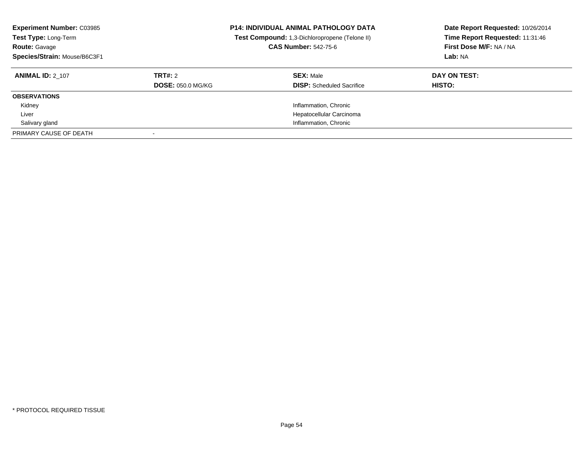| <b>Experiment Number: C03985</b><br>Test Type: Long-Term<br><b>Route: Gavage</b><br>Species/Strain: Mouse/B6C3F1 |                                     | <b>P14: INDIVIDUAL ANIMAL PATHOLOGY DATA</b><br>Test Compound: 1,3-Dichloropropene (Telone II)<br><b>CAS Number: 542-75-6</b> | Date Report Requested: 10/26/2014<br>Time Report Requested: 11:31:46<br>First Dose M/F: NA / NA<br>Lab: NA |
|------------------------------------------------------------------------------------------------------------------|-------------------------------------|-------------------------------------------------------------------------------------------------------------------------------|------------------------------------------------------------------------------------------------------------|
| <b>ANIMAL ID: 2 107</b>                                                                                          | TRT#: 2<br><b>DOSE: 050.0 MG/KG</b> | <b>SEX: Male</b><br><b>DISP:</b> Scheduled Sacrifice                                                                          | DAY ON TEST:<br><b>HISTO:</b>                                                                              |
| <b>OBSERVATIONS</b>                                                                                              |                                     |                                                                                                                               |                                                                                                            |
| Kidney                                                                                                           |                                     | Inflammation, Chronic                                                                                                         |                                                                                                            |
| Liver                                                                                                            |                                     | Hepatocellular Carcinoma                                                                                                      |                                                                                                            |
| Salivary gland                                                                                                   |                                     | Inflammation, Chronic                                                                                                         |                                                                                                            |
| PRIMARY CAUSE OF DEATH                                                                                           |                                     |                                                                                                                               |                                                                                                            |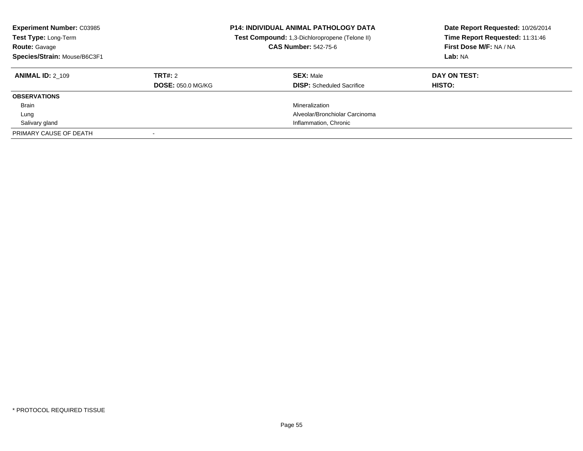| <b>Experiment Number: C03985</b><br>Test Type: Long-Term<br><b>Route: Gavage</b><br>Species/Strain: Mouse/B6C3F1 |                                     | <b>P14: INDIVIDUAL ANIMAL PATHOLOGY DATA</b><br>Test Compound: 1,3-Dichloropropene (Telone II)<br><b>CAS Number: 542-75-6</b> | Date Report Requested: 10/26/2014<br>Time Report Requested: 11:31:46<br>First Dose M/F: NA / NA<br>Lab: NA |
|------------------------------------------------------------------------------------------------------------------|-------------------------------------|-------------------------------------------------------------------------------------------------------------------------------|------------------------------------------------------------------------------------------------------------|
| <b>ANIMAL ID: 2 109</b>                                                                                          | TRT#: 2<br><b>DOSE: 050.0 MG/KG</b> | <b>SEX: Male</b><br><b>DISP:</b> Scheduled Sacrifice                                                                          | DAY ON TEST:<br>HISTO:                                                                                     |
| <b>OBSERVATIONS</b>                                                                                              |                                     |                                                                                                                               |                                                                                                            |
| <b>Brain</b>                                                                                                     |                                     | Mineralization                                                                                                                |                                                                                                            |
| Lung                                                                                                             |                                     | Alveolar/Bronchiolar Carcinoma                                                                                                |                                                                                                            |
| Salivary gland                                                                                                   |                                     | Inflammation, Chronic                                                                                                         |                                                                                                            |
| PRIMARY CAUSE OF DEATH                                                                                           |                                     |                                                                                                                               |                                                                                                            |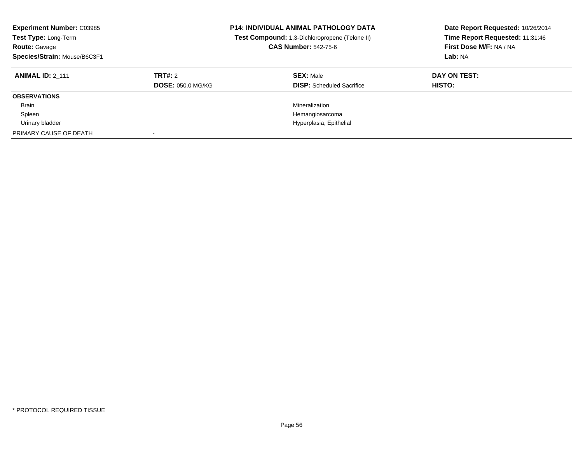| <b>Experiment Number: C03985</b><br>Test Type: Long-Term<br><b>Route: Gavage</b><br>Species/Strain: Mouse/B6C3F1 |                                     | <b>P14: INDIVIDUAL ANIMAL PATHOLOGY DATA</b><br>Test Compound: 1,3-Dichloropropene (Telone II)<br><b>CAS Number: 542-75-6</b> | Date Report Requested: 10/26/2014<br>Time Report Requested: 11:31:46<br>First Dose M/F: NA / NA<br>Lab: NA |
|------------------------------------------------------------------------------------------------------------------|-------------------------------------|-------------------------------------------------------------------------------------------------------------------------------|------------------------------------------------------------------------------------------------------------|
| <b>ANIMAL ID: 2 111</b>                                                                                          | TRT#: 2<br><b>DOSE: 050.0 MG/KG</b> | <b>SEX: Male</b><br><b>DISP:</b> Scheduled Sacrifice                                                                          | DAY ON TEST:<br>HISTO:                                                                                     |
| <b>OBSERVATIONS</b>                                                                                              |                                     |                                                                                                                               |                                                                                                            |
| <b>Brain</b>                                                                                                     |                                     | Mineralization                                                                                                                |                                                                                                            |
| Spleen                                                                                                           |                                     | Hemangiosarcoma                                                                                                               |                                                                                                            |
| Urinary bladder                                                                                                  |                                     | Hyperplasia, Epithelial                                                                                                       |                                                                                                            |
| PRIMARY CAUSE OF DEATH                                                                                           |                                     |                                                                                                                               |                                                                                                            |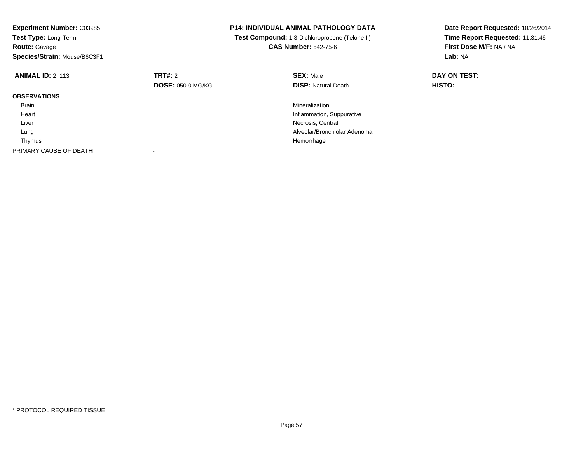| <b>Experiment Number: C03985</b><br><b>Test Type: Long-Term</b><br>Route: Gavage<br>Species/Strain: Mouse/B6C3F1 |                          | <b>P14: INDIVIDUAL ANIMAL PATHOLOGY DATA</b><br>Test Compound: 1,3-Dichloropropene (Telone II)<br><b>CAS Number: 542-75-6</b> | Date Report Requested: 10/26/2014<br>Time Report Requested: 11:31:46<br>First Dose M/F: NA / NA<br>Lab: NA |
|------------------------------------------------------------------------------------------------------------------|--------------------------|-------------------------------------------------------------------------------------------------------------------------------|------------------------------------------------------------------------------------------------------------|
| <b>ANIMAL ID: 2 113</b>                                                                                          | TRT#: 2                  | <b>SEX: Male</b>                                                                                                              | DAY ON TEST:                                                                                               |
|                                                                                                                  | <b>DOSE: 050.0 MG/KG</b> | <b>DISP: Natural Death</b>                                                                                                    | <b>HISTO:</b>                                                                                              |
| <b>OBSERVATIONS</b>                                                                                              |                          |                                                                                                                               |                                                                                                            |
| <b>Brain</b>                                                                                                     |                          | Mineralization                                                                                                                |                                                                                                            |
| Heart                                                                                                            |                          | Inflammation, Suppurative                                                                                                     |                                                                                                            |
| Liver                                                                                                            |                          | Necrosis, Central                                                                                                             |                                                                                                            |
| Lung                                                                                                             |                          | Alveolar/Bronchiolar Adenoma                                                                                                  |                                                                                                            |
| Thymus                                                                                                           |                          | Hemorrhage                                                                                                                    |                                                                                                            |
| PRIMARY CAUSE OF DEATH                                                                                           |                          |                                                                                                                               |                                                                                                            |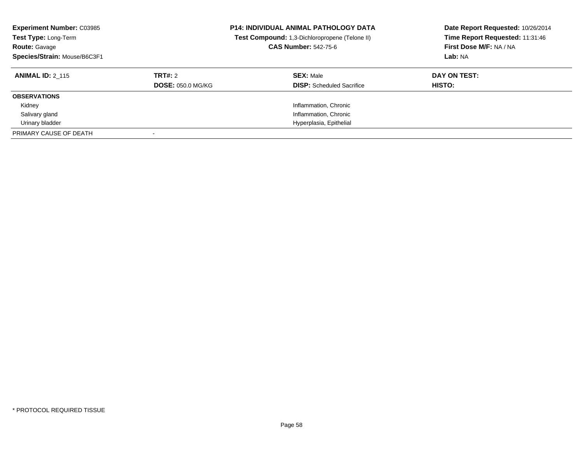| <b>Experiment Number: C03985</b><br>Test Type: Long-Term<br><b>Route: Gavage</b><br>Species/Strain: Mouse/B6C3F1 |                          | <b>P14: INDIVIDUAL ANIMAL PATHOLOGY DATA</b><br>Test Compound: 1,3-Dichloropropene (Telone II)<br><b>CAS Number: 542-75-6</b> | Date Report Requested: 10/26/2014<br>Time Report Requested: 11:31:46<br>First Dose M/F: NA / NA<br>Lab: NA |
|------------------------------------------------------------------------------------------------------------------|--------------------------|-------------------------------------------------------------------------------------------------------------------------------|------------------------------------------------------------------------------------------------------------|
| <b>ANIMAL ID: 2 115</b>                                                                                          | TRT#: 2                  | <b>SEX: Male</b>                                                                                                              | DAY ON TEST:                                                                                               |
|                                                                                                                  | <b>DOSE: 050.0 MG/KG</b> | <b>DISP:</b> Scheduled Sacrifice                                                                                              | <b>HISTO:</b>                                                                                              |
| <b>OBSERVATIONS</b>                                                                                              |                          |                                                                                                                               |                                                                                                            |
| Kidney                                                                                                           |                          | Inflammation, Chronic                                                                                                         |                                                                                                            |
| Salivary gland                                                                                                   |                          | Inflammation, Chronic                                                                                                         |                                                                                                            |
| Urinary bladder                                                                                                  |                          | Hyperplasia, Epithelial                                                                                                       |                                                                                                            |
| PRIMARY CAUSE OF DEATH                                                                                           |                          |                                                                                                                               |                                                                                                            |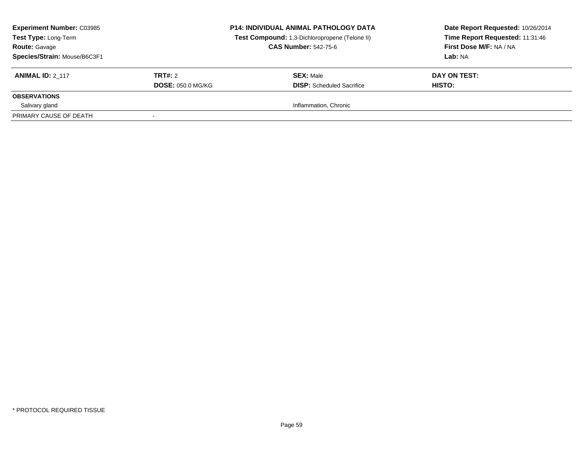| <b>Experiment Number: C03985</b><br>Test Type: Long-Term<br><b>Route: Gavage</b><br>Species/Strain: Mouse/B6C3F1 |                          | <b>P14: INDIVIDUAL ANIMAL PATHOLOGY DATA</b><br>Test Compound: 1,3-Dichloropropene (Telone II)<br><b>CAS Number: 542-75-6</b> | Date Report Requested: 10/26/2014<br>Time Report Requested: 11:31:46<br>First Dose M/F: NA / NA<br>Lab: NA |
|------------------------------------------------------------------------------------------------------------------|--------------------------|-------------------------------------------------------------------------------------------------------------------------------|------------------------------------------------------------------------------------------------------------|
| <b>ANIMAL ID: 2 117</b>                                                                                          | TRT#: 2                  | <b>SEX: Male</b>                                                                                                              | DAY ON TEST:                                                                                               |
|                                                                                                                  | <b>DOSE: 050.0 MG/KG</b> | <b>DISP:</b> Scheduled Sacrifice                                                                                              | HISTO:                                                                                                     |
| <b>OBSERVATIONS</b>                                                                                              |                          |                                                                                                                               |                                                                                                            |
| Salivary gland                                                                                                   |                          | Inflammation, Chronic                                                                                                         |                                                                                                            |
| PRIMARY CAUSE OF DEATH                                                                                           |                          |                                                                                                                               |                                                                                                            |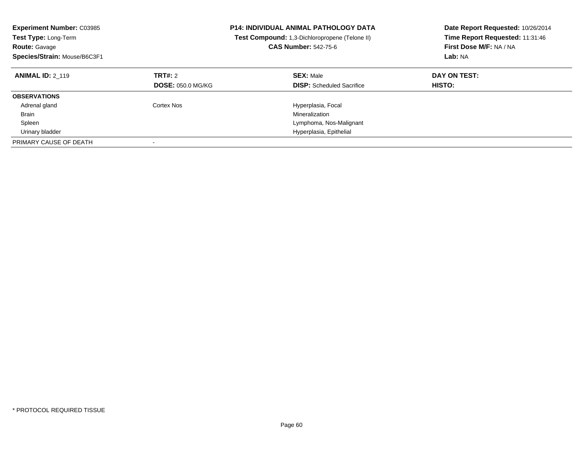| <b>Experiment Number: C03985</b><br>Test Type: Long-Term<br><b>Route: Gavage</b><br>Species/Strain: Mouse/B6C3F1 |                                     | <b>P14: INDIVIDUAL ANIMAL PATHOLOGY DATA</b><br>Test Compound: 1,3-Dichloropropene (Telone II)<br><b>CAS Number: 542-75-6</b> | Date Report Requested: 10/26/2014<br>Time Report Requested: 11:31:46<br>First Dose M/F: NA / NA<br>Lab: NA |
|------------------------------------------------------------------------------------------------------------------|-------------------------------------|-------------------------------------------------------------------------------------------------------------------------------|------------------------------------------------------------------------------------------------------------|
| <b>ANIMAL ID: 2 119</b>                                                                                          | TRT#: 2<br><b>DOSE: 050.0 MG/KG</b> | <b>SEX: Male</b><br><b>DISP:</b> Scheduled Sacrifice                                                                          | DAY ON TEST:<br><b>HISTO:</b>                                                                              |
| <b>OBSERVATIONS</b>                                                                                              |                                     |                                                                                                                               |                                                                                                            |
| Adrenal gland                                                                                                    | Cortex Nos                          | Hyperplasia, Focal                                                                                                            |                                                                                                            |
| <b>Brain</b>                                                                                                     |                                     | Mineralization                                                                                                                |                                                                                                            |
| Spleen                                                                                                           |                                     | Lymphoma, Nos-Malignant                                                                                                       |                                                                                                            |
| Urinary bladder                                                                                                  |                                     | Hyperplasia, Epithelial                                                                                                       |                                                                                                            |
| PRIMARY CAUSE OF DEATH                                                                                           |                                     |                                                                                                                               |                                                                                                            |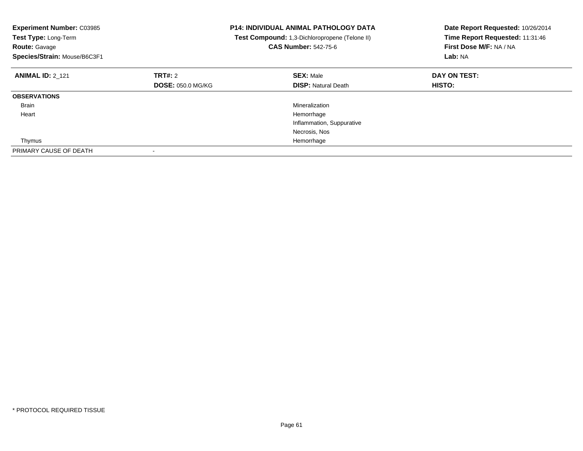| <b>Experiment Number: C03985</b><br>Test Type: Long-Term<br><b>Route: Gavage</b><br>Species/Strain: Mouse/B6C3F1 |                          | <b>P14: INDIVIDUAL ANIMAL PATHOLOGY DATA</b><br>Test Compound: 1,3-Dichloropropene (Telone II)<br><b>CAS Number: 542-75-6</b> | Date Report Requested: 10/26/2014<br>Time Report Requested: 11:31:46<br>First Dose M/F: NA / NA<br>Lab: NA |
|------------------------------------------------------------------------------------------------------------------|--------------------------|-------------------------------------------------------------------------------------------------------------------------------|------------------------------------------------------------------------------------------------------------|
| <b>ANIMAL ID: 2 121</b>                                                                                          | TRT#: 2                  | <b>SEX: Male</b>                                                                                                              | DAY ON TEST:                                                                                               |
|                                                                                                                  | <b>DOSE: 050.0 MG/KG</b> | <b>DISP: Natural Death</b>                                                                                                    | HISTO:                                                                                                     |
| <b>OBSERVATIONS</b>                                                                                              |                          |                                                                                                                               |                                                                                                            |
| <b>Brain</b>                                                                                                     |                          | Mineralization                                                                                                                |                                                                                                            |
| Heart                                                                                                            |                          | Hemorrhage                                                                                                                    |                                                                                                            |
|                                                                                                                  |                          | Inflammation, Suppurative                                                                                                     |                                                                                                            |
|                                                                                                                  |                          | Necrosis, Nos                                                                                                                 |                                                                                                            |
| Thymus                                                                                                           |                          | Hemorrhage                                                                                                                    |                                                                                                            |
| PRIMARY CAUSE OF DEATH                                                                                           |                          |                                                                                                                               |                                                                                                            |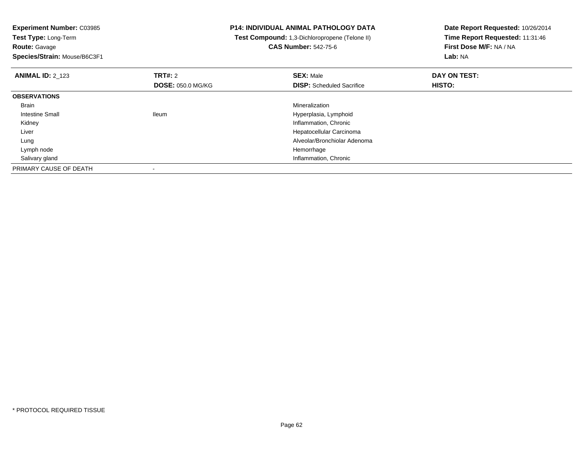**Experiment Number:** C03985**Test Type:** Long-Term**Route:** Gavage **Species/Strain:** Mouse/B6C3F1**P14: INDIVIDUAL ANIMAL PATHOLOGY DATA Test Compound:** 1,3-Dichloropropene (Telone II)**CAS Number:** 542-75-6**Date Report Requested:** 10/26/2014**Time Report Requested:** 11:31:46**First Dose M/F:** NA / NA**Lab:** NA**ANIMAL ID:** 2\_123**TRT#:** 2 **SEX:** Male **DAY ON TEST: DOSE:** 050.0 MG/KG**DISP:** Scheduled Sacrifice **HISTO: OBSERVATIONS** Brainn and the control of the control of the control of the control of the control of the control of the control of the control of the control of the control of the control of the control of the control of the control of the co Intestine Small Ileum Hyperplasia, Lymphoid Kidney Inflammation, Chronic Liver Hepatocellular Carcinoma Alveolar/Bronchiolar Adenoma Lung Lymph nodee and the state of the state of the state of the state of the state of the state of the state of the state of the state of the state of the state of the state of the state of the state of the state of the state of the stat Salivary gland Inflammation, Chronic PRIMARY CAUSE OF DEATH-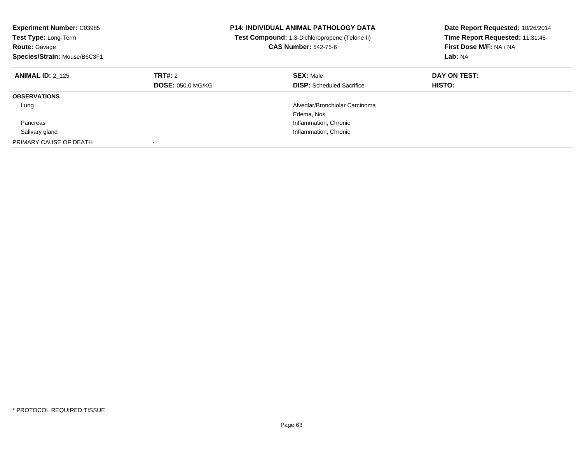| <b>Experiment Number: C03985</b><br><b>Test Type: Long-Term</b><br><b>Route: Gavage</b><br>Species/Strain: Mouse/B6C3F1 |                                     | <b>P14: INDIVIDUAL ANIMAL PATHOLOGY DATA</b><br><b>Test Compound:</b> 1,3-Dichloropropene (Telone II)<br><b>CAS Number: 542-75-6</b> | Date Report Requested: 10/26/2014<br>Time Report Requested: 11:31:46<br>First Dose M/F: NA / NA<br>Lab: NA |
|-------------------------------------------------------------------------------------------------------------------------|-------------------------------------|--------------------------------------------------------------------------------------------------------------------------------------|------------------------------------------------------------------------------------------------------------|
| <b>ANIMAL ID: 2 125</b>                                                                                                 | TRT#: 2<br><b>DOSE: 050.0 MG/KG</b> | <b>SEX: Male</b><br><b>DISP:</b> Scheduled Sacrifice                                                                                 | DAY ON TEST:<br><b>HISTO:</b>                                                                              |
| <b>OBSERVATIONS</b>                                                                                                     |                                     |                                                                                                                                      |                                                                                                            |
| Lung                                                                                                                    |                                     | Alveolar/Bronchiolar Carcinoma<br>Edema, Nos                                                                                         |                                                                                                            |
| Pancreas                                                                                                                |                                     | Inflammation, Chronic                                                                                                                |                                                                                                            |
| Salivary gland                                                                                                          |                                     | Inflammation, Chronic                                                                                                                |                                                                                                            |
| PRIMARY CAUSE OF DEATH                                                                                                  | $\overline{\phantom{a}}$            |                                                                                                                                      |                                                                                                            |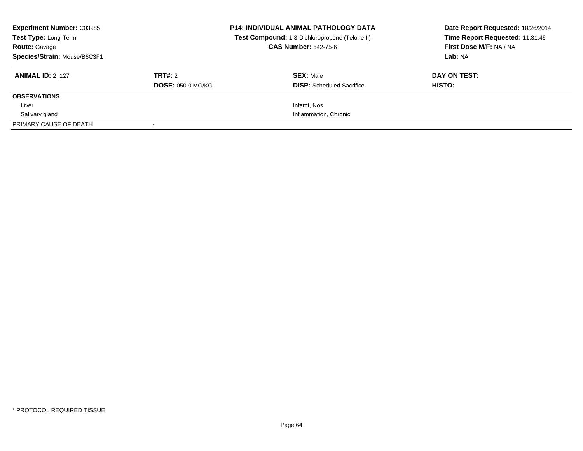| <b>Experiment Number: C03985</b><br>Test Type: Long-Term<br><b>Route: Gavage</b><br>Species/Strain: Mouse/B6C3F1 |                                     | <b>P14: INDIVIDUAL ANIMAL PATHOLOGY DATA</b><br>Test Compound: 1,3-Dichloropropene (Telone II)<br><b>CAS Number: 542-75-6</b> | Date Report Requested: 10/26/2014<br>Time Report Requested: 11:31:46<br>First Dose M/F: NA / NA<br>Lab: NA |
|------------------------------------------------------------------------------------------------------------------|-------------------------------------|-------------------------------------------------------------------------------------------------------------------------------|------------------------------------------------------------------------------------------------------------|
| <b>ANIMAL ID: 2 127</b>                                                                                          | TRT#: 2<br><b>DOSE: 050.0 MG/KG</b> | <b>SEX: Male</b><br><b>DISP:</b> Scheduled Sacrifice                                                                          | DAY ON TEST:<br>HISTO:                                                                                     |
| <b>OBSERVATIONS</b>                                                                                              |                                     |                                                                                                                               |                                                                                                            |
| Liver                                                                                                            |                                     | Infarct, Nos                                                                                                                  |                                                                                                            |
| Salivary gland                                                                                                   |                                     | Inflammation, Chronic                                                                                                         |                                                                                                            |
| PRIMARY CAUSE OF DEATH                                                                                           |                                     |                                                                                                                               |                                                                                                            |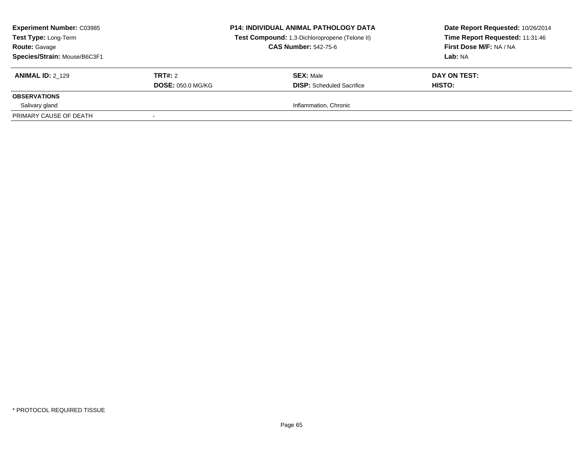| <b>Experiment Number: C03985</b><br>Test Type: Long-Term<br><b>Route: Gavage</b><br>Species/Strain: Mouse/B6C3F1 |                          | <b>P14: INDIVIDUAL ANIMAL PATHOLOGY DATA</b><br>Test Compound: 1,3-Dichloropropene (Telone II)<br><b>CAS Number: 542-75-6</b> | Date Report Requested: 10/26/2014<br>Time Report Requested: 11:31:46<br>First Dose M/F: NA / NA<br>Lab: NA |
|------------------------------------------------------------------------------------------------------------------|--------------------------|-------------------------------------------------------------------------------------------------------------------------------|------------------------------------------------------------------------------------------------------------|
| <b>ANIMAL ID: 2 129</b>                                                                                          | TRT#: 2                  | <b>SEX: Male</b>                                                                                                              | DAY ON TEST:                                                                                               |
|                                                                                                                  | <b>DOSE: 050.0 MG/KG</b> | <b>DISP:</b> Scheduled Sacrifice                                                                                              | HISTO:                                                                                                     |
| <b>OBSERVATIONS</b>                                                                                              |                          |                                                                                                                               |                                                                                                            |
| Salivary gland                                                                                                   |                          | Inflammation, Chronic                                                                                                         |                                                                                                            |
| PRIMARY CAUSE OF DEATH                                                                                           |                          |                                                                                                                               |                                                                                                            |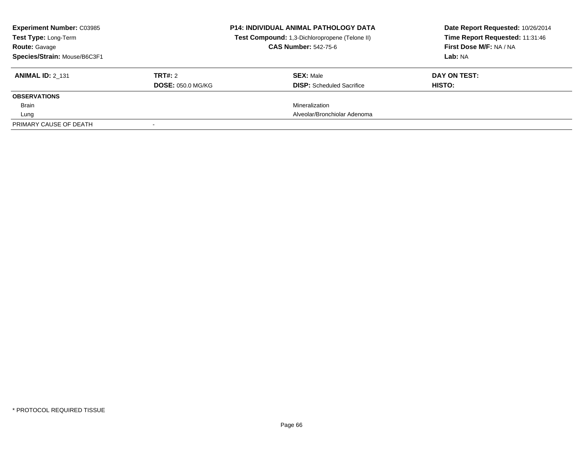| <b>Experiment Number: C03985</b><br><b>Test Type: Long-Term</b><br><b>Route: Gavage</b><br>Species/Strain: Mouse/B6C3F1 |                                     | <b>P14: INDIVIDUAL ANIMAL PATHOLOGY DATA</b><br>Test Compound: 1,3-Dichloropropene (Telone II)<br><b>CAS Number: 542-75-6</b> | Date Report Requested: 10/26/2014<br>Time Report Requested: 11:31:46<br>First Dose M/F: NA / NA<br>Lab: NA |
|-------------------------------------------------------------------------------------------------------------------------|-------------------------------------|-------------------------------------------------------------------------------------------------------------------------------|------------------------------------------------------------------------------------------------------------|
| <b>ANIMAL ID: 2 131</b>                                                                                                 | TRT#: 2<br><b>DOSE: 050.0 MG/KG</b> | <b>SEX: Male</b><br><b>DISP:</b> Scheduled Sacrifice                                                                          | DAY ON TEST:<br>HISTO:                                                                                     |
| <b>OBSERVATIONS</b>                                                                                                     |                                     |                                                                                                                               |                                                                                                            |
| <b>Brain</b>                                                                                                            |                                     | Mineralization                                                                                                                |                                                                                                            |
| Lung                                                                                                                    |                                     | Alveolar/Bronchiolar Adenoma                                                                                                  |                                                                                                            |
| PRIMARY CAUSE OF DEATH                                                                                                  |                                     |                                                                                                                               |                                                                                                            |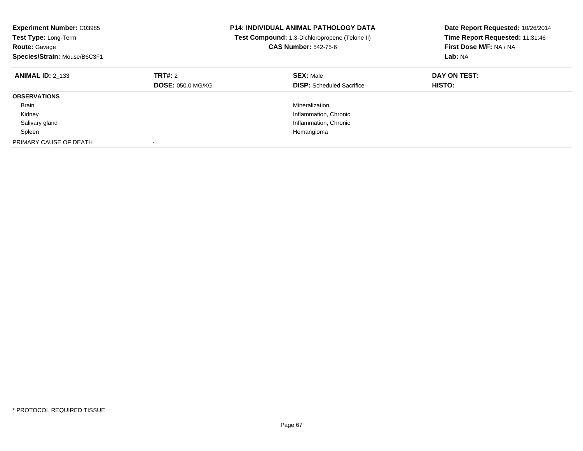| <b>Experiment Number: C03985</b><br><b>Test Type: Long-Term</b><br><b>Route: Gavage</b><br>Species/Strain: Mouse/B6C3F1 |                                     | <b>P14: INDIVIDUAL ANIMAL PATHOLOGY DATA</b><br>Test Compound: 1,3-Dichloropropene (Telone II)<br><b>CAS Number: 542-75-6</b> | Date Report Requested: 10/26/2014<br>Time Report Requested: 11:31:46<br>First Dose M/F: NA / NA<br>Lab: NA |
|-------------------------------------------------------------------------------------------------------------------------|-------------------------------------|-------------------------------------------------------------------------------------------------------------------------------|------------------------------------------------------------------------------------------------------------|
| <b>ANIMAL ID: 2 133</b>                                                                                                 | TRT#: 2<br><b>DOSE: 050.0 MG/KG</b> | <b>SEX: Male</b><br><b>DISP:</b> Scheduled Sacrifice                                                                          | DAY ON TEST:<br><b>HISTO:</b>                                                                              |
| <b>OBSERVATIONS</b>                                                                                                     |                                     |                                                                                                                               |                                                                                                            |
| <b>Brain</b>                                                                                                            |                                     | Mineralization                                                                                                                |                                                                                                            |
| Kidney                                                                                                                  |                                     | Inflammation, Chronic                                                                                                         |                                                                                                            |
| Salivary gland                                                                                                          |                                     | Inflammation, Chronic                                                                                                         |                                                                                                            |
| Spleen                                                                                                                  |                                     | Hemangioma                                                                                                                    |                                                                                                            |
| PRIMARY CAUSE OF DEATH                                                                                                  |                                     |                                                                                                                               |                                                                                                            |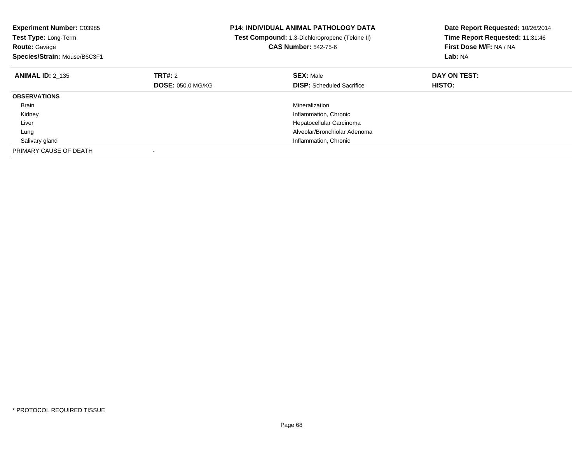| <b>Experiment Number: C03985</b><br><b>Test Type: Long-Term</b><br><b>Route: Gavage</b> |                          | P14: INDIVIDUAL ANIMAL PATHOLOGY DATA<br>Test Compound: 1,3-Dichloropropene (Telone II)<br><b>CAS Number: 542-75-6</b> | Date Report Requested: 10/26/2014<br>Time Report Requested: 11:31:46<br>First Dose M/F: NA / NA |
|-----------------------------------------------------------------------------------------|--------------------------|------------------------------------------------------------------------------------------------------------------------|-------------------------------------------------------------------------------------------------|
| Species/Strain: Mouse/B6C3F1                                                            |                          |                                                                                                                        | Lab: NA                                                                                         |
| <b>ANIMAL ID: 2 135</b>                                                                 | <b>TRT#: 2</b>           | <b>SEX: Male</b>                                                                                                       | DAY ON TEST:                                                                                    |
|                                                                                         | <b>DOSE: 050.0 MG/KG</b> | <b>DISP:</b> Scheduled Sacrifice                                                                                       | HISTO:                                                                                          |
| <b>OBSERVATIONS</b>                                                                     |                          |                                                                                                                        |                                                                                                 |
| <b>Brain</b>                                                                            |                          | Mineralization                                                                                                         |                                                                                                 |
| Kidney                                                                                  |                          | Inflammation, Chronic                                                                                                  |                                                                                                 |
| Liver                                                                                   |                          | Hepatocellular Carcinoma                                                                                               |                                                                                                 |
| Lung                                                                                    |                          | Alveolar/Bronchiolar Adenoma                                                                                           |                                                                                                 |
| Salivary gland                                                                          |                          | Inflammation, Chronic                                                                                                  |                                                                                                 |
| PRIMARY CAUSE OF DEATH                                                                  |                          |                                                                                                                        |                                                                                                 |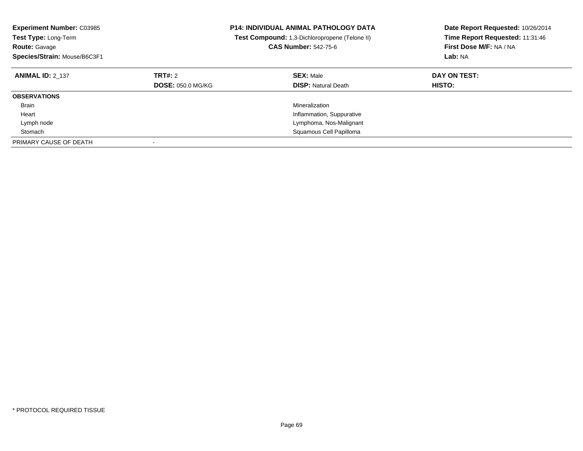| <b>Experiment Number: C03985</b><br>Test Type: Long-Term<br><b>Route: Gavage</b><br>Species/Strain: Mouse/B6C3F1 |                                     | <b>P14: INDIVIDUAL ANIMAL PATHOLOGY DATA</b><br>Test Compound: 1,3-Dichloropropene (Telone II)<br><b>CAS Number: 542-75-6</b> | Date Report Requested: 10/26/2014<br>Time Report Requested: 11:31:46<br>First Dose M/F: NA / NA<br>Lab: NA |
|------------------------------------------------------------------------------------------------------------------|-------------------------------------|-------------------------------------------------------------------------------------------------------------------------------|------------------------------------------------------------------------------------------------------------|
| <b>ANIMAL ID: 2 137</b>                                                                                          | TRT#: 2<br><b>DOSE: 050.0 MG/KG</b> | <b>SEX: Male</b><br><b>DISP:</b> Natural Death                                                                                | DAY ON TEST:<br><b>HISTO:</b>                                                                              |
| <b>OBSERVATIONS</b>                                                                                              |                                     |                                                                                                                               |                                                                                                            |
| Brain                                                                                                            |                                     | Mineralization                                                                                                                |                                                                                                            |
| Heart                                                                                                            |                                     | Inflammation, Suppurative                                                                                                     |                                                                                                            |
| Lymph node                                                                                                       |                                     | Lymphoma, Nos-Malignant                                                                                                       |                                                                                                            |
| Stomach                                                                                                          |                                     | Squamous Cell Papilloma                                                                                                       |                                                                                                            |
| PRIMARY CAUSE OF DEATH                                                                                           |                                     |                                                                                                                               |                                                                                                            |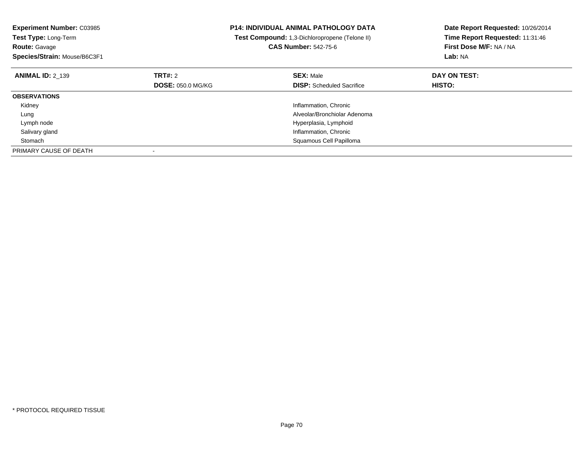| <b>Experiment Number: C03985</b><br><b>Test Type: Long-Term</b><br><b>Route: Gavage</b><br>Species/Strain: Mouse/B6C3F1 |                          | <b>P14: INDIVIDUAL ANIMAL PATHOLOGY DATA</b><br>Test Compound: 1,3-Dichloropropene (Telone II)<br><b>CAS Number: 542-75-6</b> | Date Report Requested: 10/26/2014<br>Time Report Requested: 11:31:46<br>First Dose M/F: NA / NA<br>Lab: NA |
|-------------------------------------------------------------------------------------------------------------------------|--------------------------|-------------------------------------------------------------------------------------------------------------------------------|------------------------------------------------------------------------------------------------------------|
| <b>ANIMAL ID: 2 139</b>                                                                                                 | <b>TRT#:</b> 2           | <b>SEX: Male</b>                                                                                                              | DAY ON TEST:                                                                                               |
|                                                                                                                         | <b>DOSE: 050.0 MG/KG</b> | <b>DISP:</b> Scheduled Sacrifice                                                                                              | <b>HISTO:</b>                                                                                              |
| <b>OBSERVATIONS</b>                                                                                                     |                          |                                                                                                                               |                                                                                                            |
| Kidney                                                                                                                  |                          | Inflammation, Chronic                                                                                                         |                                                                                                            |
| Lung                                                                                                                    |                          | Alveolar/Bronchiolar Adenoma                                                                                                  |                                                                                                            |
| Lymph node                                                                                                              |                          | Hyperplasia, Lymphoid                                                                                                         |                                                                                                            |
| Salivary gland                                                                                                          |                          | Inflammation, Chronic                                                                                                         |                                                                                                            |
| Stomach                                                                                                                 |                          | Squamous Cell Papilloma                                                                                                       |                                                                                                            |
| PRIMARY CAUSE OF DEATH                                                                                                  |                          |                                                                                                                               |                                                                                                            |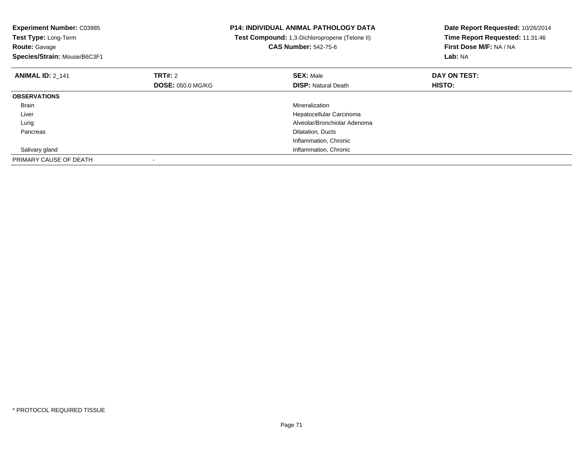| <b>Experiment Number: C03985</b><br>Test Type: Long-Term<br><b>Route: Gavage</b> |                                            | <b>P14: INDIVIDUAL ANIMAL PATHOLOGY DATA</b><br>Test Compound: 1,3-Dichloropropene (Telone II)<br><b>CAS Number: 542-75-6</b> | Date Report Requested: 10/26/2014<br>Time Report Requested: 11:31:46<br>First Dose M/F: NA / NA |
|----------------------------------------------------------------------------------|--------------------------------------------|-------------------------------------------------------------------------------------------------------------------------------|-------------------------------------------------------------------------------------------------|
| Species/Strain: Mouse/B6C3F1                                                     |                                            |                                                                                                                               | Lab: NA                                                                                         |
| <b>ANIMAL ID: 2 141</b>                                                          | <b>TRT#: 2</b><br><b>DOSE: 050.0 MG/KG</b> | <b>SEX: Male</b><br><b>DISP: Natural Death</b>                                                                                | DAY ON TEST:<br><b>HISTO:</b>                                                                   |
| <b>OBSERVATIONS</b>                                                              |                                            |                                                                                                                               |                                                                                                 |
| Brain                                                                            |                                            | Mineralization                                                                                                                |                                                                                                 |
| Liver                                                                            |                                            | Hepatocellular Carcinoma                                                                                                      |                                                                                                 |
| Lung                                                                             |                                            | Alveolar/Bronchiolar Adenoma                                                                                                  |                                                                                                 |
| Pancreas                                                                         |                                            | Dilatation, Ducts                                                                                                             |                                                                                                 |
|                                                                                  |                                            | Inflammation, Chronic                                                                                                         |                                                                                                 |
| Salivary gland                                                                   |                                            | Inflammation, Chronic                                                                                                         |                                                                                                 |
| PRIMARY CAUSE OF DEATH                                                           |                                            |                                                                                                                               |                                                                                                 |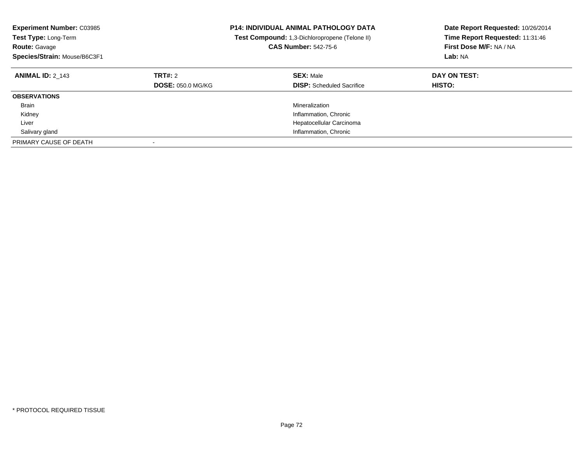| <b>Experiment Number: C03985</b><br>Test Type: Long-Term<br><b>Route: Gavage</b><br>Species/Strain: Mouse/B6C3F1 |                                     | <b>P14: INDIVIDUAL ANIMAL PATHOLOGY DATA</b><br>Test Compound: 1,3-Dichloropropene (Telone II)<br><b>CAS Number: 542-75-6</b> | Date Report Requested: 10/26/2014<br>Time Report Requested: 11:31:46<br>First Dose M/F: NA / NA<br>Lab: NA |
|------------------------------------------------------------------------------------------------------------------|-------------------------------------|-------------------------------------------------------------------------------------------------------------------------------|------------------------------------------------------------------------------------------------------------|
| <b>ANIMAL ID: 2 143</b>                                                                                          | TRT#: 2<br><b>DOSE: 050.0 MG/KG</b> | <b>SEX: Male</b><br><b>DISP:</b> Scheduled Sacrifice                                                                          | DAY ON TEST:<br><b>HISTO:</b>                                                                              |
| <b>OBSERVATIONS</b>                                                                                              |                                     |                                                                                                                               |                                                                                                            |
| Brain                                                                                                            |                                     | Mineralization                                                                                                                |                                                                                                            |
| Kidney                                                                                                           |                                     | Inflammation, Chronic                                                                                                         |                                                                                                            |
| Liver                                                                                                            |                                     | Hepatocellular Carcinoma                                                                                                      |                                                                                                            |
| Salivary gland                                                                                                   |                                     | Inflammation, Chronic                                                                                                         |                                                                                                            |
| PRIMARY CAUSE OF DEATH                                                                                           |                                     |                                                                                                                               |                                                                                                            |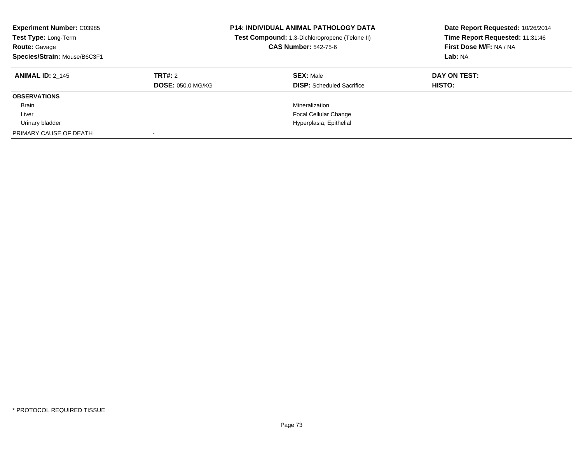| <b>Experiment Number: C03985</b><br>Test Type: Long-Term<br><b>Route: Gavage</b><br>Species/Strain: Mouse/B6C3F1 |                                     | <b>P14: INDIVIDUAL ANIMAL PATHOLOGY DATA</b><br>Test Compound: 1,3-Dichloropropene (Telone II)<br><b>CAS Number: 542-75-6</b> | Date Report Requested: 10/26/2014<br>Time Report Requested: 11:31:46<br>First Dose M/F: NA / NA<br>Lab: NA |
|------------------------------------------------------------------------------------------------------------------|-------------------------------------|-------------------------------------------------------------------------------------------------------------------------------|------------------------------------------------------------------------------------------------------------|
| <b>ANIMAL ID: 2 145</b>                                                                                          | TRT#: 2<br><b>DOSE: 050.0 MG/KG</b> | <b>SEX: Male</b><br><b>DISP:</b> Scheduled Sacrifice                                                                          | DAY ON TEST:<br>HISTO:                                                                                     |
| <b>OBSERVATIONS</b>                                                                                              |                                     |                                                                                                                               |                                                                                                            |
| <b>Brain</b>                                                                                                     |                                     | Mineralization                                                                                                                |                                                                                                            |
| Liver                                                                                                            |                                     | <b>Focal Cellular Change</b>                                                                                                  |                                                                                                            |
| Urinary bladder                                                                                                  |                                     | Hyperplasia, Epithelial                                                                                                       |                                                                                                            |
| PRIMARY CAUSE OF DEATH                                                                                           |                                     |                                                                                                                               |                                                                                                            |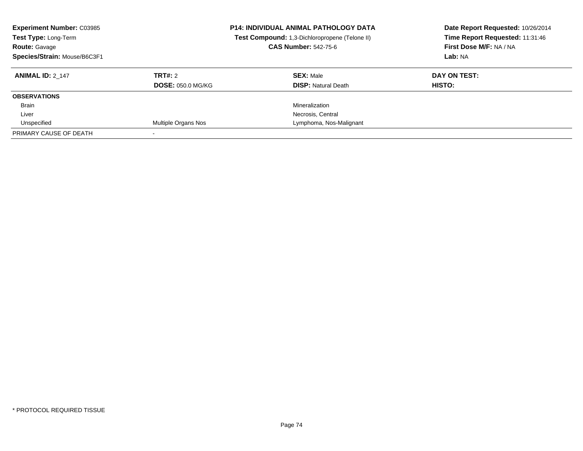| <b>Experiment Number: C03985</b><br>Test Type: Long-Term<br><b>Route: Gavage</b><br>Species/Strain: Mouse/B6C3F1 |                          | <b>P14: INDIVIDUAL ANIMAL PATHOLOGY DATA</b><br>Test Compound: 1,3-Dichloropropene (Telone II)<br><b>CAS Number: 542-75-6</b> | Date Report Requested: 10/26/2014<br>Time Report Requested: 11:31:46<br>First Dose M/F: NA / NA<br>Lab: NA |
|------------------------------------------------------------------------------------------------------------------|--------------------------|-------------------------------------------------------------------------------------------------------------------------------|------------------------------------------------------------------------------------------------------------|
| <b>ANIMAL ID: 2 147</b>                                                                                          | TRT#: 2                  | <b>SEX: Male</b>                                                                                                              | DAY ON TEST:                                                                                               |
|                                                                                                                  | <b>DOSE: 050.0 MG/KG</b> | <b>DISP:</b> Natural Death                                                                                                    | HISTO:                                                                                                     |
| <b>OBSERVATIONS</b>                                                                                              |                          |                                                                                                                               |                                                                                                            |
| <b>Brain</b>                                                                                                     |                          | Mineralization                                                                                                                |                                                                                                            |
| Liver                                                                                                            |                          | Necrosis, Central                                                                                                             |                                                                                                            |
| Unspecified                                                                                                      | Multiple Organs Nos      | Lymphoma, Nos-Malignant                                                                                                       |                                                                                                            |
| PRIMARY CAUSE OF DEATH                                                                                           |                          |                                                                                                                               |                                                                                                            |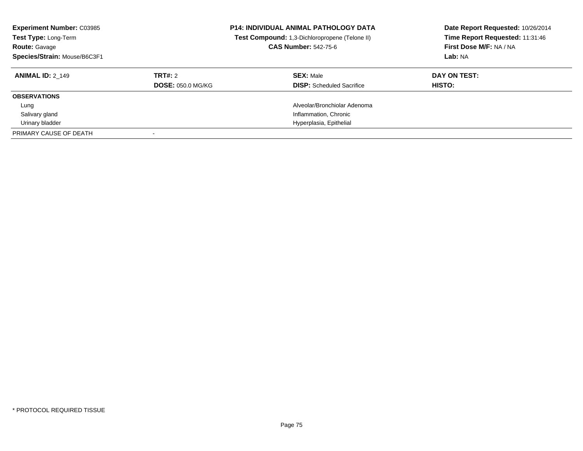| <b>Experiment Number: C03985</b><br>Test Type: Long-Term<br><b>Route: Gavage</b><br>Species/Strain: Mouse/B6C3F1 |                          | <b>P14: INDIVIDUAL ANIMAL PATHOLOGY DATA</b><br>Test Compound: 1,3-Dichloropropene (Telone II)<br><b>CAS Number: 542-75-6</b> | Date Report Requested: 10/26/2014<br>Time Report Requested: 11:31:46<br>First Dose M/F: NA / NA<br>Lab: NA |
|------------------------------------------------------------------------------------------------------------------|--------------------------|-------------------------------------------------------------------------------------------------------------------------------|------------------------------------------------------------------------------------------------------------|
| <b>ANIMAL ID: 2 149</b>                                                                                          | TRT#: 2                  | <b>SEX: Male</b>                                                                                                              | DAY ON TEST:                                                                                               |
|                                                                                                                  | <b>DOSE: 050.0 MG/KG</b> | <b>DISP:</b> Scheduled Sacrifice                                                                                              | <b>HISTO:</b>                                                                                              |
| <b>OBSERVATIONS</b>                                                                                              |                          |                                                                                                                               |                                                                                                            |
| Lung                                                                                                             |                          | Alveolar/Bronchiolar Adenoma                                                                                                  |                                                                                                            |
| Salivary gland                                                                                                   |                          | Inflammation, Chronic                                                                                                         |                                                                                                            |
| Urinary bladder                                                                                                  |                          | Hyperplasia, Epithelial                                                                                                       |                                                                                                            |
| PRIMARY CAUSE OF DEATH                                                                                           |                          |                                                                                                                               |                                                                                                            |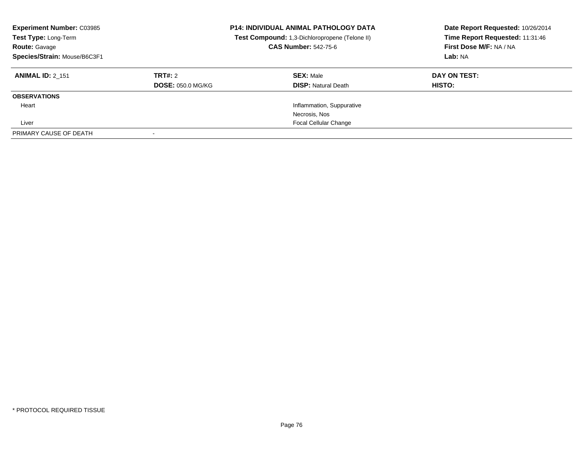| <b>Experiment Number: C03985</b><br>Test Type: Long-Term<br><b>Route: Gavage</b><br>Species/Strain: Mouse/B6C3F1 |                          | <b>P14: INDIVIDUAL ANIMAL PATHOLOGY DATA</b><br>Test Compound: 1,3-Dichloropropene (Telone II)<br><b>CAS Number: 542-75-6</b> | Date Report Requested: 10/26/2014<br>Time Report Requested: 11:31:46<br>First Dose M/F: NA / NA<br>Lab: NA |
|------------------------------------------------------------------------------------------------------------------|--------------------------|-------------------------------------------------------------------------------------------------------------------------------|------------------------------------------------------------------------------------------------------------|
| <b>ANIMAL ID: 2 151</b>                                                                                          | TRT#: 2                  | <b>SEX: Male</b>                                                                                                              | DAY ON TEST:                                                                                               |
|                                                                                                                  | <b>DOSE: 050.0 MG/KG</b> | <b>DISP:</b> Natural Death                                                                                                    | HISTO:                                                                                                     |
| <b>OBSERVATIONS</b>                                                                                              |                          |                                                                                                                               |                                                                                                            |
| Heart                                                                                                            |                          | Inflammation, Suppurative                                                                                                     |                                                                                                            |
|                                                                                                                  |                          | Necrosis, Nos                                                                                                                 |                                                                                                            |
| Liver                                                                                                            |                          | <b>Focal Cellular Change</b>                                                                                                  |                                                                                                            |
| PRIMARY CAUSE OF DEATH                                                                                           |                          |                                                                                                                               |                                                                                                            |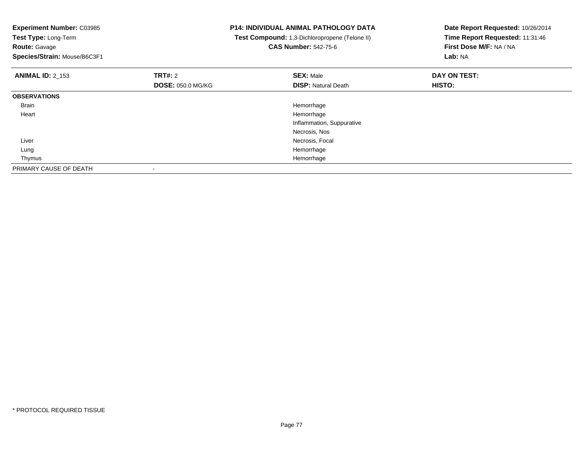| <b>Experiment Number: C03985</b> | <b>P14: INDIVIDUAL ANIMAL PATHOLOGY DATA</b><br><b>Test Compound:</b> 1,3-Dichloropropene (Telone II) |                             | Date Report Requested: 10/26/2014<br>Time Report Requested: 11:31:46 |
|----------------------------------|-------------------------------------------------------------------------------------------------------|-----------------------------|----------------------------------------------------------------------|
| Test Type: Long-Term             |                                                                                                       |                             |                                                                      |
| <b>Route: Gavage</b>             |                                                                                                       | <b>CAS Number: 542-75-6</b> | First Dose M/F: NA / NA                                              |
| Species/Strain: Mouse/B6C3F1     |                                                                                                       |                             | Lab: NA                                                              |
| <b>ANIMAL ID: 2 153</b>          | <b>TRT#: 2</b>                                                                                        | <b>SEX: Male</b>            | DAY ON TEST:                                                         |
|                                  | <b>DOSE: 050.0 MG/KG</b>                                                                              | <b>DISP: Natural Death</b>  | HISTO:                                                               |
| <b>OBSERVATIONS</b>              |                                                                                                       |                             |                                                                      |
| Brain                            |                                                                                                       | Hemorrhage                  |                                                                      |
| Heart                            |                                                                                                       | Hemorrhage                  |                                                                      |
|                                  |                                                                                                       | Inflammation, Suppurative   |                                                                      |
|                                  |                                                                                                       | Necrosis, Nos               |                                                                      |
| Liver                            |                                                                                                       | Necrosis, Focal             |                                                                      |
| Lung                             |                                                                                                       | Hemorrhage                  |                                                                      |
| Thymus                           |                                                                                                       | Hemorrhage                  |                                                                      |
| PRIMARY CAUSE OF DEATH           |                                                                                                       |                             |                                                                      |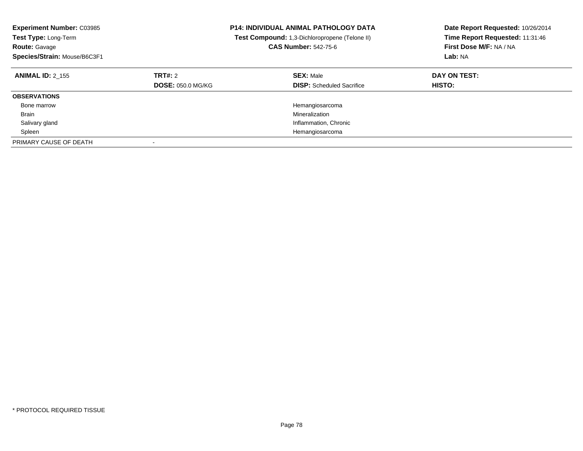| <b>Experiment Number: C03985</b><br>Test Type: Long-Term<br><b>Route: Gavage</b><br>Species/Strain: Mouse/B6C3F1 |                                     | <b>P14: INDIVIDUAL ANIMAL PATHOLOGY DATA</b><br>Test Compound: 1,3-Dichloropropene (Telone II)<br><b>CAS Number: 542-75-6</b> | Date Report Requested: 10/26/2014<br>Time Report Requested: 11:31:46<br>First Dose M/F: NA / NA<br>Lab: NA |
|------------------------------------------------------------------------------------------------------------------|-------------------------------------|-------------------------------------------------------------------------------------------------------------------------------|------------------------------------------------------------------------------------------------------------|
| <b>ANIMAL ID: 2 155</b>                                                                                          | TRT#: 2<br><b>DOSE: 050.0 MG/KG</b> | <b>SEX: Male</b><br><b>DISP:</b> Scheduled Sacrifice                                                                          | DAY ON TEST:<br>HISTO:                                                                                     |
| <b>OBSERVATIONS</b>                                                                                              |                                     |                                                                                                                               |                                                                                                            |
| Bone marrow                                                                                                      |                                     | Hemangiosarcoma                                                                                                               |                                                                                                            |
| <b>Brain</b>                                                                                                     |                                     | Mineralization                                                                                                                |                                                                                                            |
| Salivary gland                                                                                                   |                                     | Inflammation, Chronic                                                                                                         |                                                                                                            |
| Spleen                                                                                                           |                                     | Hemangiosarcoma                                                                                                               |                                                                                                            |
| PRIMARY CAUSE OF DEATH                                                                                           |                                     |                                                                                                                               |                                                                                                            |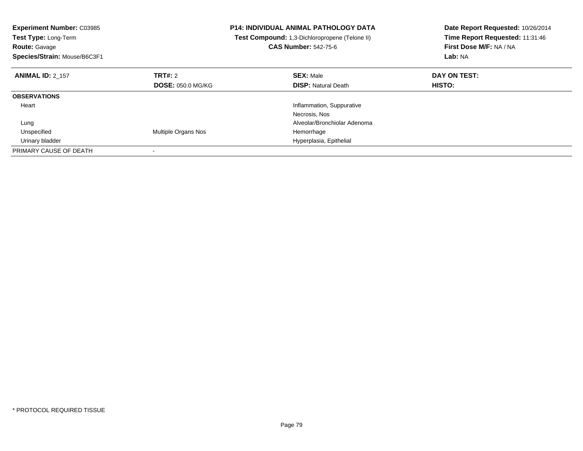| Experiment Number: C03985<br>Test Type: Long-Term<br><b>Route: Gavage</b><br>Species/Strain: Mouse/B6C3F1 |                          | <b>P14: INDIVIDUAL ANIMAL PATHOLOGY DATA</b><br>Test Compound: 1,3-Dichloropropene (Telone II)<br><b>CAS Number: 542-75-6</b> | Date Report Requested: 10/26/2014<br>Time Report Requested: 11:31:46<br>First Dose M/F: NA / NA<br>Lab: NA |
|-----------------------------------------------------------------------------------------------------------|--------------------------|-------------------------------------------------------------------------------------------------------------------------------|------------------------------------------------------------------------------------------------------------|
| <b>ANIMAL ID: 2 157</b>                                                                                   | TRT#: 2                  | <b>SEX: Male</b>                                                                                                              | DAY ON TEST:                                                                                               |
|                                                                                                           | <b>DOSE: 050.0 MG/KG</b> | <b>DISP:</b> Natural Death                                                                                                    | HISTO:                                                                                                     |
| <b>OBSERVATIONS</b>                                                                                       |                          |                                                                                                                               |                                                                                                            |
| Heart                                                                                                     |                          | Inflammation, Suppurative                                                                                                     |                                                                                                            |
|                                                                                                           |                          | Necrosis, Nos                                                                                                                 |                                                                                                            |
| Lung                                                                                                      |                          | Alveolar/Bronchiolar Adenoma                                                                                                  |                                                                                                            |
| Unspecified                                                                                               | Multiple Organs Nos      | Hemorrhage                                                                                                                    |                                                                                                            |
| Urinary bladder                                                                                           |                          | Hyperplasia, Epithelial                                                                                                       |                                                                                                            |
| PRIMARY CAUSE OF DEATH                                                                                    |                          |                                                                                                                               |                                                                                                            |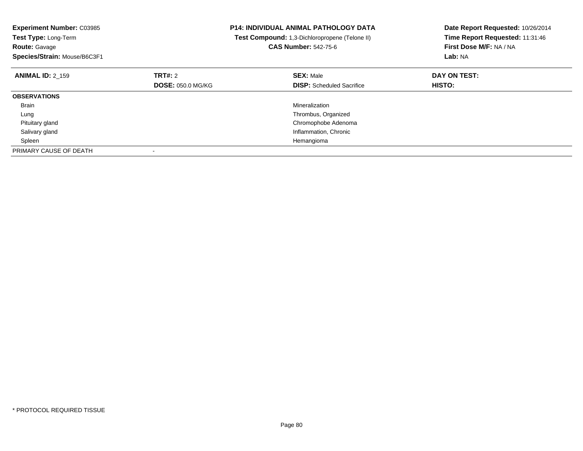| <b>Experiment Number: C03985</b><br><b>Test Type: Long-Term</b><br><b>Route: Gavage</b><br>Species/Strain: Mouse/B6C3F1 |                          | <b>P14: INDIVIDUAL ANIMAL PATHOLOGY DATA</b><br>Test Compound: 1,3-Dichloropropene (Telone II)<br><b>CAS Number: 542-75-6</b> | Date Report Requested: 10/26/2014<br>Time Report Requested: 11:31:46<br>First Dose M/F: NA / NA<br>Lab: NA |
|-------------------------------------------------------------------------------------------------------------------------|--------------------------|-------------------------------------------------------------------------------------------------------------------------------|------------------------------------------------------------------------------------------------------------|
| <b>ANIMAL ID: 2 159</b>                                                                                                 | <b>TRT#:</b> 2           | <b>SEX: Male</b>                                                                                                              | DAY ON TEST:                                                                                               |
|                                                                                                                         | <b>DOSE: 050.0 MG/KG</b> | <b>DISP:</b> Scheduled Sacrifice                                                                                              | HISTO:                                                                                                     |
| <b>OBSERVATIONS</b>                                                                                                     |                          |                                                                                                                               |                                                                                                            |
| <b>Brain</b>                                                                                                            |                          | Mineralization                                                                                                                |                                                                                                            |
| Lung                                                                                                                    |                          | Thrombus, Organized                                                                                                           |                                                                                                            |
| Pituitary gland                                                                                                         |                          | Chromophobe Adenoma                                                                                                           |                                                                                                            |
| Salivary gland                                                                                                          |                          | Inflammation, Chronic                                                                                                         |                                                                                                            |
| Spleen                                                                                                                  |                          | Hemangioma                                                                                                                    |                                                                                                            |
| PRIMARY CAUSE OF DEATH                                                                                                  |                          |                                                                                                                               |                                                                                                            |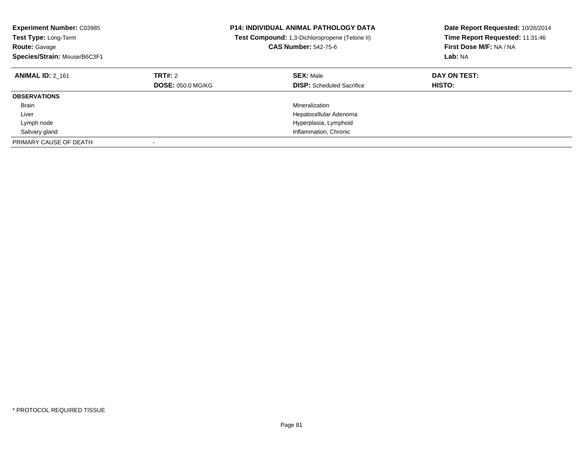| <b>Experiment Number: C03985</b><br><b>Test Type: Long-Term</b><br><b>Route: Gavage</b><br>Species/Strain: Mouse/B6C3F1 |                                     | <b>P14: INDIVIDUAL ANIMAL PATHOLOGY DATA</b><br>Test Compound: 1,3-Dichloropropene (Telone II)<br><b>CAS Number: 542-75-6</b> | Date Report Requested: 10/26/2014<br>Time Report Requested: 11:31:46<br>First Dose M/F: NA / NA<br>Lab: NA |
|-------------------------------------------------------------------------------------------------------------------------|-------------------------------------|-------------------------------------------------------------------------------------------------------------------------------|------------------------------------------------------------------------------------------------------------|
| <b>ANIMAL ID: 2 161</b>                                                                                                 | TRT#: 2<br><b>DOSE: 050.0 MG/KG</b> | <b>SEX: Male</b><br><b>DISP:</b> Scheduled Sacrifice                                                                          | DAY ON TEST:<br><b>HISTO:</b>                                                                              |
| <b>OBSERVATIONS</b>                                                                                                     |                                     |                                                                                                                               |                                                                                                            |
| <b>Brain</b>                                                                                                            |                                     | Mineralization                                                                                                                |                                                                                                            |
| Liver                                                                                                                   |                                     | Hepatocellular Adenoma                                                                                                        |                                                                                                            |
| Lymph node                                                                                                              |                                     | Hyperplasia, Lymphoid                                                                                                         |                                                                                                            |
| Salivary gland                                                                                                          |                                     | Inflammation, Chronic                                                                                                         |                                                                                                            |
| PRIMARY CAUSE OF DEATH                                                                                                  |                                     |                                                                                                                               |                                                                                                            |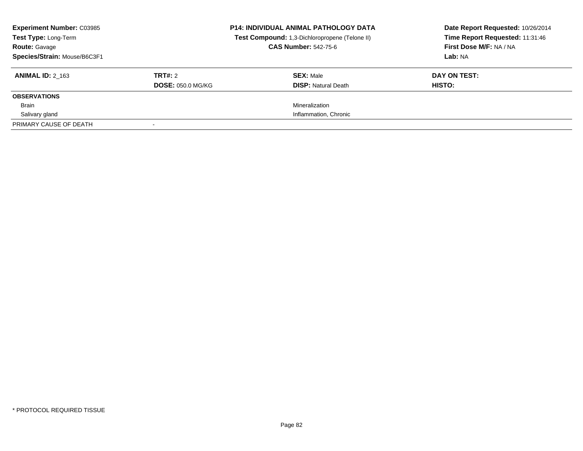| <b>Experiment Number: C03985</b><br>Test Type: Long-Term<br><b>Route: Gavage</b><br>Species/Strain: Mouse/B6C3F1 |                                     | <b>P14: INDIVIDUAL ANIMAL PATHOLOGY DATA</b><br>Test Compound: 1,3-Dichloropropene (Telone II)<br><b>CAS Number: 542-75-6</b> | Date Report Requested: 10/26/2014<br>Time Report Requested: 11:31:46<br>First Dose M/F: NA / NA<br>Lab: NA |
|------------------------------------------------------------------------------------------------------------------|-------------------------------------|-------------------------------------------------------------------------------------------------------------------------------|------------------------------------------------------------------------------------------------------------|
| <b>ANIMAL ID: 2 163</b>                                                                                          | TRT#: 2<br><b>DOSE: 050.0 MG/KG</b> | <b>SEX: Male</b><br><b>DISP: Natural Death</b>                                                                                | DAY ON TEST:<br>HISTO:                                                                                     |
| <b>OBSERVATIONS</b>                                                                                              |                                     |                                                                                                                               |                                                                                                            |
| <b>Brain</b>                                                                                                     |                                     | Mineralization                                                                                                                |                                                                                                            |
| Salivary gland                                                                                                   |                                     | Inflammation, Chronic                                                                                                         |                                                                                                            |
| PRIMARY CAUSE OF DEATH                                                                                           |                                     |                                                                                                                               |                                                                                                            |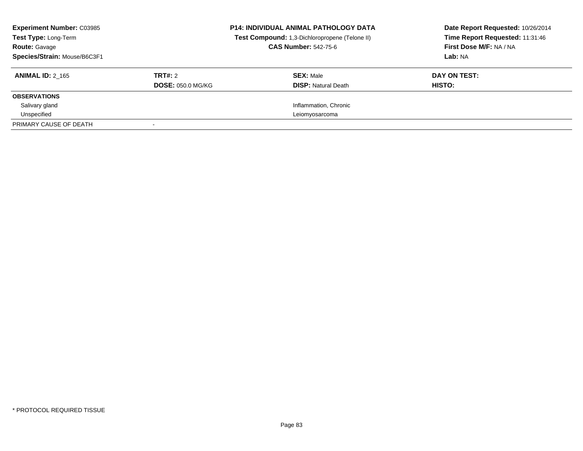| <b>Experiment Number: C03985</b><br>Test Type: Long-Term<br><b>Route: Gavage</b><br>Species/Strain: Mouse/B6C3F1 |                                            | <b>P14: INDIVIDUAL ANIMAL PATHOLOGY DATA</b><br>Test Compound: 1,3-Dichloropropene (Telone II)<br><b>CAS Number: 542-75-6</b> | Date Report Requested: 10/26/2014<br>Time Report Requested: 11:31:46<br>First Dose M/F: NA / NA<br>Lab: NA |
|------------------------------------------------------------------------------------------------------------------|--------------------------------------------|-------------------------------------------------------------------------------------------------------------------------------|------------------------------------------------------------------------------------------------------------|
| <b>ANIMAL ID: 2 165</b>                                                                                          | <b>TRT#:</b> 2<br><b>DOSE: 050.0 MG/KG</b> | <b>SEX: Male</b><br><b>DISP: Natural Death</b>                                                                                | DAY ON TEST:<br>HISTO:                                                                                     |
| <b>OBSERVATIONS</b>                                                                                              |                                            |                                                                                                                               |                                                                                                            |
| Salivary gland                                                                                                   |                                            | Inflammation, Chronic                                                                                                         |                                                                                                            |
| Unspecified                                                                                                      |                                            | Leiomyosarcoma                                                                                                                |                                                                                                            |
| PRIMARY CAUSE OF DEATH                                                                                           |                                            |                                                                                                                               |                                                                                                            |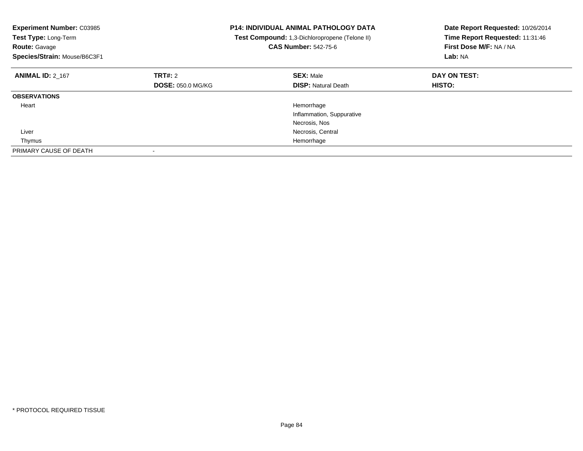| <b>Experiment Number: C03985</b><br>Test Type: Long-Term<br><b>Route: Gavage</b><br>Species/Strain: Mouse/B6C3F1 |                          | <b>P14: INDIVIDUAL ANIMAL PATHOLOGY DATA</b><br>Test Compound: 1,3-Dichloropropene (Telone II)<br><b>CAS Number: 542-75-6</b> | Date Report Requested: 10/26/2014<br>Time Report Requested: 11:31:46<br>First Dose M/F: NA / NA<br>Lab: NA |
|------------------------------------------------------------------------------------------------------------------|--------------------------|-------------------------------------------------------------------------------------------------------------------------------|------------------------------------------------------------------------------------------------------------|
| <b>ANIMAL ID: 2 167</b>                                                                                          | TRT#: 2                  | <b>SEX: Male</b>                                                                                                              | DAY ON TEST:                                                                                               |
|                                                                                                                  | <b>DOSE: 050.0 MG/KG</b> | <b>DISP: Natural Death</b>                                                                                                    | HISTO:                                                                                                     |
| <b>OBSERVATIONS</b>                                                                                              |                          |                                                                                                                               |                                                                                                            |
| Heart                                                                                                            |                          | Hemorrhage                                                                                                                    |                                                                                                            |
|                                                                                                                  |                          | Inflammation, Suppurative                                                                                                     |                                                                                                            |
|                                                                                                                  |                          | Necrosis, Nos                                                                                                                 |                                                                                                            |
| Liver                                                                                                            |                          | Necrosis, Central                                                                                                             |                                                                                                            |
| Thymus                                                                                                           |                          | Hemorrhage                                                                                                                    |                                                                                                            |
| PRIMARY CAUSE OF DEATH                                                                                           |                          |                                                                                                                               |                                                                                                            |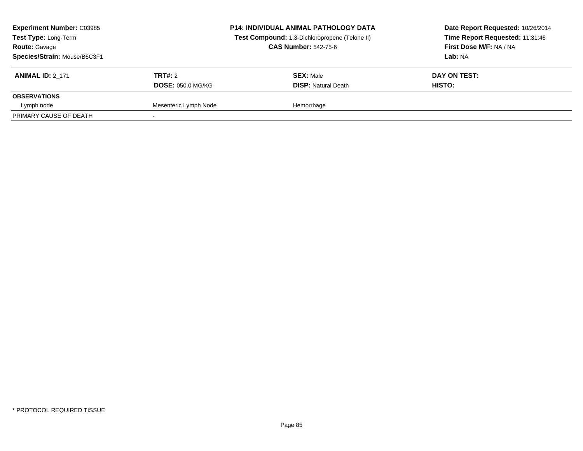| <b>Experiment Number: C03985</b><br>Test Type: Long-Term<br><b>Route: Gavage</b><br>Species/Strain: Mouse/B6C3F1 |                          | <b>P14: INDIVIDUAL ANIMAL PATHOLOGY DATA</b><br>Test Compound: 1,3-Dichloropropene (Telone II)<br><b>CAS Number: 542-75-6</b> | Date Report Requested: 10/26/2014<br>Time Report Requested: 11:31:46<br>First Dose M/F: NA / NA<br>Lab: NA |
|------------------------------------------------------------------------------------------------------------------|--------------------------|-------------------------------------------------------------------------------------------------------------------------------|------------------------------------------------------------------------------------------------------------|
| <b>ANIMAL ID: 2 171</b>                                                                                          | TRT#: 2                  | <b>SEX: Male</b>                                                                                                              | DAY ON TEST:                                                                                               |
|                                                                                                                  | <b>DOSE: 050.0 MG/KG</b> | <b>DISP:</b> Natural Death                                                                                                    | HISTO:                                                                                                     |
| <b>OBSERVATIONS</b>                                                                                              |                          |                                                                                                                               |                                                                                                            |
| Lymph node                                                                                                       | Mesenteric Lymph Node    | Hemorrhage                                                                                                                    |                                                                                                            |
| PRIMARY CAUSE OF DEATH                                                                                           |                          |                                                                                                                               |                                                                                                            |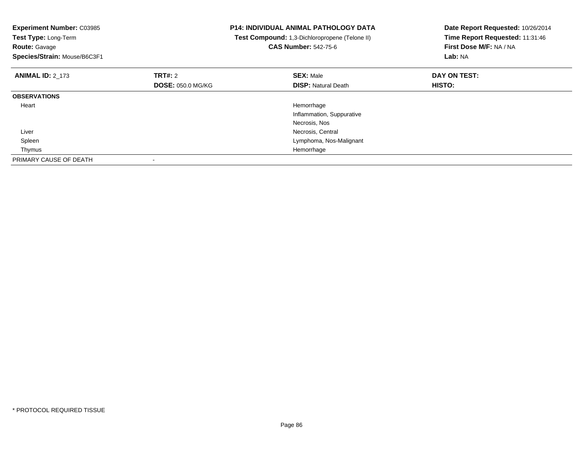| <b>Experiment Number: C03985</b><br>Test Type: Long-Term<br><b>Route: Gavage</b><br>Species/Strain: Mouse/B6C3F1 |                          | <b>P14: INDIVIDUAL ANIMAL PATHOLOGY DATA</b><br>Test Compound: 1,3-Dichloropropene (Telone II)<br><b>CAS Number: 542-75-6</b> | Date Report Requested: 10/26/2014<br>Time Report Requested: 11:31:46<br>First Dose M/F: NA / NA<br>Lab: NA |
|------------------------------------------------------------------------------------------------------------------|--------------------------|-------------------------------------------------------------------------------------------------------------------------------|------------------------------------------------------------------------------------------------------------|
| <b>ANIMAL ID: 2_173</b>                                                                                          | TRT#: 2                  | <b>SEX: Male</b>                                                                                                              | DAY ON TEST:                                                                                               |
|                                                                                                                  | <b>DOSE: 050.0 MG/KG</b> | <b>DISP: Natural Death</b>                                                                                                    | HISTO:                                                                                                     |
| <b>OBSERVATIONS</b>                                                                                              |                          |                                                                                                                               |                                                                                                            |
| Heart                                                                                                            |                          | Hemorrhage                                                                                                                    |                                                                                                            |
|                                                                                                                  |                          | Inflammation, Suppurative                                                                                                     |                                                                                                            |
|                                                                                                                  |                          | Necrosis, Nos                                                                                                                 |                                                                                                            |
| Liver                                                                                                            |                          | Necrosis, Central                                                                                                             |                                                                                                            |
| Spleen                                                                                                           |                          | Lymphoma, Nos-Malignant                                                                                                       |                                                                                                            |
| Thymus                                                                                                           |                          | Hemorrhage                                                                                                                    |                                                                                                            |
| PRIMARY CAUSE OF DEATH                                                                                           |                          |                                                                                                                               |                                                                                                            |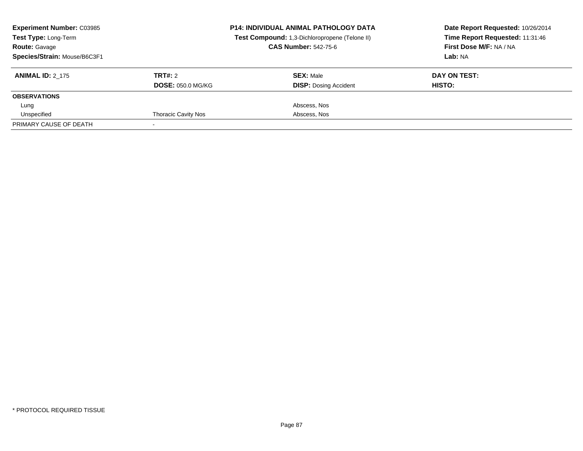| <b>Experiment Number: C03985</b><br>Test Type: Long-Term<br><b>Route: Gavage</b><br>Species/Strain: Mouse/B6C3F1 |                                     | <b>P14: INDIVIDUAL ANIMAL PATHOLOGY DATA</b><br>Test Compound: 1,3-Dichloropropene (Telone II)<br><b>CAS Number: 542-75-6</b> | Date Report Requested: 10/26/2014<br>Time Report Requested: 11:31:46<br>First Dose M/F: NA / NA<br>Lab: NA |
|------------------------------------------------------------------------------------------------------------------|-------------------------------------|-------------------------------------------------------------------------------------------------------------------------------|------------------------------------------------------------------------------------------------------------|
| <b>ANIMAL ID: 2 175</b>                                                                                          | TRT#: 2<br><b>DOSE: 050.0 MG/KG</b> | <b>SEX: Male</b><br><b>DISP: Dosing Accident</b>                                                                              | DAY ON TEST:<br><b>HISTO:</b>                                                                              |
| <b>OBSERVATIONS</b>                                                                                              |                                     |                                                                                                                               |                                                                                                            |
| Lung                                                                                                             |                                     | Abscess, Nos                                                                                                                  |                                                                                                            |
| Unspecified                                                                                                      | <b>Thoracic Cavity Nos</b>          | Abscess, Nos                                                                                                                  |                                                                                                            |
| PRIMARY CAUSE OF DEATH                                                                                           |                                     |                                                                                                                               |                                                                                                            |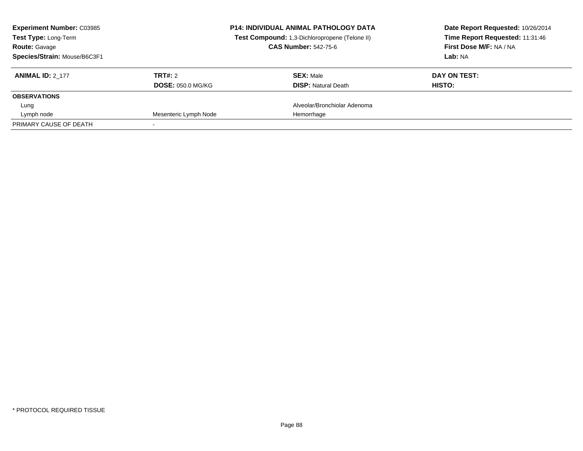| <b>Experiment Number: C03985</b><br>Test Type: Long-Term<br><b>Route: Gavage</b><br>Species/Strain: Mouse/B6C3F1 |                                     | <b>P14: INDIVIDUAL ANIMAL PATHOLOGY DATA</b><br>Test Compound: 1,3-Dichloropropene (Telone II)<br><b>CAS Number: 542-75-6</b> | Date Report Requested: 10/26/2014<br>Time Report Requested: 11:31:46<br>First Dose M/F: NA / NA<br>Lab: NA |
|------------------------------------------------------------------------------------------------------------------|-------------------------------------|-------------------------------------------------------------------------------------------------------------------------------|------------------------------------------------------------------------------------------------------------|
| <b>ANIMAL ID: 2 177</b>                                                                                          | TRT#: 2<br><b>DOSE: 050.0 MG/KG</b> | <b>SEX: Male</b><br><b>DISP:</b> Natural Death                                                                                | DAY ON TEST:<br>HISTO:                                                                                     |
| <b>OBSERVATIONS</b>                                                                                              |                                     |                                                                                                                               |                                                                                                            |
| Lung                                                                                                             |                                     | Alveolar/Bronchiolar Adenoma                                                                                                  |                                                                                                            |
| Lymph node                                                                                                       | Mesenteric Lymph Node               | Hemorrhage                                                                                                                    |                                                                                                            |
| PRIMARY CAUSE OF DEATH                                                                                           |                                     |                                                                                                                               |                                                                                                            |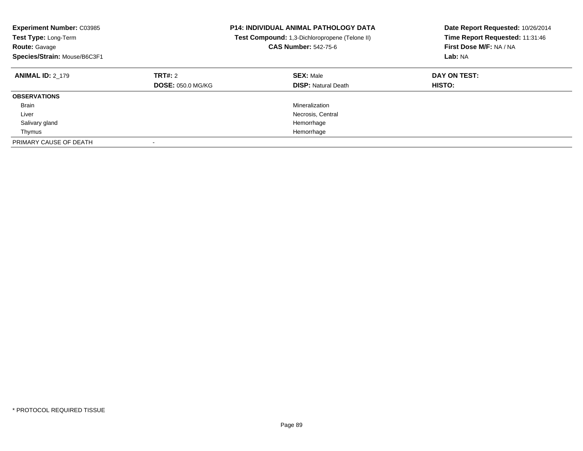| <b>Experiment Number: C03985</b><br>Test Type: Long-Term<br><b>Route: Gavage</b><br>Species/Strain: Mouse/B6C3F1 |                                     | <b>P14: INDIVIDUAL ANIMAL PATHOLOGY DATA</b><br>Test Compound: 1,3-Dichloropropene (Telone II)<br><b>CAS Number: 542-75-6</b> | Date Report Requested: 10/26/2014<br>Time Report Requested: 11:31:46<br>First Dose M/F: NA / NA<br>Lab: NA |
|------------------------------------------------------------------------------------------------------------------|-------------------------------------|-------------------------------------------------------------------------------------------------------------------------------|------------------------------------------------------------------------------------------------------------|
| <b>ANIMAL ID: 2 179</b>                                                                                          | TRT#: 2<br><b>DOSE: 050.0 MG/KG</b> | <b>SEX: Male</b><br><b>DISP:</b> Natural Death                                                                                | DAY ON TEST:<br><b>HISTO:</b>                                                                              |
| <b>OBSERVATIONS</b>                                                                                              |                                     |                                                                                                                               |                                                                                                            |
| <b>Brain</b>                                                                                                     |                                     | Mineralization                                                                                                                |                                                                                                            |
| Liver                                                                                                            |                                     | Necrosis, Central                                                                                                             |                                                                                                            |
| Salivary gland                                                                                                   |                                     | Hemorrhage                                                                                                                    |                                                                                                            |
| Thymus                                                                                                           |                                     | Hemorrhage                                                                                                                    |                                                                                                            |
| PRIMARY CAUSE OF DEATH                                                                                           |                                     |                                                                                                                               |                                                                                                            |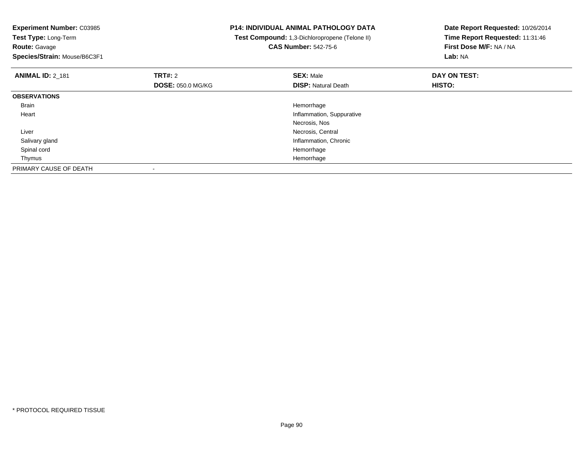**Experiment Number:** C03985**Test Type:** Long-Term**Route:** Gavage **Species/Strain:** Mouse/B6C3F1**P14: INDIVIDUAL ANIMAL PATHOLOGY DATA Test Compound:** 1,3-Dichloropropene (Telone II)**CAS Number:** 542-75-6**Date Report Requested:** 10/26/2014**Time Report Requested:** 11:31:46**First Dose M/F:** NA / NA**Lab:** NA**ANIMAL ID:** 2\_181**TRT#:** 2 **SEX:** Male **DAY ON TEST: DOSE:** 050.0 MG/KG**DISP:** Natural Death **HISTO: OBSERVATIONS** Brainn and the control of the control of the control of the control of the control of the control of the control of the control of the control of the control of the control of the control of the control of the control of the co Heart Inflammation, SuppurativeNecrosis, Nos**Necrosis, Central Necrosis, Central**  Liver Salivary glandInflammation, Chronic<br>Hemorrhage Spinal cordd and the control of the control of the control of the control of the control of the control of the control of the control of the control of the control of the control of the control of the control of the control of the co Thymuss and the control of the control of the control of the control of the control of the control of the control of the control of the control of the control of the control of the control of the control of the control of the co PRIMARY CAUSE OF DEATH-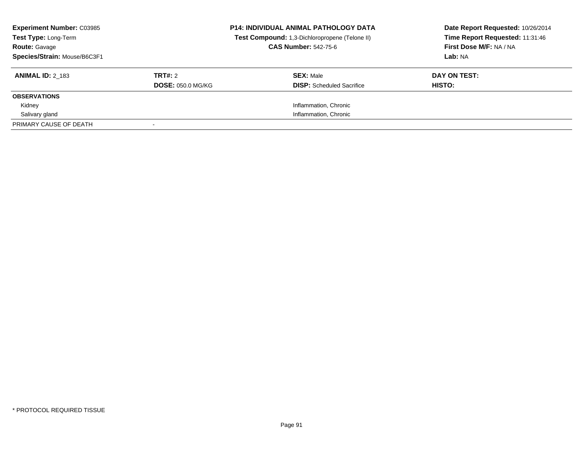| <b>Experiment Number: C03985</b><br>Test Type: Long-Term<br><b>Route: Gavage</b><br>Species/Strain: Mouse/B6C3F1 |                                     | <b>P14: INDIVIDUAL ANIMAL PATHOLOGY DATA</b><br>Test Compound: 1,3-Dichloropropene (Telone II)<br><b>CAS Number: 542-75-6</b> | Date Report Requested: 10/26/2014<br>Time Report Requested: 11:31:46<br>First Dose M/F: NA / NA<br>Lab: NA |
|------------------------------------------------------------------------------------------------------------------|-------------------------------------|-------------------------------------------------------------------------------------------------------------------------------|------------------------------------------------------------------------------------------------------------|
| <b>ANIMAL ID: 2 183</b>                                                                                          | TRT#: 2<br><b>DOSE: 050.0 MG/KG</b> | <b>SEX: Male</b><br><b>DISP:</b> Scheduled Sacrifice                                                                          | DAY ON TEST:<br>HISTO:                                                                                     |
| <b>OBSERVATIONS</b>                                                                                              |                                     |                                                                                                                               |                                                                                                            |
| Kidney                                                                                                           |                                     | Inflammation, Chronic                                                                                                         |                                                                                                            |
| Salivary gland                                                                                                   |                                     | Inflammation, Chronic                                                                                                         |                                                                                                            |
| PRIMARY CAUSE OF DEATH                                                                                           |                                     |                                                                                                                               |                                                                                                            |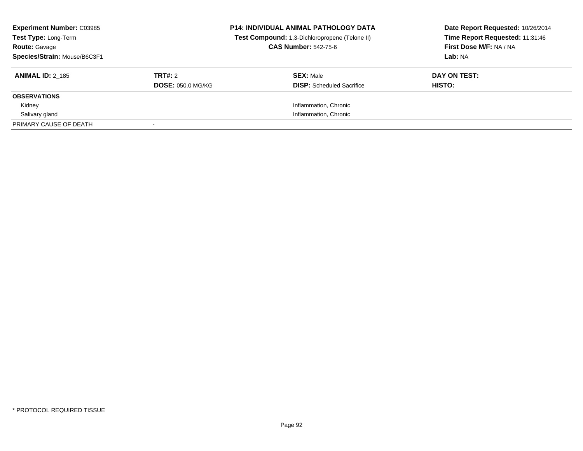| <b>Experiment Number: C03985</b><br>Test Type: Long-Term<br><b>Route: Gavage</b><br>Species/Strain: Mouse/B6C3F1 |                                     | <b>P14: INDIVIDUAL ANIMAL PATHOLOGY DATA</b><br>Test Compound: 1,3-Dichloropropene (Telone II)<br><b>CAS Number: 542-75-6</b> | Date Report Requested: 10/26/2014<br>Time Report Requested: 11:31:46<br>First Dose M/F: NA / NA<br>Lab: NA |
|------------------------------------------------------------------------------------------------------------------|-------------------------------------|-------------------------------------------------------------------------------------------------------------------------------|------------------------------------------------------------------------------------------------------------|
| <b>ANIMAL ID: 2 185</b>                                                                                          | TRT#: 2<br><b>DOSE: 050.0 MG/KG</b> | <b>SEX: Male</b><br><b>DISP:</b> Scheduled Sacrifice                                                                          | DAY ON TEST:<br>HISTO:                                                                                     |
| <b>OBSERVATIONS</b>                                                                                              |                                     |                                                                                                                               |                                                                                                            |
| Kidney                                                                                                           |                                     | Inflammation, Chronic                                                                                                         |                                                                                                            |
| Salivary gland                                                                                                   |                                     | Inflammation, Chronic                                                                                                         |                                                                                                            |
| PRIMARY CAUSE OF DEATH                                                                                           |                                     |                                                                                                                               |                                                                                                            |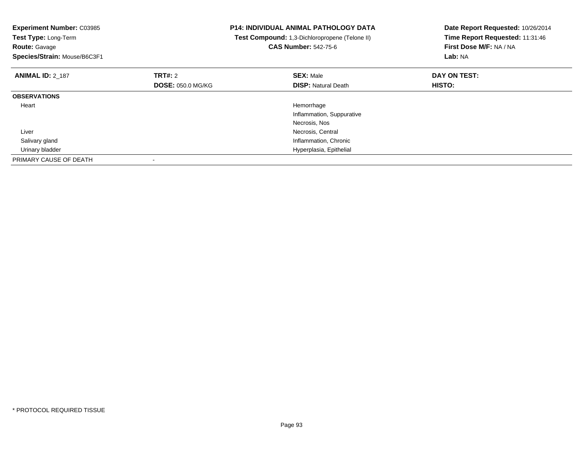| <b>Experiment Number: C03985</b><br>Test Type: Long-Term<br><b>Route: Gavage</b><br>Species/Strain: Mouse/B6C3F1 |                          | <b>P14: INDIVIDUAL ANIMAL PATHOLOGY DATA</b><br>Test Compound: 1,3-Dichloropropene (Telone II)<br><b>CAS Number: 542-75-6</b> | Date Report Requested: 10/26/2014<br>Time Report Requested: 11:31:46<br>First Dose M/F: NA / NA<br>Lab: NA |
|------------------------------------------------------------------------------------------------------------------|--------------------------|-------------------------------------------------------------------------------------------------------------------------------|------------------------------------------------------------------------------------------------------------|
| <b>ANIMAL ID: 2 187</b>                                                                                          | TRT#: 2                  | <b>SEX: Male</b>                                                                                                              | DAY ON TEST:                                                                                               |
|                                                                                                                  | <b>DOSE: 050.0 MG/KG</b> | <b>DISP:</b> Natural Death                                                                                                    | <b>HISTO:</b>                                                                                              |
| <b>OBSERVATIONS</b>                                                                                              |                          |                                                                                                                               |                                                                                                            |
| Heart                                                                                                            |                          | Hemorrhage                                                                                                                    |                                                                                                            |
|                                                                                                                  |                          | Inflammation, Suppurative                                                                                                     |                                                                                                            |
|                                                                                                                  |                          | Necrosis, Nos                                                                                                                 |                                                                                                            |
| Liver                                                                                                            |                          | Necrosis, Central                                                                                                             |                                                                                                            |
| Salivary gland                                                                                                   |                          | Inflammation, Chronic                                                                                                         |                                                                                                            |
| Urinary bladder                                                                                                  |                          | Hyperplasia, Epithelial                                                                                                       |                                                                                                            |
| PRIMARY CAUSE OF DEATH                                                                                           |                          |                                                                                                                               |                                                                                                            |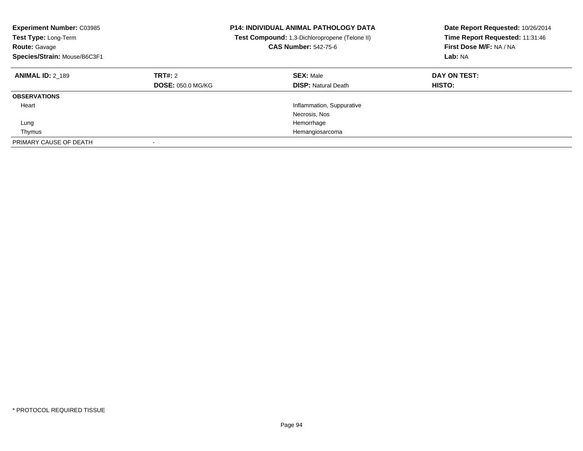| <b>Experiment Number: C03985</b><br>Test Type: Long-Term<br><b>Route: Gavage</b><br>Species/Strain: Mouse/B6C3F1 |                                     | <b>P14: INDIVIDUAL ANIMAL PATHOLOGY DATA</b><br><b>Test Compound:</b> 1,3-Dichloropropene (Telone II)<br><b>CAS Number: 542-75-6</b> | Date Report Requested: 10/26/2014<br>Time Report Requested: 11:31:46<br>First Dose M/F: NA / NA<br>Lab: NA |
|------------------------------------------------------------------------------------------------------------------|-------------------------------------|--------------------------------------------------------------------------------------------------------------------------------------|------------------------------------------------------------------------------------------------------------|
| <b>ANIMAL ID: 2 189</b>                                                                                          | TRT#: 2<br><b>DOSE: 050.0 MG/KG</b> | <b>SEX: Male</b><br><b>DISP: Natural Death</b>                                                                                       | DAY ON TEST:<br><b>HISTO:</b>                                                                              |
| <b>OBSERVATIONS</b>                                                                                              |                                     |                                                                                                                                      |                                                                                                            |
| Heart                                                                                                            |                                     | Inflammation, Suppurative                                                                                                            |                                                                                                            |
|                                                                                                                  |                                     | Necrosis, Nos                                                                                                                        |                                                                                                            |
| Lung                                                                                                             |                                     | Hemorrhage                                                                                                                           |                                                                                                            |
| Thymus                                                                                                           |                                     | Hemangiosarcoma                                                                                                                      |                                                                                                            |
| PRIMARY CAUSE OF DEATH                                                                                           |                                     |                                                                                                                                      |                                                                                                            |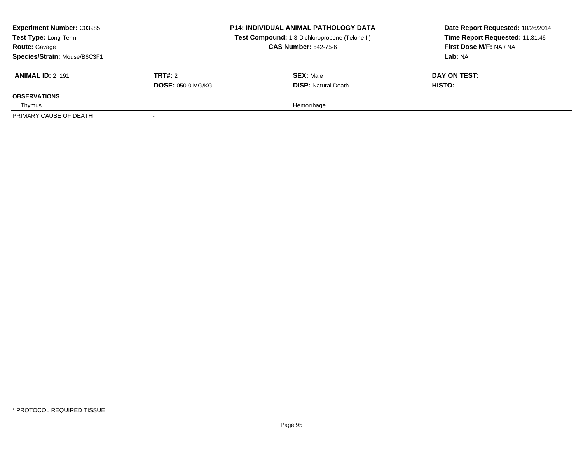| <b>Experiment Number: C03985</b><br>Test Type: Long-Term<br><b>Route: Gavage</b><br>Species/Strain: Mouse/B6C3F1 |                          | <b>P14: INDIVIDUAL ANIMAL PATHOLOGY DATA</b><br>Test Compound: 1,3-Dichloropropene (Telone II)<br><b>CAS Number: 542-75-6</b> | Date Report Requested: 10/26/2014<br>Time Report Requested: 11:31:46<br>First Dose M/F: NA / NA<br>Lab: NA |
|------------------------------------------------------------------------------------------------------------------|--------------------------|-------------------------------------------------------------------------------------------------------------------------------|------------------------------------------------------------------------------------------------------------|
| <b>ANIMAL ID: 2 191</b>                                                                                          | <b>TRT#: 2</b>           | <b>SEX: Male</b>                                                                                                              | DAY ON TEST:                                                                                               |
|                                                                                                                  | <b>DOSE: 050.0 MG/KG</b> | <b>DISP:</b> Natural Death                                                                                                    | HISTO:                                                                                                     |
| <b>OBSERVATIONS</b>                                                                                              |                          |                                                                                                                               |                                                                                                            |
| Thymus                                                                                                           |                          | Hemorrhage                                                                                                                    |                                                                                                            |
| PRIMARY CAUSE OF DEATH                                                                                           |                          |                                                                                                                               |                                                                                                            |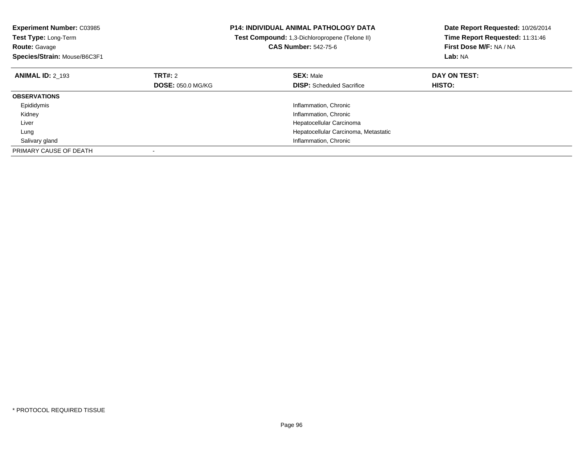| <b>Experiment Number: C03985</b> |                          | <b>P14: INDIVIDUAL ANIMAL PATHOLOGY DATA</b>   | Date Report Requested: 10/26/2014 |
|----------------------------------|--------------------------|------------------------------------------------|-----------------------------------|
| Test Type: Long-Term             |                          | Test Compound: 1,3-Dichloropropene (Telone II) | Time Report Requested: 11:31:46   |
| <b>Route: Gavage</b>             |                          | <b>CAS Number: 542-75-6</b>                    | First Dose M/F: NA / NA           |
| Species/Strain: Mouse/B6C3F1     |                          |                                                | Lab: NA                           |
| <b>ANIMAL ID: 2 193</b>          | TRT#: 2                  | <b>SEX: Male</b>                               | DAY ON TEST:                      |
|                                  | <b>DOSE: 050.0 MG/KG</b> | <b>DISP:</b> Scheduled Sacrifice               | HISTO:                            |
| <b>OBSERVATIONS</b>              |                          |                                                |                                   |
| Epididymis                       |                          | Inflammation, Chronic                          |                                   |
| Kidney                           |                          | Inflammation, Chronic                          |                                   |
| Liver                            |                          | Hepatocellular Carcinoma                       |                                   |
| Lung                             |                          | Hepatocellular Carcinoma, Metastatic           |                                   |
| Salivary gland                   |                          | Inflammation, Chronic                          |                                   |
| PRIMARY CAUSE OF DEATH           |                          |                                                |                                   |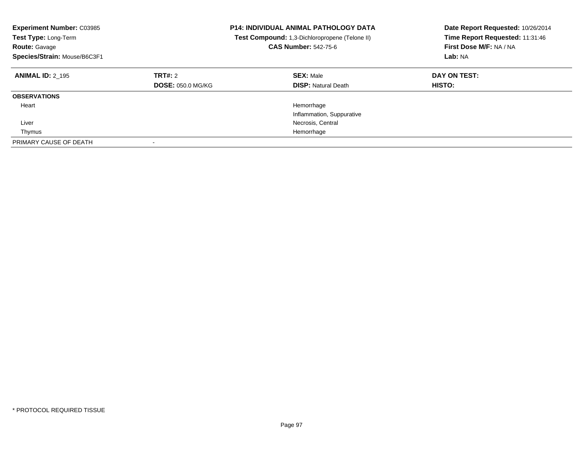| <b>Experiment Number: C03985</b><br><b>Test Type: Long-Term</b><br><b>Route: Gavage</b><br>Species/Strain: Mouse/B6C3F1 |                                     | <b>P14: INDIVIDUAL ANIMAL PATHOLOGY DATA</b><br><b>Test Compound:</b> 1,3-Dichloropropene (Telone II)<br><b>CAS Number: 542-75-6</b> | Date Report Requested: 10/26/2014<br>Time Report Requested: 11:31:46<br>First Dose M/F: NA / NA<br>Lab: NA |
|-------------------------------------------------------------------------------------------------------------------------|-------------------------------------|--------------------------------------------------------------------------------------------------------------------------------------|------------------------------------------------------------------------------------------------------------|
| <b>ANIMAL ID: 2 195</b>                                                                                                 | TRT#: 2<br><b>DOSE: 050.0 MG/KG</b> | <b>SEX: Male</b><br><b>DISP:</b> Natural Death                                                                                       | DAY ON TEST:<br><b>HISTO:</b>                                                                              |
| <b>OBSERVATIONS</b>                                                                                                     |                                     |                                                                                                                                      |                                                                                                            |
| Heart                                                                                                                   |                                     | Hemorrhage<br>Inflammation, Suppurative                                                                                              |                                                                                                            |
| Liver                                                                                                                   |                                     | Necrosis, Central                                                                                                                    |                                                                                                            |
| Thymus                                                                                                                  |                                     | Hemorrhage                                                                                                                           |                                                                                                            |
| PRIMARY CAUSE OF DEATH                                                                                                  | $\overline{\phantom{a}}$            |                                                                                                                                      |                                                                                                            |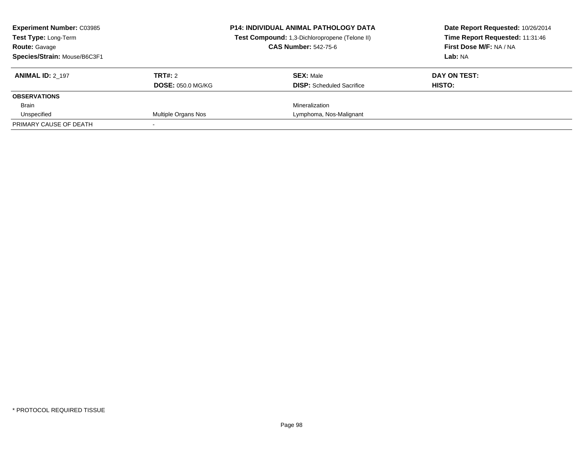| <b>Experiment Number: C03985</b><br><b>Test Type: Long-Term</b><br><b>Route: Gavage</b><br>Species/Strain: Mouse/B6C3F1 |                                     | <b>P14: INDIVIDUAL ANIMAL PATHOLOGY DATA</b><br>Test Compound: 1,3-Dichloropropene (Telone II)<br><b>CAS Number: 542-75-6</b> | Date Report Requested: 10/26/2014<br>Time Report Requested: 11:31:46<br>First Dose M/F: NA / NA<br>Lab: NA |
|-------------------------------------------------------------------------------------------------------------------------|-------------------------------------|-------------------------------------------------------------------------------------------------------------------------------|------------------------------------------------------------------------------------------------------------|
| <b>ANIMAL ID: 2 197</b>                                                                                                 | TRT#: 2<br><b>DOSE: 050.0 MG/KG</b> | <b>SEX: Male</b><br><b>DISP:</b> Scheduled Sacrifice                                                                          | DAY ON TEST:<br>HISTO:                                                                                     |
| <b>OBSERVATIONS</b>                                                                                                     |                                     |                                                                                                                               |                                                                                                            |
| <b>Brain</b>                                                                                                            |                                     | Mineralization                                                                                                                |                                                                                                            |
| Unspecified                                                                                                             | Multiple Organs Nos                 | Lymphoma, Nos-Malignant                                                                                                       |                                                                                                            |
| PRIMARY CAUSE OF DEATH                                                                                                  |                                     |                                                                                                                               |                                                                                                            |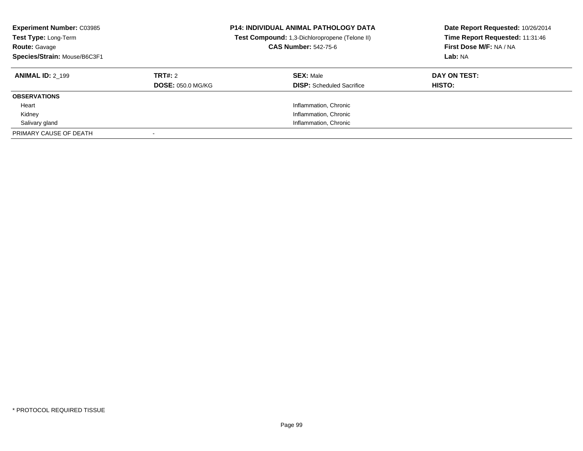| <b>Experiment Number: C03985</b><br>Test Type: Long-Term<br><b>Route: Gavage</b><br>Species/Strain: Mouse/B6C3F1 |                          | <b>P14: INDIVIDUAL ANIMAL PATHOLOGY DATA</b><br>Test Compound: 1,3-Dichloropropene (Telone II)<br><b>CAS Number: 542-75-6</b> | Date Report Requested: 10/26/2014<br>Time Report Requested: 11:31:46<br>First Dose M/F: NA / NA<br>Lab: NA |
|------------------------------------------------------------------------------------------------------------------|--------------------------|-------------------------------------------------------------------------------------------------------------------------------|------------------------------------------------------------------------------------------------------------|
| <b>ANIMAL ID: 2 199</b>                                                                                          | TRT#: 2                  | <b>SEX: Male</b>                                                                                                              | DAY ON TEST:                                                                                               |
|                                                                                                                  | <b>DOSE: 050.0 MG/KG</b> | <b>DISP:</b> Scheduled Sacrifice                                                                                              | <b>HISTO:</b>                                                                                              |
| <b>OBSERVATIONS</b>                                                                                              |                          |                                                                                                                               |                                                                                                            |
| Heart                                                                                                            |                          | Inflammation, Chronic                                                                                                         |                                                                                                            |
| Kidney                                                                                                           |                          | Inflammation, Chronic                                                                                                         |                                                                                                            |
| Salivary gland                                                                                                   |                          | Inflammation, Chronic                                                                                                         |                                                                                                            |
| PRIMARY CAUSE OF DEATH                                                                                           |                          |                                                                                                                               |                                                                                                            |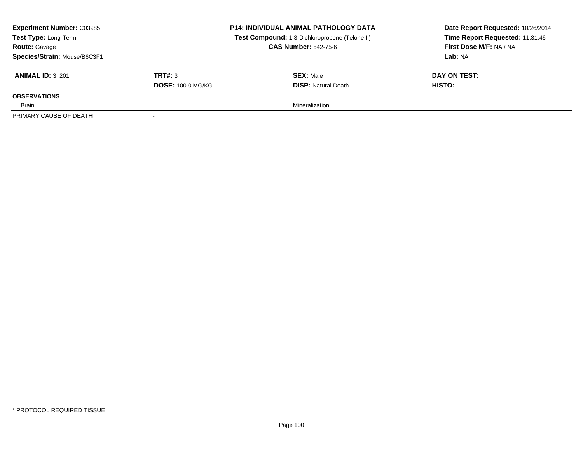| <b>Experiment Number: C03985</b><br><b>Test Type: Long-Term</b><br><b>Route: Gavage</b><br>Species/Strain: Mouse/B6C3F1 |                          | <b>P14: INDIVIDUAL ANIMAL PATHOLOGY DATA</b><br>Test Compound: 1,3-Dichloropropene (Telone II)<br><b>CAS Number: 542-75-6</b> | Date Report Requested: 10/26/2014<br>Time Report Requested: 11:31:46<br>First Dose M/F: NA / NA<br>Lab: NA |
|-------------------------------------------------------------------------------------------------------------------------|--------------------------|-------------------------------------------------------------------------------------------------------------------------------|------------------------------------------------------------------------------------------------------------|
| <b>ANIMAL ID: 3 201</b>                                                                                                 | TRT#: 3                  | <b>SEX: Male</b>                                                                                                              | DAY ON TEST:                                                                                               |
|                                                                                                                         | <b>DOSE: 100.0 MG/KG</b> | <b>DISP: Natural Death</b>                                                                                                    | HISTO:                                                                                                     |
| <b>OBSERVATIONS</b>                                                                                                     |                          |                                                                                                                               |                                                                                                            |
| Brain                                                                                                                   |                          | Mineralization                                                                                                                |                                                                                                            |
| PRIMARY CAUSE OF DEATH                                                                                                  |                          |                                                                                                                               |                                                                                                            |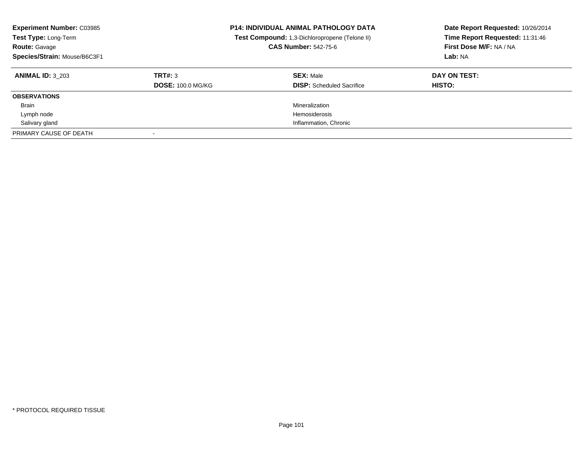| <b>Experiment Number: C03985</b><br>Test Type: Long-Term<br><b>Route: Gavage</b><br>Species/Strain: Mouse/B6C3F1 |                          | <b>P14: INDIVIDUAL ANIMAL PATHOLOGY DATA</b><br>Test Compound: 1,3-Dichloropropene (Telone II)<br><b>CAS Number: 542-75-6</b> | Date Report Requested: 10/26/2014<br>Time Report Requested: 11:31:46<br>First Dose M/F: NA / NA<br>Lab: NA |
|------------------------------------------------------------------------------------------------------------------|--------------------------|-------------------------------------------------------------------------------------------------------------------------------|------------------------------------------------------------------------------------------------------------|
| <b>ANIMAL ID: 3 203</b>                                                                                          | TRT#: 3                  | <b>SEX: Male</b>                                                                                                              | DAY ON TEST:                                                                                               |
|                                                                                                                  | <b>DOSE: 100.0 MG/KG</b> | <b>DISP:</b> Scheduled Sacrifice                                                                                              | <b>HISTO:</b>                                                                                              |
| <b>OBSERVATIONS</b>                                                                                              |                          |                                                                                                                               |                                                                                                            |
| <b>Brain</b>                                                                                                     |                          | Mineralization                                                                                                                |                                                                                                            |
| Lymph node                                                                                                       |                          | <b>Hemosiderosis</b>                                                                                                          |                                                                                                            |
| Salivary gland                                                                                                   |                          | Inflammation, Chronic                                                                                                         |                                                                                                            |
| PRIMARY CAUSE OF DEATH                                                                                           |                          |                                                                                                                               |                                                                                                            |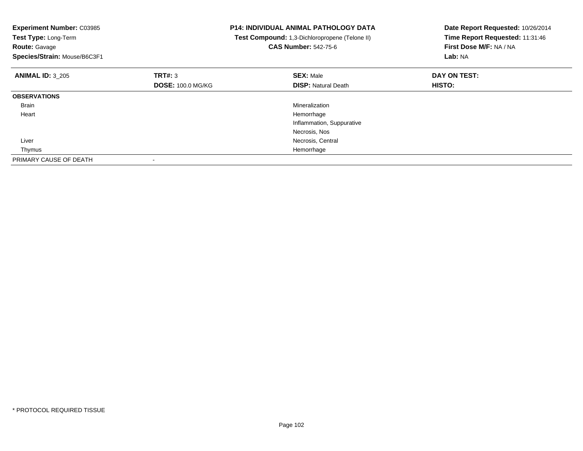| <b>Experiment Number: C03985</b><br>Test Type: Long-Term<br><b>Route: Gavage</b><br>Species/Strain: Mouse/B6C3F1 |                          | P14: INDIVIDUAL ANIMAL PATHOLOGY DATA<br>Test Compound: 1,3-Dichloropropene (Telone II)<br><b>CAS Number: 542-75-6</b> | Date Report Requested: 10/26/2014<br>Time Report Requested: 11:31:46<br>First Dose M/F: NA / NA<br><b>Lab: NA</b> |
|------------------------------------------------------------------------------------------------------------------|--------------------------|------------------------------------------------------------------------------------------------------------------------|-------------------------------------------------------------------------------------------------------------------|
| <b>ANIMAL ID: 3 205</b>                                                                                          | TRT#: 3                  | <b>SEX: Male</b>                                                                                                       | DAY ON TEST:                                                                                                      |
|                                                                                                                  | <b>DOSE: 100.0 MG/KG</b> | <b>DISP:</b> Natural Death                                                                                             | HISTO:                                                                                                            |
| <b>OBSERVATIONS</b>                                                                                              |                          |                                                                                                                        |                                                                                                                   |
| Brain                                                                                                            |                          | Mineralization                                                                                                         |                                                                                                                   |
| Heart                                                                                                            |                          | Hemorrhage                                                                                                             |                                                                                                                   |
|                                                                                                                  |                          | Inflammation, Suppurative                                                                                              |                                                                                                                   |
|                                                                                                                  |                          | Necrosis, Nos                                                                                                          |                                                                                                                   |
| Liver                                                                                                            |                          | Necrosis, Central                                                                                                      |                                                                                                                   |
| Thymus                                                                                                           |                          | Hemorrhage                                                                                                             |                                                                                                                   |
| PRIMARY CAUSE OF DEATH                                                                                           |                          |                                                                                                                        |                                                                                                                   |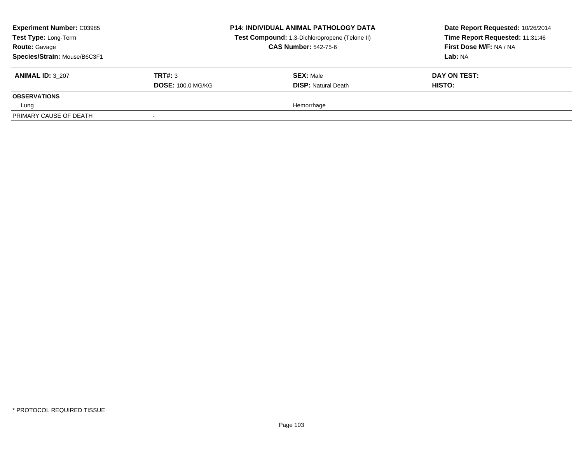| <b>Experiment Number: C03985</b><br>Test Type: Long-Term<br><b>Route: Gavage</b><br>Species/Strain: Mouse/B6C3F1 |                          | <b>P14: INDIVIDUAL ANIMAL PATHOLOGY DATA</b><br>Test Compound: 1,3-Dichloropropene (Telone II)<br><b>CAS Number: 542-75-6</b> | Date Report Requested: 10/26/2014<br>Time Report Requested: 11:31:46<br>First Dose M/F: NA / NA<br>Lab: NA |
|------------------------------------------------------------------------------------------------------------------|--------------------------|-------------------------------------------------------------------------------------------------------------------------------|------------------------------------------------------------------------------------------------------------|
| <b>ANIMAL ID: 3 207</b>                                                                                          | TRT#: 3                  | <b>SEX: Male</b>                                                                                                              | DAY ON TEST:                                                                                               |
|                                                                                                                  | <b>DOSE: 100.0 MG/KG</b> | <b>DISP:</b> Natural Death                                                                                                    | HISTO:                                                                                                     |
| <b>OBSERVATIONS</b>                                                                                              |                          |                                                                                                                               |                                                                                                            |
| Lung                                                                                                             |                          | Hemorrhage                                                                                                                    |                                                                                                            |
| PRIMARY CAUSE OF DEATH                                                                                           |                          |                                                                                                                               |                                                                                                            |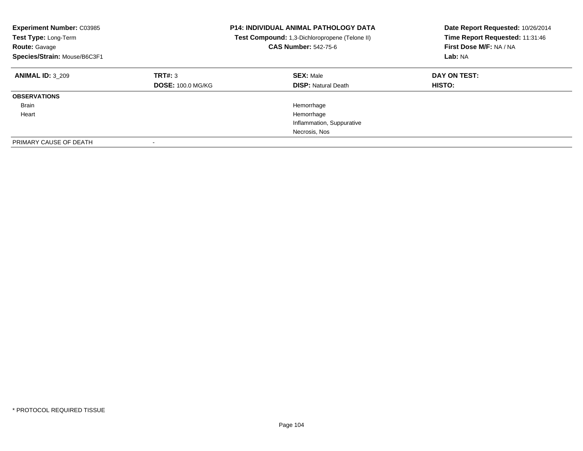| <b>Experiment Number: C03985</b><br><b>Test Type: Long-Term</b><br><b>Route: Gavage</b><br>Species/Strain: Mouse/B6C3F1 |                                     | <b>P14: INDIVIDUAL ANIMAL PATHOLOGY DATA</b><br>Test Compound: 1,3-Dichloropropene (Telone II)<br><b>CAS Number: 542-75-6</b> | Date Report Requested: 10/26/2014<br>Time Report Requested: 11:31:46<br>First Dose M/F: NA / NA<br>Lab: NA |
|-------------------------------------------------------------------------------------------------------------------------|-------------------------------------|-------------------------------------------------------------------------------------------------------------------------------|------------------------------------------------------------------------------------------------------------|
| <b>ANIMAL ID: 3 209</b>                                                                                                 | TRT#: 3<br><b>DOSE: 100.0 MG/KG</b> | <b>SEX: Male</b><br><b>DISP:</b> Natural Death                                                                                | DAY ON TEST:<br>HISTO:                                                                                     |
| <b>OBSERVATIONS</b>                                                                                                     |                                     |                                                                                                                               |                                                                                                            |
| <b>Brain</b>                                                                                                            |                                     | Hemorrhage                                                                                                                    |                                                                                                            |
| Heart                                                                                                                   |                                     | Hemorrhage                                                                                                                    |                                                                                                            |
|                                                                                                                         |                                     | Inflammation, Suppurative                                                                                                     |                                                                                                            |
|                                                                                                                         |                                     | Necrosis, Nos                                                                                                                 |                                                                                                            |
| PRIMARY CAUSE OF DEATH                                                                                                  |                                     |                                                                                                                               |                                                                                                            |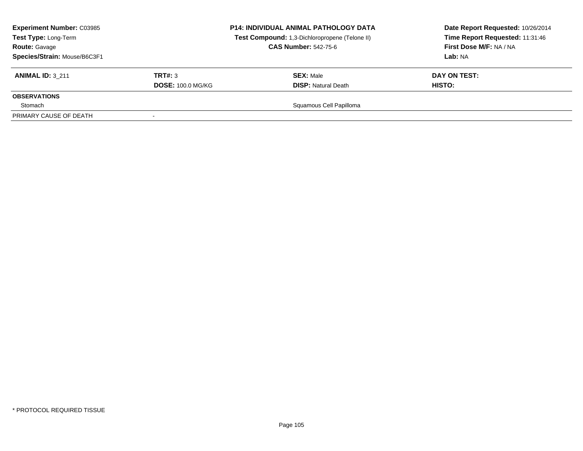| <b>Experiment Number: C03985</b><br><b>Test Type: Long-Term</b><br><b>Route: Gavage</b><br>Species/Strain: Mouse/B6C3F1 |                          | <b>P14: INDIVIDUAL ANIMAL PATHOLOGY DATA</b><br>Test Compound: 1,3-Dichloropropene (Telone II)<br><b>CAS Number: 542-75-6</b> | Date Report Requested: 10/26/2014<br>Time Report Requested: 11:31:46<br>First Dose M/F: NA / NA<br>Lab: NA |
|-------------------------------------------------------------------------------------------------------------------------|--------------------------|-------------------------------------------------------------------------------------------------------------------------------|------------------------------------------------------------------------------------------------------------|
| <b>ANIMAL ID: 3 211</b>                                                                                                 | TRT#: 3                  | <b>SEX: Male</b>                                                                                                              | DAY ON TEST:                                                                                               |
|                                                                                                                         | <b>DOSE: 100.0 MG/KG</b> | <b>DISP:</b> Natural Death                                                                                                    | HISTO:                                                                                                     |
| <b>OBSERVATIONS</b>                                                                                                     |                          |                                                                                                                               |                                                                                                            |
| Stomach                                                                                                                 |                          | Squamous Cell Papilloma                                                                                                       |                                                                                                            |
| PRIMARY CAUSE OF DEATH                                                                                                  |                          |                                                                                                                               |                                                                                                            |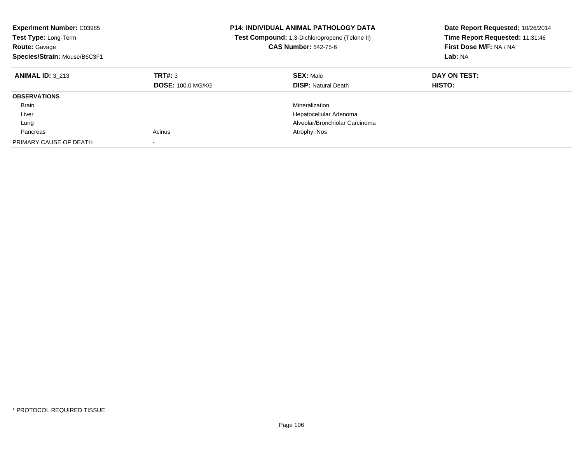| <b>Experiment Number: C03985</b><br>Test Type: Long-Term<br><b>Route: Gavage</b><br>Species/Strain: Mouse/B6C3F1 |                                     | <b>P14: INDIVIDUAL ANIMAL PATHOLOGY DATA</b><br>Test Compound: 1,3-Dichloropropene (Telone II)<br><b>CAS Number: 542-75-6</b> | Date Report Requested: 10/26/2014<br>Time Report Requested: 11:31:46<br>First Dose M/F: NA / NA<br>Lab: NA |
|------------------------------------------------------------------------------------------------------------------|-------------------------------------|-------------------------------------------------------------------------------------------------------------------------------|------------------------------------------------------------------------------------------------------------|
| <b>ANIMAL ID: 3 213</b>                                                                                          | TRT#: 3<br><b>DOSE: 100.0 MG/KG</b> | <b>SEX: Male</b><br><b>DISP:</b> Natural Death                                                                                | DAY ON TEST:<br>HISTO:                                                                                     |
| <b>OBSERVATIONS</b>                                                                                              |                                     |                                                                                                                               |                                                                                                            |
| <b>Brain</b>                                                                                                     |                                     | Mineralization                                                                                                                |                                                                                                            |
| Liver                                                                                                            |                                     | Hepatocellular Adenoma                                                                                                        |                                                                                                            |
| Lung                                                                                                             |                                     | Alveolar/Bronchiolar Carcinoma                                                                                                |                                                                                                            |
| Pancreas                                                                                                         | Acinus                              | Atrophy, Nos                                                                                                                  |                                                                                                            |
| PRIMARY CAUSE OF DEATH                                                                                           |                                     |                                                                                                                               |                                                                                                            |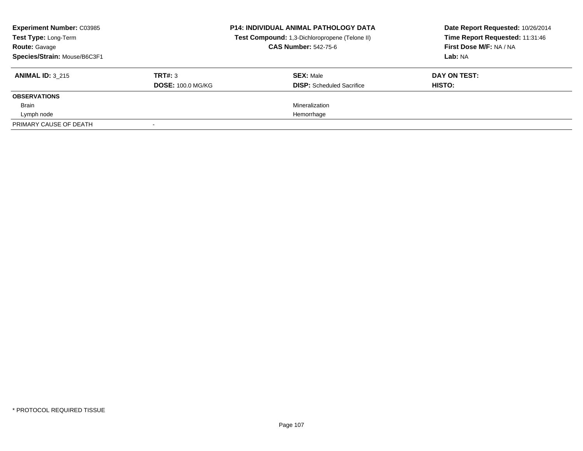| <b>Experiment Number: C03985</b><br>Test Type: Long-Term<br><b>Route: Gavage</b><br>Species/Strain: Mouse/B6C3F1 |                                     | <b>P14: INDIVIDUAL ANIMAL PATHOLOGY DATA</b><br>Test Compound: 1,3-Dichloropropene (Telone II)<br><b>CAS Number: 542-75-6</b> | Date Report Requested: 10/26/2014<br>Time Report Requested: 11:31:46<br>First Dose M/F: NA / NA<br>Lab: NA |
|------------------------------------------------------------------------------------------------------------------|-------------------------------------|-------------------------------------------------------------------------------------------------------------------------------|------------------------------------------------------------------------------------------------------------|
| <b>ANIMAL ID: 3 215</b>                                                                                          | TRT#: 3<br><b>DOSE: 100.0 MG/KG</b> | <b>SEX: Male</b><br><b>DISP:</b> Scheduled Sacrifice                                                                          | DAY ON TEST:<br>HISTO:                                                                                     |
| <b>OBSERVATIONS</b>                                                                                              |                                     |                                                                                                                               |                                                                                                            |
| Brain                                                                                                            |                                     | Mineralization                                                                                                                |                                                                                                            |
| Lymph node                                                                                                       |                                     | Hemorrhage                                                                                                                    |                                                                                                            |
| PRIMARY CAUSE OF DEATH                                                                                           |                                     |                                                                                                                               |                                                                                                            |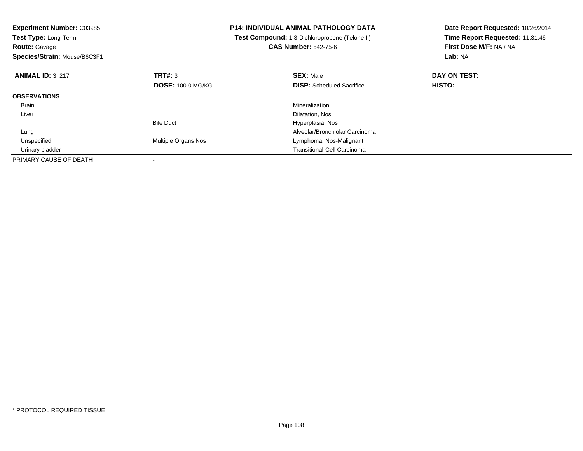| <b>Experiment Number: C03985</b> |                          | <b>P14: INDIVIDUAL ANIMAL PATHOLOGY DATA</b>   | Date Report Requested: 10/26/2014 |
|----------------------------------|--------------------------|------------------------------------------------|-----------------------------------|
| <b>Test Type: Long-Term</b>      |                          | Test Compound: 1,3-Dichloropropene (Telone II) | Time Report Requested: 11:31:46   |
| <b>Route: Gavage</b>             |                          | <b>CAS Number: 542-75-6</b>                    | First Dose M/F: NA / NA           |
| Species/Strain: Mouse/B6C3F1     |                          |                                                | Lab: NA                           |
| <b>ANIMAL ID: 3 217</b>          | TRT#: 3                  | <b>SEX: Male</b>                               | DAY ON TEST:                      |
|                                  | <b>DOSE: 100.0 MG/KG</b> | <b>DISP:</b> Scheduled Sacrifice               | HISTO:                            |
| <b>OBSERVATIONS</b>              |                          |                                                |                                   |
| Brain                            |                          | Mineralization                                 |                                   |
| Liver                            |                          | Dilatation, Nos                                |                                   |
|                                  | <b>Bile Duct</b>         | Hyperplasia, Nos                               |                                   |
| Lung                             |                          | Alveolar/Bronchiolar Carcinoma                 |                                   |
| Unspecified                      | Multiple Organs Nos      | Lymphoma, Nos-Malignant                        |                                   |
| Urinary bladder                  |                          | <b>Transitional-Cell Carcinoma</b>             |                                   |
| PRIMARY CAUSE OF DEATH           |                          |                                                |                                   |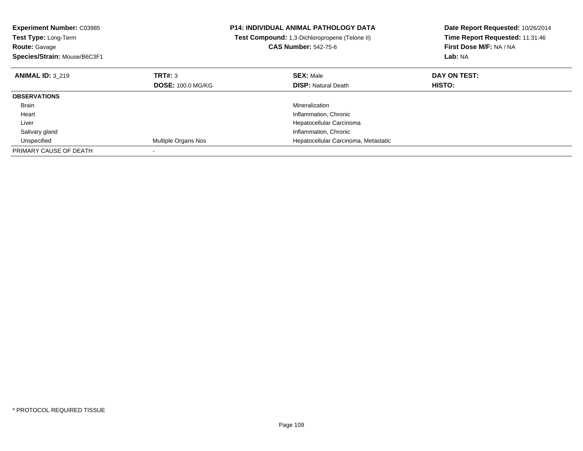| <b>Experiment Number: C03985</b><br><b>Test Type: Long-Term</b><br><b>Route: Gavage</b><br>Species/Strain: Mouse/B6C3F1 |                          | <b>P14: INDIVIDUAL ANIMAL PATHOLOGY DATA</b><br>Test Compound: 1,3-Dichloropropene (Telone II)<br><b>CAS Number: 542-75-6</b> | Date Report Requested: 10/26/2014<br>Time Report Requested: 11:31:46<br>First Dose M/F: NA / NA<br>Lab: NA |
|-------------------------------------------------------------------------------------------------------------------------|--------------------------|-------------------------------------------------------------------------------------------------------------------------------|------------------------------------------------------------------------------------------------------------|
| <b>ANIMAL ID: 3 219</b>                                                                                                 | TRT#: 3                  | <b>SEX: Male</b>                                                                                                              | DAY ON TEST:                                                                                               |
|                                                                                                                         | <b>DOSE: 100.0 MG/KG</b> | <b>DISP:</b> Natural Death                                                                                                    | HISTO:                                                                                                     |
| <b>OBSERVATIONS</b>                                                                                                     |                          |                                                                                                                               |                                                                                                            |
| <b>Brain</b>                                                                                                            |                          | Mineralization                                                                                                                |                                                                                                            |
| Heart                                                                                                                   |                          | Inflammation, Chronic                                                                                                         |                                                                                                            |
| Liver                                                                                                                   |                          | Hepatocellular Carcinoma                                                                                                      |                                                                                                            |
| Salivary gland                                                                                                          |                          | Inflammation, Chronic                                                                                                         |                                                                                                            |
| Unspecified                                                                                                             | Multiple Organs Nos      | Hepatocellular Carcinoma, Metastatic                                                                                          |                                                                                                            |
| PRIMARY CAUSE OF DEATH                                                                                                  |                          |                                                                                                                               |                                                                                                            |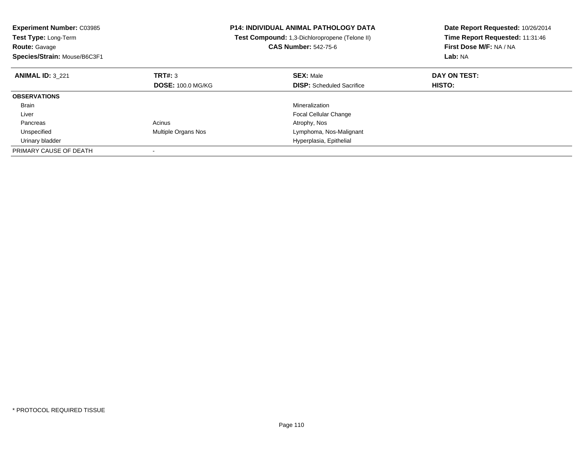| <b>Experiment Number: C03985</b><br><b>Test Type: Long-Term</b><br><b>Route: Gavage</b><br>Species/Strain: Mouse/B6C3F1 |                            | <b>P14: INDIVIDUAL ANIMAL PATHOLOGY DATA</b><br>Test Compound: 1,3-Dichloropropene (Telone II)<br><b>CAS Number: 542-75-6</b> | Date Report Requested: 10/26/2014<br>Time Report Requested: 11:31:46<br>First Dose M/F: NA / NA<br>Lab: NA |
|-------------------------------------------------------------------------------------------------------------------------|----------------------------|-------------------------------------------------------------------------------------------------------------------------------|------------------------------------------------------------------------------------------------------------|
| <b>ANIMAL ID: 3 221</b>                                                                                                 | TRT#: 3                    | <b>SEX: Male</b>                                                                                                              | DAY ON TEST:                                                                                               |
|                                                                                                                         | <b>DOSE: 100.0 MG/KG</b>   | <b>DISP:</b> Scheduled Sacrifice                                                                                              | HISTO:                                                                                                     |
| <b>OBSERVATIONS</b>                                                                                                     |                            |                                                                                                                               |                                                                                                            |
| <b>Brain</b>                                                                                                            |                            | Mineralization                                                                                                                |                                                                                                            |
| Liver                                                                                                                   |                            | <b>Focal Cellular Change</b>                                                                                                  |                                                                                                            |
| Pancreas                                                                                                                | Acinus                     | Atrophy, Nos                                                                                                                  |                                                                                                            |
| Unspecified                                                                                                             | <b>Multiple Organs Nos</b> | Lymphoma, Nos-Malignant                                                                                                       |                                                                                                            |
| Urinary bladder                                                                                                         |                            | Hyperplasia, Epithelial                                                                                                       |                                                                                                            |
| PRIMARY CAUSE OF DEATH                                                                                                  |                            |                                                                                                                               |                                                                                                            |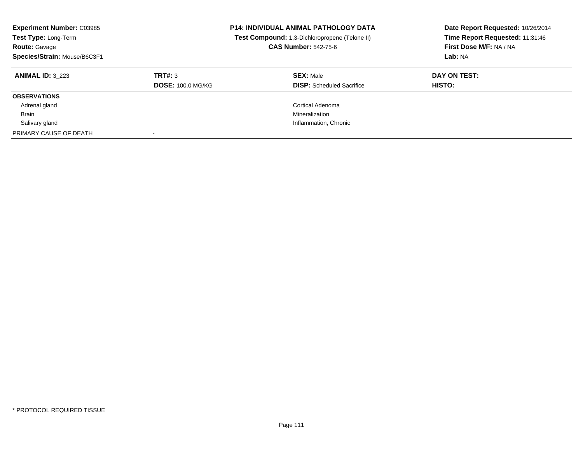| <b>Experiment Number: C03985</b><br>Test Type: Long-Term<br><b>Route: Gavage</b><br>Species/Strain: Mouse/B6C3F1 |                                     | <b>P14: INDIVIDUAL ANIMAL PATHOLOGY DATA</b><br>Test Compound: 1,3-Dichloropropene (Telone II)<br><b>CAS Number: 542-75-6</b> | Date Report Requested: 10/26/2014<br>Time Report Requested: 11:31:46<br>First Dose M/F: NA / NA<br>Lab: NA |
|------------------------------------------------------------------------------------------------------------------|-------------------------------------|-------------------------------------------------------------------------------------------------------------------------------|------------------------------------------------------------------------------------------------------------|
| <b>ANIMAL ID: 3 223</b>                                                                                          | TRT#: 3<br><b>DOSE: 100.0 MG/KG</b> | <b>SEX: Male</b><br><b>DISP:</b> Scheduled Sacrifice                                                                          | DAY ON TEST:<br>HISTO:                                                                                     |
| <b>OBSERVATIONS</b>                                                                                              |                                     |                                                                                                                               |                                                                                                            |
| Adrenal gland                                                                                                    |                                     | <b>Cortical Adenoma</b>                                                                                                       |                                                                                                            |
| <b>Brain</b>                                                                                                     |                                     | Mineralization                                                                                                                |                                                                                                            |
| Salivary gland                                                                                                   |                                     | Inflammation, Chronic                                                                                                         |                                                                                                            |
| PRIMARY CAUSE OF DEATH                                                                                           |                                     |                                                                                                                               |                                                                                                            |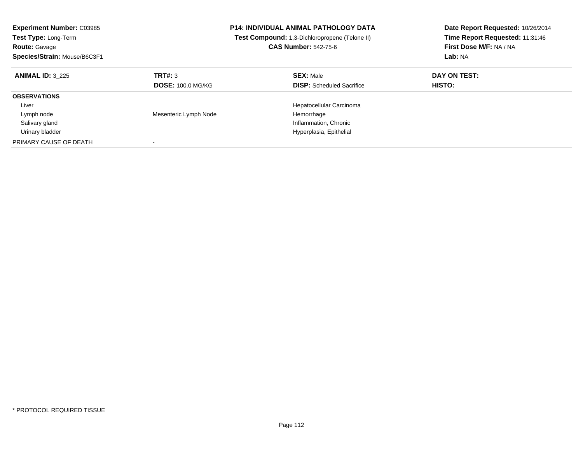| <b>Experiment Number: C03985</b><br><b>Test Type: Long-Term</b><br><b>Route: Gavage</b><br>Species/Strain: Mouse/B6C3F1 |                                     | <b>P14: INDIVIDUAL ANIMAL PATHOLOGY DATA</b><br>Test Compound: 1,3-Dichloropropene (Telone II)<br><b>CAS Number: 542-75-6</b> | Date Report Requested: 10/26/2014<br>Time Report Requested: 11:31:46<br>First Dose M/F: NA / NA<br>Lab: NA |
|-------------------------------------------------------------------------------------------------------------------------|-------------------------------------|-------------------------------------------------------------------------------------------------------------------------------|------------------------------------------------------------------------------------------------------------|
| <b>ANIMAL ID: 3 225</b>                                                                                                 | TRT#: 3<br><b>DOSE: 100.0 MG/KG</b> | <b>SEX: Male</b><br><b>DISP:</b> Scheduled Sacrifice                                                                          | DAY ON TEST:<br>HISTO:                                                                                     |
| <b>OBSERVATIONS</b>                                                                                                     |                                     |                                                                                                                               |                                                                                                            |
| Liver                                                                                                                   |                                     | Hepatocellular Carcinoma                                                                                                      |                                                                                                            |
| Lymph node                                                                                                              | Mesenteric Lymph Node               | Hemorrhage                                                                                                                    |                                                                                                            |
| Salivary gland                                                                                                          |                                     | Inflammation, Chronic                                                                                                         |                                                                                                            |
| Urinary bladder                                                                                                         |                                     | Hyperplasia, Epithelial                                                                                                       |                                                                                                            |
| PRIMARY CAUSE OF DEATH                                                                                                  |                                     |                                                                                                                               |                                                                                                            |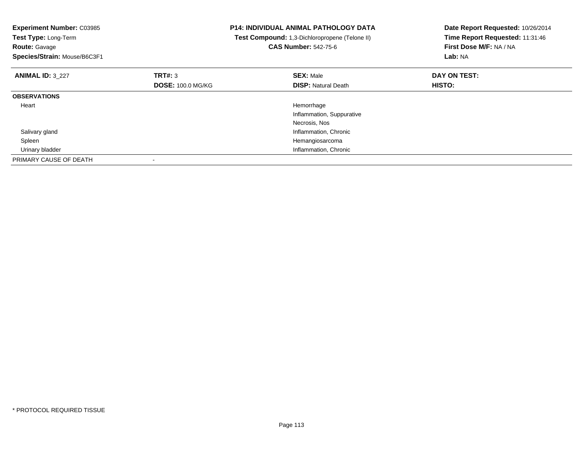| <b>Experiment Number: C03985</b><br>Test Type: Long-Term<br>Route: Gavage<br>Species/Strain: Mouse/B6C3F1 |                          | <b>P14: INDIVIDUAL ANIMAL PATHOLOGY DATA</b><br>Test Compound: 1,3-Dichloropropene (Telone II)<br><b>CAS Number: 542-75-6</b> | Date Report Requested: 10/26/2014<br>Time Report Requested: 11:31:46<br>First Dose M/F: NA / NA<br>Lab: NA |
|-----------------------------------------------------------------------------------------------------------|--------------------------|-------------------------------------------------------------------------------------------------------------------------------|------------------------------------------------------------------------------------------------------------|
| <b>ANIMAL ID: 3_227</b>                                                                                   | TRT#: 3                  | <b>SEX: Male</b>                                                                                                              | DAY ON TEST:                                                                                               |
|                                                                                                           | <b>DOSE: 100.0 MG/KG</b> | <b>DISP:</b> Natural Death                                                                                                    | HISTO:                                                                                                     |
| <b>OBSERVATIONS</b>                                                                                       |                          |                                                                                                                               |                                                                                                            |
| Heart                                                                                                     |                          | Hemorrhage                                                                                                                    |                                                                                                            |
|                                                                                                           |                          | Inflammation, Suppurative                                                                                                     |                                                                                                            |
|                                                                                                           |                          | Necrosis, Nos                                                                                                                 |                                                                                                            |
| Salivary gland                                                                                            |                          | Inflammation, Chronic                                                                                                         |                                                                                                            |
| Spleen                                                                                                    |                          | Hemangiosarcoma                                                                                                               |                                                                                                            |
| Urinary bladder                                                                                           |                          | Inflammation, Chronic                                                                                                         |                                                                                                            |
| PRIMARY CAUSE OF DEATH                                                                                    |                          |                                                                                                                               |                                                                                                            |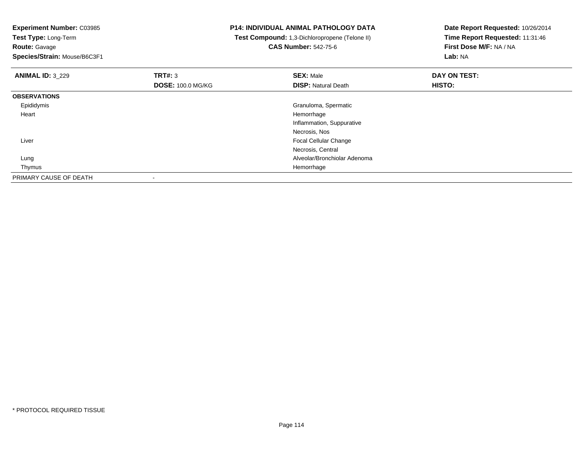**Experiment Number:** C03985

**Test Type:** Long-Term**Route:** Gavage

**Species/Strain:** Mouse/B6C3F1

## **P14: INDIVIDUAL ANIMAL PATHOLOGY DATA**

 **Test Compound:** 1,3-Dichloropropene (Telone II)**CAS Number:** 542-75-6

**Date Report Requested:** 10/26/2014**Time Report Requested:** 11:31:46**First Dose M/F:** NA / NA**Lab:** NA

| <b>ANIMAL ID: 3_229</b> | <b>TRT#: 3</b>           | <b>SEX: Male</b>             | DAY ON TEST: |  |
|-------------------------|--------------------------|------------------------------|--------------|--|
|                         | <b>DOSE: 100.0 MG/KG</b> | <b>DISP: Natural Death</b>   | HISTO:       |  |
| <b>OBSERVATIONS</b>     |                          |                              |              |  |
| Epididymis              |                          | Granuloma, Spermatic         |              |  |
| Heart                   |                          | Hemorrhage                   |              |  |
|                         |                          | Inflammation, Suppurative    |              |  |
|                         |                          | Necrosis, Nos                |              |  |
| Liver                   |                          | Focal Cellular Change        |              |  |
|                         |                          | Necrosis, Central            |              |  |
| Lung                    |                          | Alveolar/Bronchiolar Adenoma |              |  |
| Thymus                  |                          | Hemorrhage                   |              |  |
| PRIMARY CAUSE OF DEATH  |                          |                              |              |  |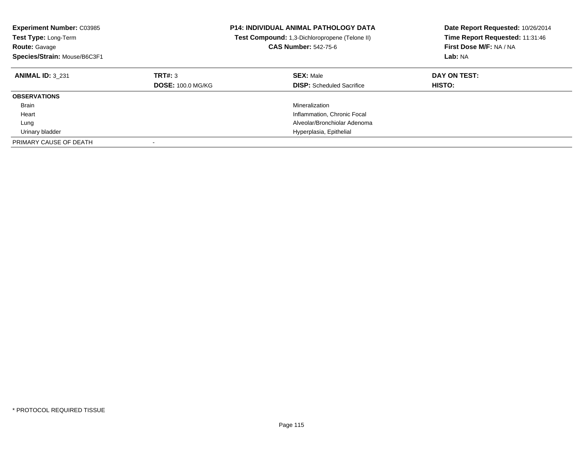| <b>Experiment Number: C03985</b><br><b>Test Type: Long-Term</b><br><b>Route: Gavage</b><br>Species/Strain: Mouse/B6C3F1 |                                     | <b>P14: INDIVIDUAL ANIMAL PATHOLOGY DATA</b><br>Test Compound: 1,3-Dichloropropene (Telone II)<br><b>CAS Number: 542-75-6</b> | Date Report Requested: 10/26/2014<br>Time Report Requested: 11:31:46<br>First Dose M/F: NA / NA<br>Lab: NA |
|-------------------------------------------------------------------------------------------------------------------------|-------------------------------------|-------------------------------------------------------------------------------------------------------------------------------|------------------------------------------------------------------------------------------------------------|
| <b>ANIMAL ID: 3 231</b>                                                                                                 | TRT#: 3<br><b>DOSE: 100.0 MG/KG</b> | <b>SEX: Male</b><br><b>DISP:</b> Scheduled Sacrifice                                                                          | DAY ON TEST:<br><b>HISTO:</b>                                                                              |
| <b>OBSERVATIONS</b>                                                                                                     |                                     |                                                                                                                               |                                                                                                            |
| <b>Brain</b>                                                                                                            |                                     | Mineralization                                                                                                                |                                                                                                            |
| Heart                                                                                                                   |                                     | Inflammation, Chronic Focal                                                                                                   |                                                                                                            |
| Lung                                                                                                                    |                                     | Alveolar/Bronchiolar Adenoma                                                                                                  |                                                                                                            |
| Urinary bladder                                                                                                         |                                     | Hyperplasia, Epithelial                                                                                                       |                                                                                                            |
| PRIMARY CAUSE OF DEATH                                                                                                  |                                     |                                                                                                                               |                                                                                                            |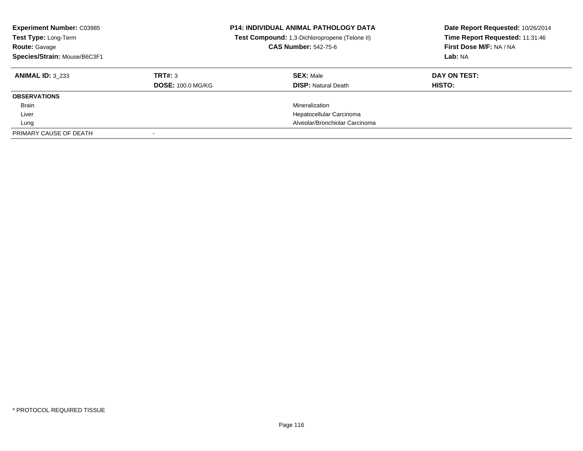| <b>Experiment Number: C03985</b><br>Test Type: Long-Term<br><b>Route: Gavage</b><br>Species/Strain: Mouse/B6C3F1 |                                     | <b>P14: INDIVIDUAL ANIMAL PATHOLOGY DATA</b><br>Test Compound: 1,3-Dichloropropene (Telone II)<br><b>CAS Number: 542-75-6</b> | Date Report Requested: 10/26/2014<br>Time Report Requested: 11:31:46<br>First Dose M/F: NA / NA<br>Lab: NA |
|------------------------------------------------------------------------------------------------------------------|-------------------------------------|-------------------------------------------------------------------------------------------------------------------------------|------------------------------------------------------------------------------------------------------------|
| <b>ANIMAL ID: 3 233</b>                                                                                          | TRT#: 3<br><b>DOSE: 100.0 MG/KG</b> | <b>SEX: Male</b><br><b>DISP: Natural Death</b>                                                                                | DAY ON TEST:<br><b>HISTO:</b>                                                                              |
|                                                                                                                  |                                     |                                                                                                                               |                                                                                                            |
| <b>OBSERVATIONS</b>                                                                                              |                                     |                                                                                                                               |                                                                                                            |
| <b>Brain</b>                                                                                                     |                                     | Mineralization                                                                                                                |                                                                                                            |
| Liver                                                                                                            |                                     | Hepatocellular Carcinoma                                                                                                      |                                                                                                            |
| Lung                                                                                                             |                                     | Alveolar/Bronchiolar Carcinoma                                                                                                |                                                                                                            |
| PRIMARY CAUSE OF DEATH                                                                                           |                                     |                                                                                                                               |                                                                                                            |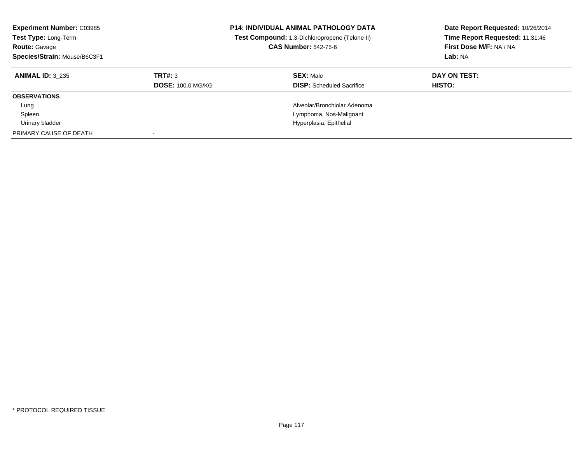| <b>Experiment Number: C03985</b><br>Test Type: Long-Term<br><b>Route: Gavage</b><br>Species/Strain: Mouse/B6C3F1 |                          | <b>P14: INDIVIDUAL ANIMAL PATHOLOGY DATA</b><br>Test Compound: 1,3-Dichloropropene (Telone II)<br><b>CAS Number: 542-75-6</b> | Date Report Requested: 10/26/2014<br>Time Report Requested: 11:31:46<br>First Dose M/F: NA / NA<br>Lab: NA |
|------------------------------------------------------------------------------------------------------------------|--------------------------|-------------------------------------------------------------------------------------------------------------------------------|------------------------------------------------------------------------------------------------------------|
| <b>ANIMAL ID: 3 235</b>                                                                                          | TRT#: 3                  | <b>SEX: Male</b>                                                                                                              | DAY ON TEST:                                                                                               |
|                                                                                                                  | <b>DOSE: 100.0 MG/KG</b> | <b>DISP:</b> Scheduled Sacrifice                                                                                              | <b>HISTO:</b>                                                                                              |
| <b>OBSERVATIONS</b>                                                                                              |                          |                                                                                                                               |                                                                                                            |
| Lung                                                                                                             |                          | Alveolar/Bronchiolar Adenoma                                                                                                  |                                                                                                            |
| Spleen                                                                                                           |                          | Lymphoma, Nos-Malignant                                                                                                       |                                                                                                            |
| Urinary bladder                                                                                                  |                          | Hyperplasia, Epithelial                                                                                                       |                                                                                                            |
| PRIMARY CAUSE OF DEATH                                                                                           |                          |                                                                                                                               |                                                                                                            |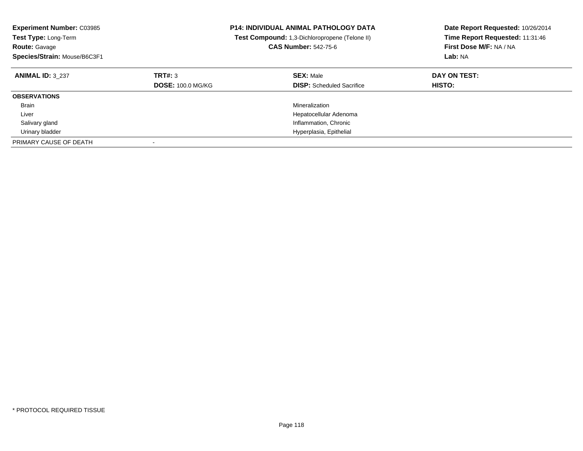| <b>Experiment Number: C03985</b><br><b>Test Type: Long-Term</b><br><b>Route: Gavage</b><br>Species/Strain: Mouse/B6C3F1 |                                     | <b>P14: INDIVIDUAL ANIMAL PATHOLOGY DATA</b><br>Test Compound: 1,3-Dichloropropene (Telone II)<br><b>CAS Number: 542-75-6</b> | Date Report Requested: 10/26/2014<br>Time Report Requested: 11:31:46<br>First Dose M/F: NA / NA<br>Lab: NA |
|-------------------------------------------------------------------------------------------------------------------------|-------------------------------------|-------------------------------------------------------------------------------------------------------------------------------|------------------------------------------------------------------------------------------------------------|
| <b>ANIMAL ID: 3 237</b>                                                                                                 | TRT#: 3<br><b>DOSE: 100.0 MG/KG</b> | <b>SEX: Male</b><br><b>DISP:</b> Scheduled Sacrifice                                                                          | DAY ON TEST:<br><b>HISTO:</b>                                                                              |
| <b>OBSERVATIONS</b>                                                                                                     |                                     |                                                                                                                               |                                                                                                            |
| <b>Brain</b>                                                                                                            |                                     | Mineralization                                                                                                                |                                                                                                            |
| Liver                                                                                                                   |                                     | Hepatocellular Adenoma                                                                                                        |                                                                                                            |
| Salivary gland                                                                                                          |                                     | Inflammation, Chronic                                                                                                         |                                                                                                            |
| Urinary bladder                                                                                                         |                                     | Hyperplasia, Epithelial                                                                                                       |                                                                                                            |
| PRIMARY CAUSE OF DEATH                                                                                                  |                                     |                                                                                                                               |                                                                                                            |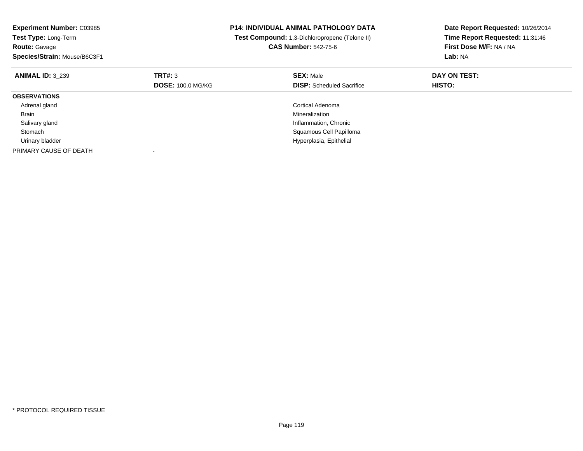| <b>Experiment Number: C03985</b><br><b>Test Type: Long-Term</b><br><b>Route: Gavage</b><br>Species/Strain: Mouse/B6C3F1 |                                     | P14: INDIVIDUAL ANIMAL PATHOLOGY DATA<br>Test Compound: 1,3-Dichloropropene (Telone II)<br><b>CAS Number: 542-75-6</b> | Date Report Requested: 10/26/2014<br>Time Report Requested: 11:31:46<br>First Dose M/F: NA / NA<br>Lab: NA |
|-------------------------------------------------------------------------------------------------------------------------|-------------------------------------|------------------------------------------------------------------------------------------------------------------------|------------------------------------------------------------------------------------------------------------|
| <b>ANIMAL ID: 3 239</b>                                                                                                 | TRT#: 3<br><b>DOSE: 100.0 MG/KG</b> | <b>SEX: Male</b><br><b>DISP:</b> Scheduled Sacrifice                                                                   | DAY ON TEST:<br><b>HISTO:</b>                                                                              |
| <b>OBSERVATIONS</b>                                                                                                     |                                     |                                                                                                                        |                                                                                                            |
| Adrenal gland                                                                                                           |                                     | Cortical Adenoma                                                                                                       |                                                                                                            |
| Brain                                                                                                                   |                                     | Mineralization                                                                                                         |                                                                                                            |
| Salivary gland                                                                                                          |                                     | Inflammation, Chronic                                                                                                  |                                                                                                            |
| Stomach                                                                                                                 |                                     | Squamous Cell Papilloma                                                                                                |                                                                                                            |
| Urinary bladder                                                                                                         |                                     | Hyperplasia, Epithelial                                                                                                |                                                                                                            |
| PRIMARY CAUSE OF DEATH                                                                                                  |                                     |                                                                                                                        |                                                                                                            |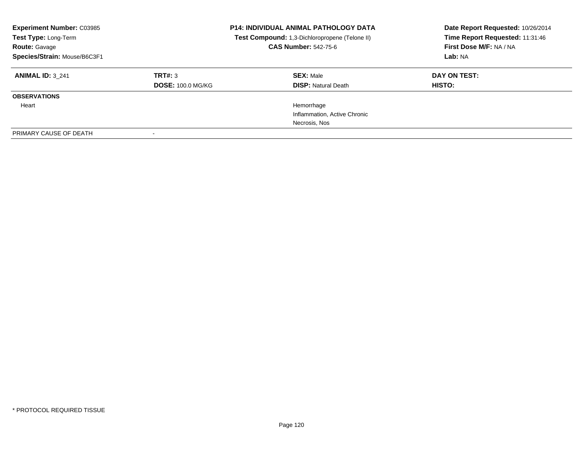| <b>Experiment Number: C03985</b><br>Test Type: Long-Term<br><b>Route: Gavage</b><br>Species/Strain: Mouse/B6C3F1 |                          | <b>P14: INDIVIDUAL ANIMAL PATHOLOGY DATA</b><br>Test Compound: 1,3-Dichloropropene (Telone II)<br><b>CAS Number: 542-75-6</b> | Date Report Requested: 10/26/2014<br>Time Report Requested: 11:31:46<br>First Dose M/F: NA / NA<br>Lab: NA |
|------------------------------------------------------------------------------------------------------------------|--------------------------|-------------------------------------------------------------------------------------------------------------------------------|------------------------------------------------------------------------------------------------------------|
| <b>ANIMAL ID: 3 241</b>                                                                                          | TRT#: 3                  | <b>SEX: Male</b>                                                                                                              | DAY ON TEST:                                                                                               |
|                                                                                                                  | <b>DOSE: 100.0 MG/KG</b> | <b>DISP: Natural Death</b>                                                                                                    | <b>HISTO:</b>                                                                                              |
| <b>OBSERVATIONS</b>                                                                                              |                          |                                                                                                                               |                                                                                                            |
| Heart                                                                                                            |                          | Hemorrhage                                                                                                                    |                                                                                                            |
|                                                                                                                  |                          | Inflammation, Active Chronic                                                                                                  |                                                                                                            |
|                                                                                                                  |                          | Necrosis, Nos                                                                                                                 |                                                                                                            |
| PRIMARY CAUSE OF DEATH                                                                                           |                          |                                                                                                                               |                                                                                                            |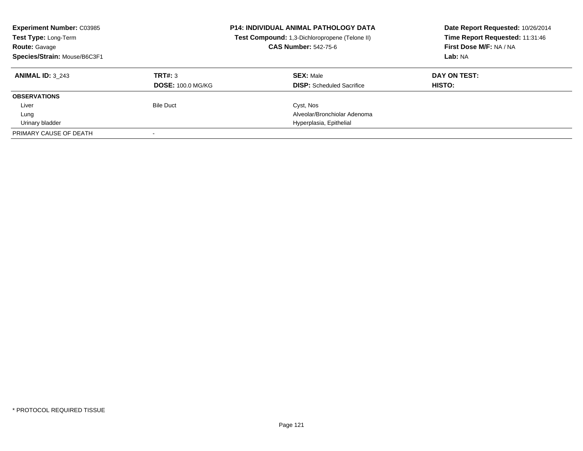| <b>Experiment Number: C03985</b><br>Test Type: Long-Term<br><b>Route: Gavage</b><br>Species/Strain: Mouse/B6C3F1 |                                     | <b>P14: INDIVIDUAL ANIMAL PATHOLOGY DATA</b><br>Test Compound: 1,3-Dichloropropene (Telone II)<br><b>CAS Number: 542-75-6</b> | Date Report Requested: 10/26/2014<br>Time Report Requested: 11:31:46<br>First Dose M/F: NA / NA<br>Lab: NA |
|------------------------------------------------------------------------------------------------------------------|-------------------------------------|-------------------------------------------------------------------------------------------------------------------------------|------------------------------------------------------------------------------------------------------------|
| <b>ANIMAL ID: 3 243</b>                                                                                          | TRT#: 3<br><b>DOSE: 100.0 MG/KG</b> | <b>SEX: Male</b><br><b>DISP:</b> Scheduled Sacrifice                                                                          | DAY ON TEST:<br><b>HISTO:</b>                                                                              |
| <b>OBSERVATIONS</b>                                                                                              |                                     |                                                                                                                               |                                                                                                            |
| Liver                                                                                                            | <b>Bile Duct</b>                    | Cyst, Nos                                                                                                                     |                                                                                                            |
| Lung                                                                                                             |                                     | Alveolar/Bronchiolar Adenoma                                                                                                  |                                                                                                            |
| Urinary bladder                                                                                                  |                                     | Hyperplasia, Epithelial                                                                                                       |                                                                                                            |
| PRIMARY CAUSE OF DEATH                                                                                           |                                     |                                                                                                                               |                                                                                                            |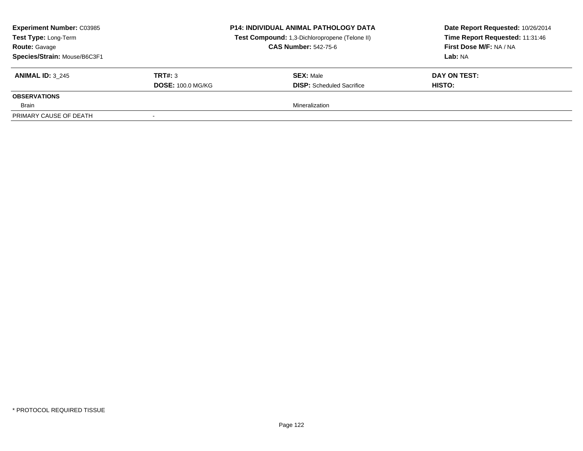| <b>Experiment Number: C03985</b><br><b>Test Type: Long-Term</b><br><b>Route: Gavage</b><br>Species/Strain: Mouse/B6C3F1 |                          | <b>P14: INDIVIDUAL ANIMAL PATHOLOGY DATA</b><br>Test Compound: 1,3-Dichloropropene (Telone II)<br><b>CAS Number: 542-75-6</b> | Date Report Requested: 10/26/2014<br>Time Report Requested: 11:31:46<br>First Dose M/F: NA / NA<br>Lab: NA |
|-------------------------------------------------------------------------------------------------------------------------|--------------------------|-------------------------------------------------------------------------------------------------------------------------------|------------------------------------------------------------------------------------------------------------|
| <b>ANIMAL ID: 3 245</b>                                                                                                 | TRT#: 3                  | <b>SEX: Male</b>                                                                                                              | DAY ON TEST:                                                                                               |
|                                                                                                                         | <b>DOSE: 100.0 MG/KG</b> | <b>DISP:</b> Scheduled Sacrifice                                                                                              | HISTO:                                                                                                     |
| <b>OBSERVATIONS</b>                                                                                                     |                          |                                                                                                                               |                                                                                                            |
| Brain                                                                                                                   |                          | Mineralization                                                                                                                |                                                                                                            |
| PRIMARY CAUSE OF DEATH                                                                                                  |                          |                                                                                                                               |                                                                                                            |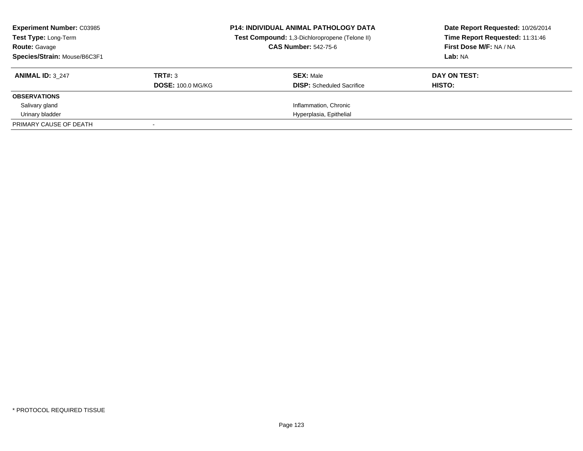| <b>Experiment Number: C03985</b><br>Test Type: Long-Term<br><b>Route: Gavage</b><br>Species/Strain: Mouse/B6C3F1 |                                     | <b>P14: INDIVIDUAL ANIMAL PATHOLOGY DATA</b><br>Test Compound: 1,3-Dichloropropene (Telone II)<br><b>CAS Number: 542-75-6</b> | Date Report Requested: 10/26/2014<br>Time Report Requested: 11:31:46<br>First Dose M/F: NA / NA<br>Lab: NA |
|------------------------------------------------------------------------------------------------------------------|-------------------------------------|-------------------------------------------------------------------------------------------------------------------------------|------------------------------------------------------------------------------------------------------------|
| <b>ANIMAL ID: 3 247</b>                                                                                          | TRT#: 3<br><b>DOSE: 100.0 MG/KG</b> | <b>SEX: Male</b><br><b>DISP:</b> Scheduled Sacrifice                                                                          | DAY ON TEST:<br>HISTO:                                                                                     |
| <b>OBSERVATIONS</b>                                                                                              |                                     |                                                                                                                               |                                                                                                            |
| Salivary gland                                                                                                   |                                     | Inflammation, Chronic                                                                                                         |                                                                                                            |
| Urinary bladder                                                                                                  |                                     | Hyperplasia, Epithelial                                                                                                       |                                                                                                            |
| PRIMARY CAUSE OF DEATH                                                                                           |                                     |                                                                                                                               |                                                                                                            |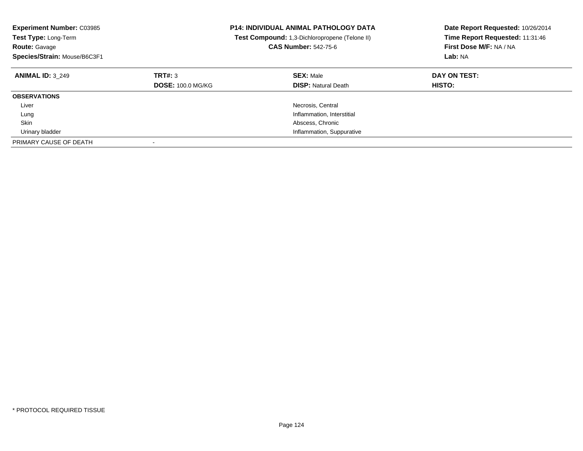| <b>Experiment Number: C03985</b><br>Test Type: Long-Term<br><b>Route: Gavage</b><br>Species/Strain: Mouse/B6C3F1 |                                     | <b>P14: INDIVIDUAL ANIMAL PATHOLOGY DATA</b><br>Test Compound: 1,3-Dichloropropene (Telone II)<br><b>CAS Number: 542-75-6</b> | Date Report Requested: 10/26/2014<br>Time Report Requested: 11:31:46<br>First Dose M/F: NA / NA<br>Lab: NA |
|------------------------------------------------------------------------------------------------------------------|-------------------------------------|-------------------------------------------------------------------------------------------------------------------------------|------------------------------------------------------------------------------------------------------------|
| <b>ANIMAL ID: 3 249</b>                                                                                          | TRT#: 3<br><b>DOSE: 100.0 MG/KG</b> | <b>SEX: Male</b><br><b>DISP: Natural Death</b>                                                                                | DAY ON TEST:<br>HISTO:                                                                                     |
| <b>OBSERVATIONS</b>                                                                                              |                                     |                                                                                                                               |                                                                                                            |
| Liver                                                                                                            |                                     | Necrosis, Central                                                                                                             |                                                                                                            |
| Lung                                                                                                             |                                     | Inflammation, Interstitial                                                                                                    |                                                                                                            |
| Skin                                                                                                             |                                     | Abscess, Chronic                                                                                                              |                                                                                                            |
| Urinary bladder                                                                                                  |                                     | Inflammation, Suppurative                                                                                                     |                                                                                                            |
| PRIMARY CAUSE OF DEATH                                                                                           |                                     |                                                                                                                               |                                                                                                            |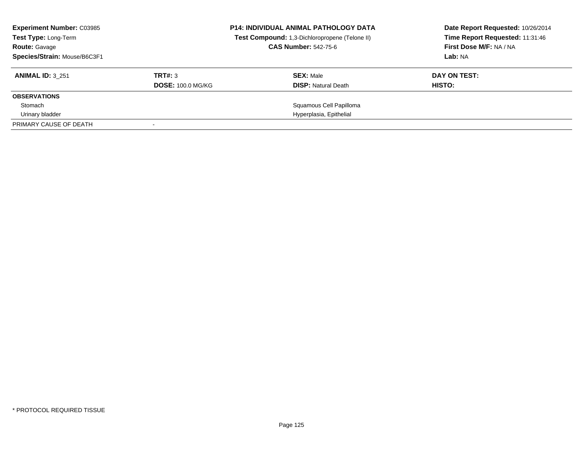| <b>Experiment Number: C03985</b><br>Test Type: Long-Term<br><b>Route: Gavage</b><br>Species/Strain: Mouse/B6C3F1 |                                     | <b>P14: INDIVIDUAL ANIMAL PATHOLOGY DATA</b><br>Test Compound: 1,3-Dichloropropene (Telone II)<br><b>CAS Number: 542-75-6</b> | Date Report Requested: 10/26/2014<br>Time Report Requested: 11:31:46<br>First Dose M/F: NA / NA<br>Lab: NA |
|------------------------------------------------------------------------------------------------------------------|-------------------------------------|-------------------------------------------------------------------------------------------------------------------------------|------------------------------------------------------------------------------------------------------------|
| <b>ANIMAL ID: 3 251</b>                                                                                          | TRT#: 3<br><b>DOSE: 100.0 MG/KG</b> | <b>SEX: Male</b><br><b>DISP:</b> Natural Death                                                                                | DAY ON TEST:<br>HISTO:                                                                                     |
| <b>OBSERVATIONS</b>                                                                                              |                                     |                                                                                                                               |                                                                                                            |
| Stomach                                                                                                          |                                     | Squamous Cell Papilloma                                                                                                       |                                                                                                            |
| Urinary bladder                                                                                                  |                                     | Hyperplasia, Epithelial                                                                                                       |                                                                                                            |
| PRIMARY CAUSE OF DEATH                                                                                           |                                     |                                                                                                                               |                                                                                                            |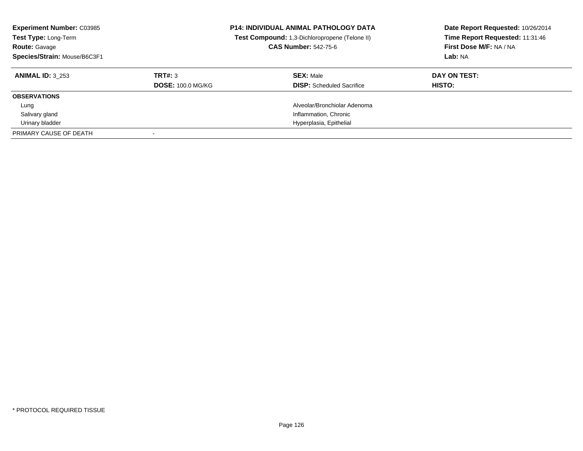| <b>Experiment Number: C03985</b><br>Test Type: Long-Term<br><b>Route: Gavage</b><br>Species/Strain: Mouse/B6C3F1 |                          | <b>P14: INDIVIDUAL ANIMAL PATHOLOGY DATA</b><br>Test Compound: 1,3-Dichloropropene (Telone II)<br><b>CAS Number: 542-75-6</b> | Date Report Requested: 10/26/2014<br>Time Report Requested: 11:31:46<br>First Dose M/F: NA / NA<br>Lab: NA |
|------------------------------------------------------------------------------------------------------------------|--------------------------|-------------------------------------------------------------------------------------------------------------------------------|------------------------------------------------------------------------------------------------------------|
| <b>ANIMAL ID: 3 253</b>                                                                                          | TRT#: 3                  | <b>SEX: Male</b>                                                                                                              | DAY ON TEST:                                                                                               |
|                                                                                                                  | <b>DOSE: 100.0 MG/KG</b> | <b>DISP:</b> Scheduled Sacrifice                                                                                              | <b>HISTO:</b>                                                                                              |
| <b>OBSERVATIONS</b>                                                                                              |                          |                                                                                                                               |                                                                                                            |
| Lung                                                                                                             |                          | Alveolar/Bronchiolar Adenoma                                                                                                  |                                                                                                            |
| Salivary gland                                                                                                   |                          | Inflammation, Chronic                                                                                                         |                                                                                                            |
| Urinary bladder                                                                                                  |                          | Hyperplasia, Epithelial                                                                                                       |                                                                                                            |
| PRIMARY CAUSE OF DEATH                                                                                           |                          |                                                                                                                               |                                                                                                            |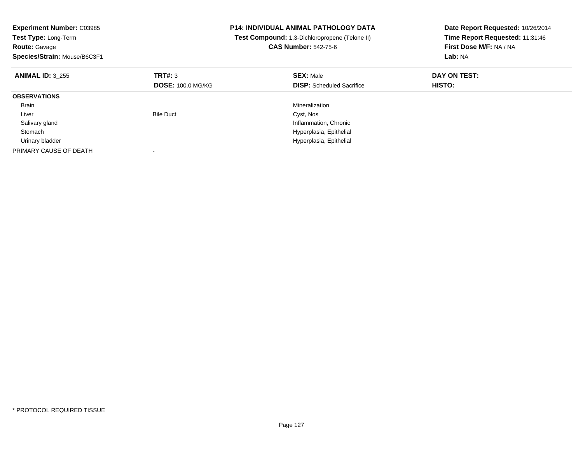| <b>Experiment Number: C03985</b><br>Test Type: Long-Term<br><b>Route: Gavage</b><br>Species/Strain: Mouse/B6C3F1 |                          | <b>P14: INDIVIDUAL ANIMAL PATHOLOGY DATA</b><br>Test Compound: 1,3-Dichloropropene (Telone II)<br><b>CAS Number: 542-75-6</b> | Date Report Requested: 10/26/2014<br>Time Report Requested: 11:31:46<br>First Dose M/F: NA / NA<br>Lab: NA |
|------------------------------------------------------------------------------------------------------------------|--------------------------|-------------------------------------------------------------------------------------------------------------------------------|------------------------------------------------------------------------------------------------------------|
| <b>ANIMAL ID: 3 255</b>                                                                                          | TRT#: 3                  | <b>SEX: Male</b>                                                                                                              | DAY ON TEST:                                                                                               |
|                                                                                                                  | <b>DOSE: 100.0 MG/KG</b> | <b>DISP:</b> Scheduled Sacrifice                                                                                              | <b>HISTO:</b>                                                                                              |
| <b>OBSERVATIONS</b>                                                                                              |                          |                                                                                                                               |                                                                                                            |
| <b>Brain</b>                                                                                                     |                          | Mineralization                                                                                                                |                                                                                                            |
| Liver                                                                                                            | <b>Bile Duct</b>         | Cyst, Nos                                                                                                                     |                                                                                                            |
| Salivary gland                                                                                                   |                          | Inflammation, Chronic                                                                                                         |                                                                                                            |
| Stomach                                                                                                          |                          | Hyperplasia, Epithelial                                                                                                       |                                                                                                            |
| Urinary bladder                                                                                                  |                          | Hyperplasia, Epithelial                                                                                                       |                                                                                                            |
| PRIMARY CAUSE OF DEATH                                                                                           |                          |                                                                                                                               |                                                                                                            |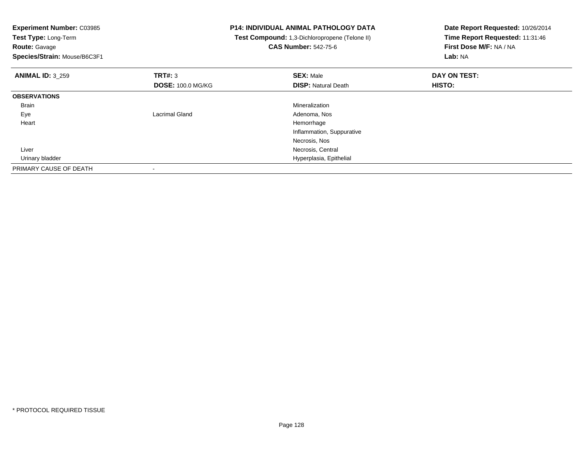**Experiment Number:** C03985**Test Type:** Long-Term**Route:** Gavage **Species/Strain:** Mouse/B6C3F1**P14: INDIVIDUAL ANIMAL PATHOLOGY DATA Test Compound:** 1,3-Dichloropropene (Telone II)**CAS Number:** 542-75-6**Date Report Requested:** 10/26/2014**Time Report Requested:** 11:31:46**First Dose M/F:** NA / NA**Lab:** NA**ANIMAL ID:** 3\_259**9 SEX:** Male **DAY ON TEST: DAY ON TEST: DOSE:** 100.0 MG/KG**DISP:** Natural Death **HISTO: OBSERVATIONS** Brainn and the control of the control of the control of the control of the control of the control of the control of the control of the control of the control of the control of the control of the control of the control of the co Eyee and a subset of the contract and the contract and the contract of the contract  $\sim$  Adenoma, Nos Heart Hemorrhage Inflammation, SuppurativeNecrosis, Nos**Necrosis, Central Necrosis, Central**  Liver Urinary bladder Hyperplasia, Epithelial PRIMARY CAUSE OF DEATH-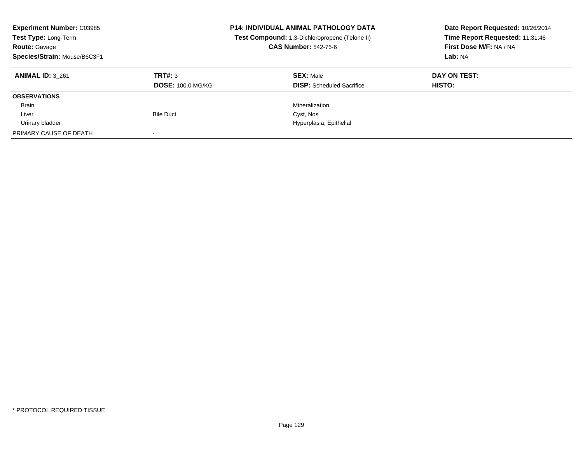| <b>Experiment Number: C03985</b><br>Test Type: Long-Term<br><b>Route: Gavage</b><br>Species/Strain: Mouse/B6C3F1 |                                     | <b>P14: INDIVIDUAL ANIMAL PATHOLOGY DATA</b><br>Test Compound: 1,3-Dichloropropene (Telone II)<br><b>CAS Number: 542-75-6</b> | Date Report Requested: 10/26/2014<br>Time Report Requested: 11:31:46<br>First Dose M/F: NA / NA<br>Lab: NA |
|------------------------------------------------------------------------------------------------------------------|-------------------------------------|-------------------------------------------------------------------------------------------------------------------------------|------------------------------------------------------------------------------------------------------------|
| <b>ANIMAL ID: 3 261</b>                                                                                          | TRT#: 3<br><b>DOSE: 100.0 MG/KG</b> | <b>SEX: Male</b><br><b>DISP:</b> Scheduled Sacrifice                                                                          | DAY ON TEST:<br>HISTO:                                                                                     |
| <b>OBSERVATIONS</b>                                                                                              |                                     |                                                                                                                               |                                                                                                            |
| <b>Brain</b>                                                                                                     |                                     | Mineralization                                                                                                                |                                                                                                            |
| Liver                                                                                                            | <b>Bile Duct</b>                    | Cyst, Nos                                                                                                                     |                                                                                                            |
| Urinary bladder                                                                                                  |                                     | Hyperplasia, Epithelial                                                                                                       |                                                                                                            |
| PRIMARY CAUSE OF DEATH                                                                                           |                                     |                                                                                                                               |                                                                                                            |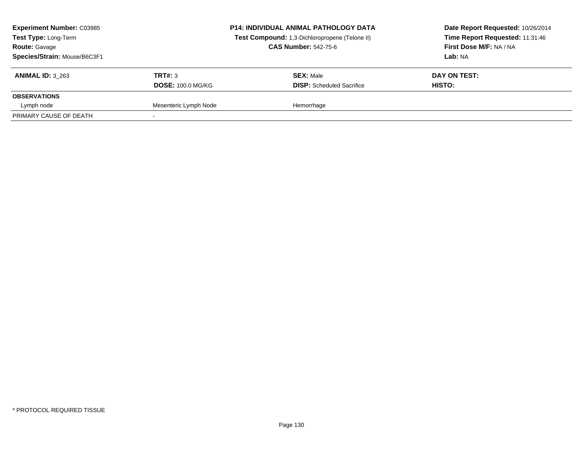| <b>Experiment Number: C03985</b><br>Test Type: Long-Term<br><b>Route: Gavage</b><br>Species/Strain: Mouse/B6C3F1 |                          | <b>P14: INDIVIDUAL ANIMAL PATHOLOGY DATA</b><br>Test Compound: 1,3-Dichloropropene (Telone II)<br><b>CAS Number: 542-75-6</b> | Date Report Requested: 10/26/2014<br>Time Report Requested: 11:31:46<br>First Dose M/F: NA / NA<br>Lab: NA |
|------------------------------------------------------------------------------------------------------------------|--------------------------|-------------------------------------------------------------------------------------------------------------------------------|------------------------------------------------------------------------------------------------------------|
| <b>ANIMAL ID: 3 263</b>                                                                                          | TRT#: 3                  | <b>SEX: Male</b>                                                                                                              | DAY ON TEST:                                                                                               |
|                                                                                                                  | <b>DOSE: 100.0 MG/KG</b> | <b>DISP:</b> Scheduled Sacrifice                                                                                              | HISTO:                                                                                                     |
| <b>OBSERVATIONS</b>                                                                                              |                          |                                                                                                                               |                                                                                                            |
| Lymph node                                                                                                       | Mesenteric Lymph Node    | Hemorrhage                                                                                                                    |                                                                                                            |
| PRIMARY CAUSE OF DEATH                                                                                           |                          |                                                                                                                               |                                                                                                            |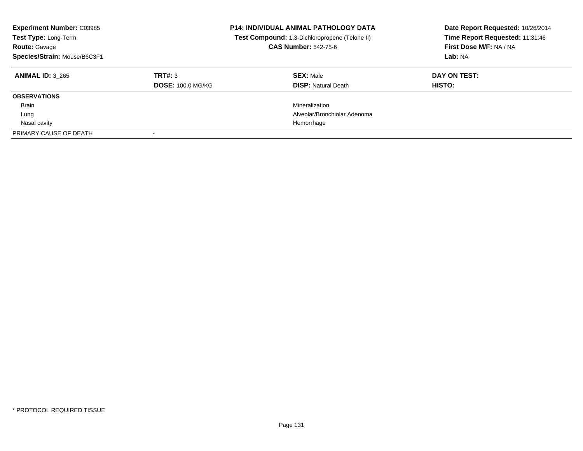| <b>Experiment Number: C03985</b><br>Test Type: Long-Term<br><b>Route: Gavage</b><br>Species/Strain: Mouse/B6C3F1 |                                     | <b>P14: INDIVIDUAL ANIMAL PATHOLOGY DATA</b><br>Test Compound: 1,3-Dichloropropene (Telone II)<br><b>CAS Number: 542-75-6</b> | Date Report Requested: 10/26/2014<br>Time Report Requested: 11:31:46<br>First Dose M/F: NA / NA<br>Lab: NA |
|------------------------------------------------------------------------------------------------------------------|-------------------------------------|-------------------------------------------------------------------------------------------------------------------------------|------------------------------------------------------------------------------------------------------------|
| <b>ANIMAL ID: 3 265</b>                                                                                          | TRT#: 3<br><b>DOSE: 100.0 MG/KG</b> | <b>SEX: Male</b><br><b>DISP: Natural Death</b>                                                                                | DAY ON TEST:<br><b>HISTO:</b>                                                                              |
| <b>OBSERVATIONS</b>                                                                                              |                                     |                                                                                                                               |                                                                                                            |
| <b>Brain</b>                                                                                                     |                                     | Mineralization                                                                                                                |                                                                                                            |
|                                                                                                                  |                                     |                                                                                                                               |                                                                                                            |
| Lung                                                                                                             |                                     | Alveolar/Bronchiolar Adenoma                                                                                                  |                                                                                                            |
| Nasal cavity                                                                                                     |                                     | Hemorrhage                                                                                                                    |                                                                                                            |
| PRIMARY CAUSE OF DEATH                                                                                           |                                     |                                                                                                                               |                                                                                                            |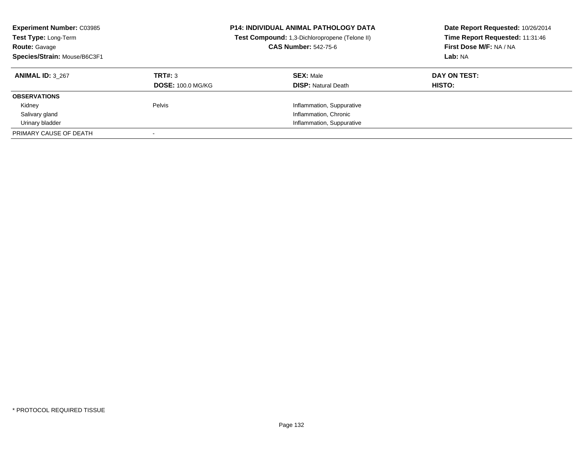| <b>Experiment Number: C03985</b><br>Test Type: Long-Term<br><b>Route: Gavage</b><br>Species/Strain: Mouse/B6C3F1 |                          | <b>P14: INDIVIDUAL ANIMAL PATHOLOGY DATA</b><br>Test Compound: 1,3-Dichloropropene (Telone II)<br><b>CAS Number: 542-75-6</b> | Date Report Requested: 10/26/2014<br>Time Report Requested: 11:31:46<br>First Dose M/F: NA / NA<br>Lab: NA |
|------------------------------------------------------------------------------------------------------------------|--------------------------|-------------------------------------------------------------------------------------------------------------------------------|------------------------------------------------------------------------------------------------------------|
| <b>ANIMAL ID: 3 267</b>                                                                                          | TRT#: 3                  | <b>SEX: Male</b>                                                                                                              | DAY ON TEST:                                                                                               |
|                                                                                                                  | <b>DOSE: 100.0 MG/KG</b> | <b>DISP:</b> Natural Death                                                                                                    | <b>HISTO:</b>                                                                                              |
| <b>OBSERVATIONS</b>                                                                                              |                          |                                                                                                                               |                                                                                                            |
| Kidney                                                                                                           | Pelvis                   | Inflammation, Suppurative                                                                                                     |                                                                                                            |
| Salivary gland                                                                                                   |                          | Inflammation, Chronic                                                                                                         |                                                                                                            |
| Urinary bladder                                                                                                  |                          | Inflammation, Suppurative                                                                                                     |                                                                                                            |
| PRIMARY CAUSE OF DEATH                                                                                           |                          |                                                                                                                               |                                                                                                            |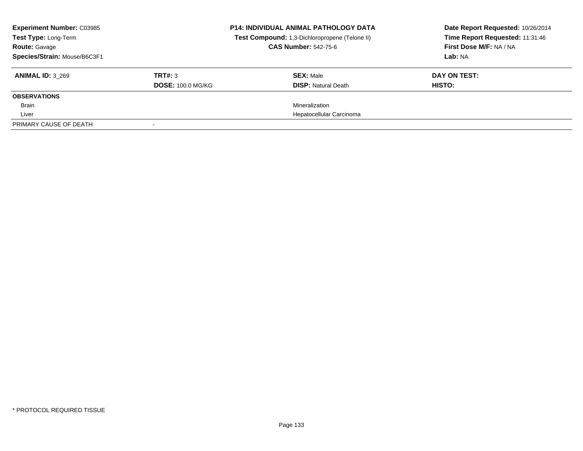| <b>Experiment Number: C03985</b><br>Test Type: Long-Term<br><b>Route: Gavage</b><br>Species/Strain: Mouse/B6C3F1 |                                     | <b>P14: INDIVIDUAL ANIMAL PATHOLOGY DATA</b><br>Test Compound: 1,3-Dichloropropene (Telone II)<br><b>CAS Number: 542-75-6</b> | Date Report Requested: 10/26/2014<br>Time Report Requested: 11:31:46<br>First Dose M/F: NA / NA<br>Lab: NA |
|------------------------------------------------------------------------------------------------------------------|-------------------------------------|-------------------------------------------------------------------------------------------------------------------------------|------------------------------------------------------------------------------------------------------------|
| <b>ANIMAL ID: 3 269</b>                                                                                          | TRT#: 3<br><b>DOSE: 100.0 MG/KG</b> | <b>SEX: Male</b><br><b>DISP:</b> Natural Death                                                                                | DAY ON TEST:<br>HISTO:                                                                                     |
| <b>OBSERVATIONS</b>                                                                                              |                                     |                                                                                                                               |                                                                                                            |
| <b>Brain</b>                                                                                                     |                                     | Mineralization                                                                                                                |                                                                                                            |
| Liver                                                                                                            |                                     | Hepatocellular Carcinoma                                                                                                      |                                                                                                            |
| PRIMARY CAUSE OF DEATH                                                                                           |                                     |                                                                                                                               |                                                                                                            |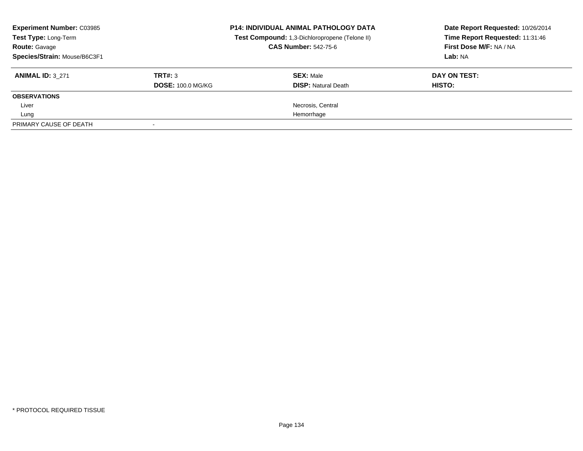| <b>Experiment Number: C03985</b><br>Test Type: Long-Term<br><b>Route: Gavage</b><br>Species/Strain: Mouse/B6C3F1 |                                     | <b>P14: INDIVIDUAL ANIMAL PATHOLOGY DATA</b><br>Test Compound: 1,3-Dichloropropene (Telone II)<br><b>CAS Number: 542-75-6</b> | Date Report Requested: 10/26/2014<br>Time Report Requested: 11:31:46<br>First Dose M/F: NA / NA<br>Lab: NA |
|------------------------------------------------------------------------------------------------------------------|-------------------------------------|-------------------------------------------------------------------------------------------------------------------------------|------------------------------------------------------------------------------------------------------------|
| <b>ANIMAL ID: 3 271</b>                                                                                          | TRT#: 3<br><b>DOSE: 100.0 MG/KG</b> | <b>SEX: Male</b><br><b>DISP: Natural Death</b>                                                                                | DAY ON TEST:<br><b>HISTO:</b>                                                                              |
| <b>OBSERVATIONS</b>                                                                                              |                                     |                                                                                                                               |                                                                                                            |
| Liver                                                                                                            |                                     | Necrosis, Central                                                                                                             |                                                                                                            |
| Lung                                                                                                             |                                     | Hemorrhage                                                                                                                    |                                                                                                            |
| PRIMARY CAUSE OF DEATH                                                                                           |                                     |                                                                                                                               |                                                                                                            |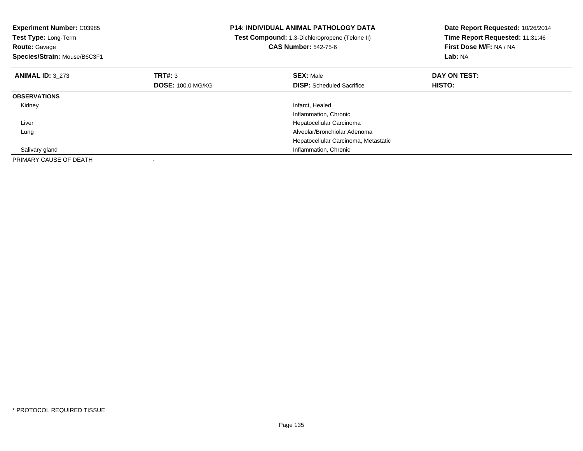| <b>Experiment Number: C03985</b><br>Test Type: Long-Term<br><b>Route: Gavage</b><br>Species/Strain: Mouse/B6C3F1 |                                     | <b>P14: INDIVIDUAL ANIMAL PATHOLOGY DATA</b><br>Test Compound: 1,3-Dichloropropene (Telone II)<br><b>CAS Number: 542-75-6</b> | Date Report Requested: 10/26/2014<br>Time Report Requested: 11:31:46<br>First Dose M/F: NA / NA<br>Lab: NA |
|------------------------------------------------------------------------------------------------------------------|-------------------------------------|-------------------------------------------------------------------------------------------------------------------------------|------------------------------------------------------------------------------------------------------------|
| <b>ANIMAL ID: 3 273</b>                                                                                          | TRT#: 3<br><b>DOSE: 100.0 MG/KG</b> | <b>SEX: Male</b><br><b>DISP:</b> Scheduled Sacrifice                                                                          | DAY ON TEST:<br><b>HISTO:</b>                                                                              |
| <b>OBSERVATIONS</b>                                                                                              |                                     |                                                                                                                               |                                                                                                            |
| Kidney                                                                                                           |                                     | Infarct, Healed<br>Inflammation, Chronic                                                                                      |                                                                                                            |
| Liver                                                                                                            |                                     | Hepatocellular Carcinoma                                                                                                      |                                                                                                            |
| Lung                                                                                                             |                                     | Alveolar/Bronchiolar Adenoma                                                                                                  |                                                                                                            |
|                                                                                                                  |                                     | Hepatocellular Carcinoma, Metastatic                                                                                          |                                                                                                            |
| Salivary gland                                                                                                   |                                     | Inflammation, Chronic                                                                                                         |                                                                                                            |
| PRIMARY CAUSE OF DEATH                                                                                           |                                     |                                                                                                                               |                                                                                                            |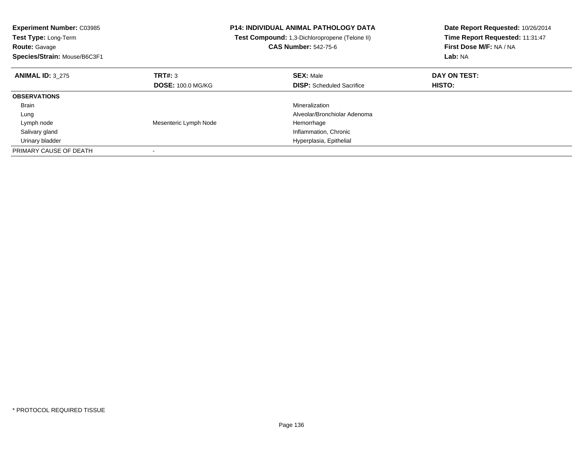| <b>Experiment Number: C03985</b><br>Test Type: Long-Term<br><b>Route: Gavage</b><br>Species/Strain: Mouse/B6C3F1 |                          | <b>P14: INDIVIDUAL ANIMAL PATHOLOGY DATA</b><br>Test Compound: 1,3-Dichloropropene (Telone II)<br><b>CAS Number: 542-75-6</b> | Date Report Requested: 10/26/2014<br>Time Report Requested: 11:31:47<br>First Dose M/F: NA / NA<br>Lab: NA |
|------------------------------------------------------------------------------------------------------------------|--------------------------|-------------------------------------------------------------------------------------------------------------------------------|------------------------------------------------------------------------------------------------------------|
| <b>ANIMAL ID: 3 275</b>                                                                                          | TRT#: 3                  | <b>SEX: Male</b>                                                                                                              | DAY ON TEST:                                                                                               |
|                                                                                                                  | <b>DOSE: 100.0 MG/KG</b> | <b>DISP:</b> Scheduled Sacrifice                                                                                              | HISTO:                                                                                                     |
| <b>OBSERVATIONS</b>                                                                                              |                          |                                                                                                                               |                                                                                                            |
| <b>Brain</b>                                                                                                     |                          | Mineralization                                                                                                                |                                                                                                            |
| Lung                                                                                                             |                          | Alveolar/Bronchiolar Adenoma                                                                                                  |                                                                                                            |
| Lymph node                                                                                                       | Mesenteric Lymph Node    | Hemorrhage                                                                                                                    |                                                                                                            |
| Salivary gland                                                                                                   |                          | Inflammation, Chronic                                                                                                         |                                                                                                            |
| Urinary bladder                                                                                                  |                          | Hyperplasia, Epithelial                                                                                                       |                                                                                                            |
| PRIMARY CAUSE OF DEATH                                                                                           |                          |                                                                                                                               |                                                                                                            |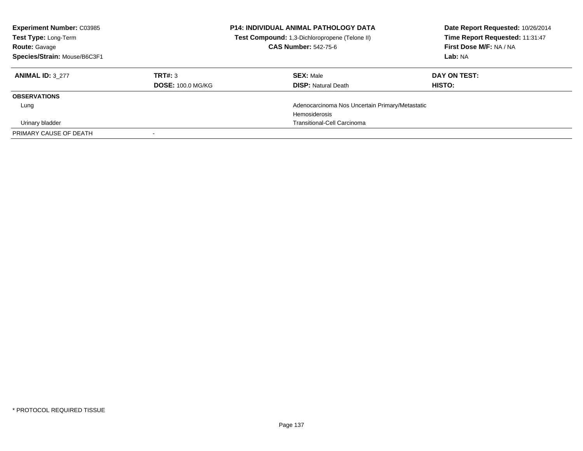| <b>Experiment Number: C03985</b><br>Test Type: Long-Term<br><b>Route: Gavage</b><br>Species/Strain: Mouse/B6C3F1 |                          | <b>P14: INDIVIDUAL ANIMAL PATHOLOGY DATA</b><br>Test Compound: 1,3-Dichloropropene (Telone II)<br><b>CAS Number: 542-75-6</b> | Date Report Requested: 10/26/2014<br>Time Report Requested: 11:31:47<br>First Dose M/F: NA / NA<br>Lab: NA |
|------------------------------------------------------------------------------------------------------------------|--------------------------|-------------------------------------------------------------------------------------------------------------------------------|------------------------------------------------------------------------------------------------------------|
| <b>ANIMAL ID: 3 277</b>                                                                                          | TRT#: 3                  | <b>SEX: Male</b>                                                                                                              | DAY ON TEST:                                                                                               |
|                                                                                                                  | <b>DOSE: 100.0 MG/KG</b> | <b>DISP: Natural Death</b>                                                                                                    | HISTO:                                                                                                     |
| <b>OBSERVATIONS</b>                                                                                              |                          |                                                                                                                               |                                                                                                            |
| Lung                                                                                                             |                          | Adenocarcinoma Nos Uncertain Primary/Metastatic                                                                               |                                                                                                            |
|                                                                                                                  |                          | Hemosiderosis                                                                                                                 |                                                                                                            |
| Urinary bladder                                                                                                  |                          | <b>Transitional-Cell Carcinoma</b>                                                                                            |                                                                                                            |
| PRIMARY CAUSE OF DEATH                                                                                           |                          |                                                                                                                               |                                                                                                            |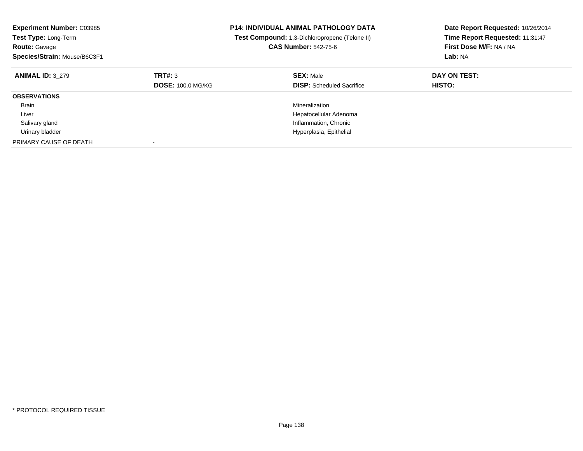| <b>Experiment Number: C03985</b><br><b>Test Type: Long-Term</b><br><b>Route: Gavage</b><br>Species/Strain: Mouse/B6C3F1 |                                     | <b>P14: INDIVIDUAL ANIMAL PATHOLOGY DATA</b><br>Test Compound: 1,3-Dichloropropene (Telone II)<br><b>CAS Number: 542-75-6</b> | Date Report Requested: 10/26/2014<br>Time Report Requested: 11:31:47<br>First Dose M/F: NA / NA<br>Lab: NA |
|-------------------------------------------------------------------------------------------------------------------------|-------------------------------------|-------------------------------------------------------------------------------------------------------------------------------|------------------------------------------------------------------------------------------------------------|
| <b>ANIMAL ID: 3 279</b>                                                                                                 | TRT#: 3<br><b>DOSE: 100.0 MG/KG</b> | <b>SEX: Male</b><br><b>DISP:</b> Scheduled Sacrifice                                                                          | DAY ON TEST:<br><b>HISTO:</b>                                                                              |
| <b>OBSERVATIONS</b>                                                                                                     |                                     |                                                                                                                               |                                                                                                            |
| <b>Brain</b>                                                                                                            |                                     | Mineralization                                                                                                                |                                                                                                            |
| Liver                                                                                                                   |                                     | Hepatocellular Adenoma                                                                                                        |                                                                                                            |
| Salivary gland                                                                                                          |                                     | Inflammation, Chronic                                                                                                         |                                                                                                            |
| Urinary bladder                                                                                                         |                                     | Hyperplasia, Epithelial                                                                                                       |                                                                                                            |
| PRIMARY CAUSE OF DEATH                                                                                                  |                                     |                                                                                                                               |                                                                                                            |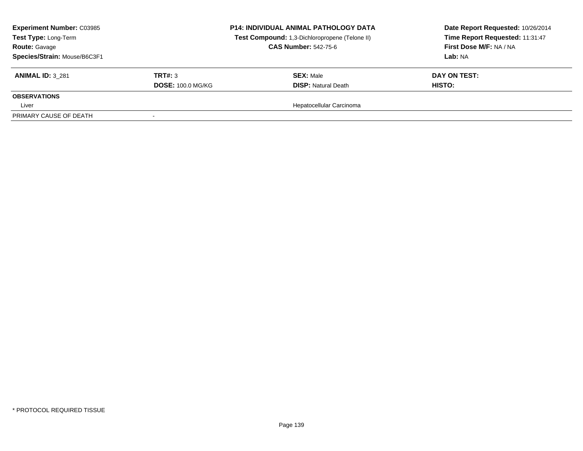| <b>Experiment Number: C03985</b><br><b>Test Type: Long-Term</b><br><b>Route: Gavage</b><br>Species/Strain: Mouse/B6C3F1 |                          | <b>P14: INDIVIDUAL ANIMAL PATHOLOGY DATA</b><br>Test Compound: 1,3-Dichloropropene (Telone II)<br><b>CAS Number: 542-75-6</b> | Date Report Requested: 10/26/2014<br>Time Report Requested: 11:31:47<br>First Dose M/F: NA / NA<br>Lab: NA |
|-------------------------------------------------------------------------------------------------------------------------|--------------------------|-------------------------------------------------------------------------------------------------------------------------------|------------------------------------------------------------------------------------------------------------|
| <b>ANIMAL ID: 3 281</b>                                                                                                 | TRT#: 3                  | <b>SEX: Male</b>                                                                                                              | DAY ON TEST:                                                                                               |
|                                                                                                                         | <b>DOSE: 100.0 MG/KG</b> | <b>DISP: Natural Death</b>                                                                                                    | HISTO:                                                                                                     |
| <b>OBSERVATIONS</b>                                                                                                     |                          |                                                                                                                               |                                                                                                            |
| Liver                                                                                                                   |                          | Hepatocellular Carcinoma                                                                                                      |                                                                                                            |
| PRIMARY CAUSE OF DEATH                                                                                                  |                          |                                                                                                                               |                                                                                                            |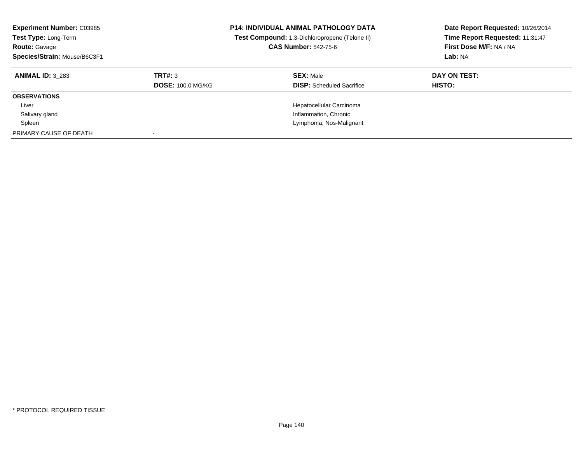| <b>Experiment Number: C03985</b><br>Test Type: Long-Term<br><b>Route: Gavage</b><br>Species/Strain: Mouse/B6C3F1 |                          | <b>P14: INDIVIDUAL ANIMAL PATHOLOGY DATA</b><br>Test Compound: 1,3-Dichloropropene (Telone II)<br><b>CAS Number: 542-75-6</b> | Date Report Requested: 10/26/2014<br>Time Report Requested: 11:31:47<br>First Dose M/F: NA / NA<br>Lab: NA |
|------------------------------------------------------------------------------------------------------------------|--------------------------|-------------------------------------------------------------------------------------------------------------------------------|------------------------------------------------------------------------------------------------------------|
| <b>ANIMAL ID: 3 283</b>                                                                                          | TRT#: 3                  | <b>SEX: Male</b>                                                                                                              | DAY ON TEST:                                                                                               |
|                                                                                                                  | <b>DOSE: 100.0 MG/KG</b> | <b>DISP:</b> Scheduled Sacrifice                                                                                              | <b>HISTO:</b>                                                                                              |
| <b>OBSERVATIONS</b>                                                                                              |                          |                                                                                                                               |                                                                                                            |
| Liver                                                                                                            |                          | Hepatocellular Carcinoma                                                                                                      |                                                                                                            |
| Salivary gland                                                                                                   |                          | Inflammation, Chronic                                                                                                         |                                                                                                            |
| Spleen                                                                                                           |                          | Lymphoma, Nos-Malignant                                                                                                       |                                                                                                            |
| PRIMARY CAUSE OF DEATH                                                                                           |                          |                                                                                                                               |                                                                                                            |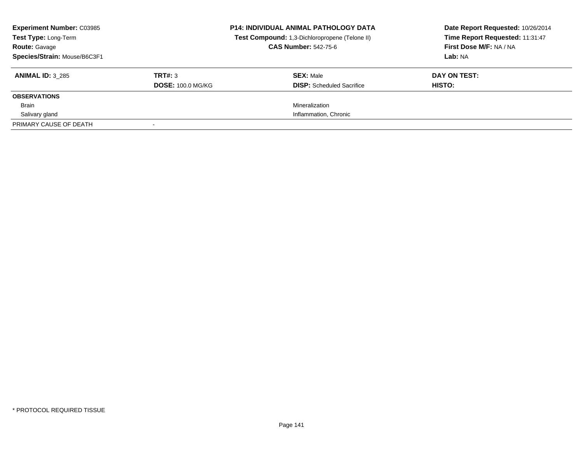| <b>Experiment Number: C03985</b><br>Test Type: Long-Term<br><b>Route: Gavage</b><br>Species/Strain: Mouse/B6C3F1 |                                     | <b>P14: INDIVIDUAL ANIMAL PATHOLOGY DATA</b><br>Test Compound: 1,3-Dichloropropene (Telone II)<br><b>CAS Number: 542-75-6</b> | Date Report Requested: 10/26/2014<br>Time Report Requested: 11:31:47<br>First Dose M/F: NA / NA<br>Lab: NA |
|------------------------------------------------------------------------------------------------------------------|-------------------------------------|-------------------------------------------------------------------------------------------------------------------------------|------------------------------------------------------------------------------------------------------------|
| <b>ANIMAL ID: 3 285</b>                                                                                          | TRT#: 3<br><b>DOSE: 100.0 MG/KG</b> | <b>SEX: Male</b><br><b>DISP:</b> Scheduled Sacrifice                                                                          | DAY ON TEST:<br>HISTO:                                                                                     |
| <b>OBSERVATIONS</b>                                                                                              |                                     |                                                                                                                               |                                                                                                            |
| <b>Brain</b>                                                                                                     |                                     | Mineralization                                                                                                                |                                                                                                            |
| Salivary gland                                                                                                   |                                     | Inflammation, Chronic                                                                                                         |                                                                                                            |
| PRIMARY CAUSE OF DEATH                                                                                           |                                     |                                                                                                                               |                                                                                                            |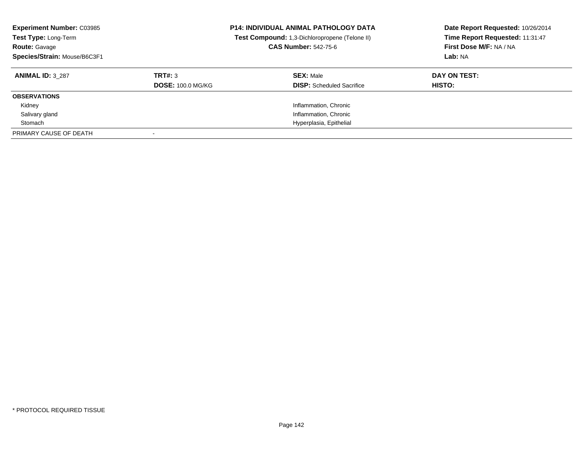| <b>Experiment Number: C03985</b><br>Test Type: Long-Term<br><b>Route: Gavage</b><br>Species/Strain: Mouse/B6C3F1 |                          | <b>P14: INDIVIDUAL ANIMAL PATHOLOGY DATA</b><br>Test Compound: 1,3-Dichloropropene (Telone II)<br><b>CAS Number: 542-75-6</b> | Date Report Requested: 10/26/2014<br>Time Report Requested: 11:31:47<br>First Dose M/F: NA / NA<br>Lab: NA |
|------------------------------------------------------------------------------------------------------------------|--------------------------|-------------------------------------------------------------------------------------------------------------------------------|------------------------------------------------------------------------------------------------------------|
| <b>ANIMAL ID: 3 287</b>                                                                                          | TRT#: 3                  | <b>SEX: Male</b>                                                                                                              | DAY ON TEST:                                                                                               |
|                                                                                                                  | <b>DOSE: 100.0 MG/KG</b> | <b>DISP:</b> Scheduled Sacrifice                                                                                              | HISTO:                                                                                                     |
| <b>OBSERVATIONS</b>                                                                                              |                          |                                                                                                                               |                                                                                                            |
| Kidney                                                                                                           |                          | Inflammation, Chronic                                                                                                         |                                                                                                            |
| Salivary gland                                                                                                   |                          | Inflammation, Chronic                                                                                                         |                                                                                                            |
| Stomach                                                                                                          |                          | Hyperplasia, Epithelial                                                                                                       |                                                                                                            |
| PRIMARY CAUSE OF DEATH                                                                                           |                          |                                                                                                                               |                                                                                                            |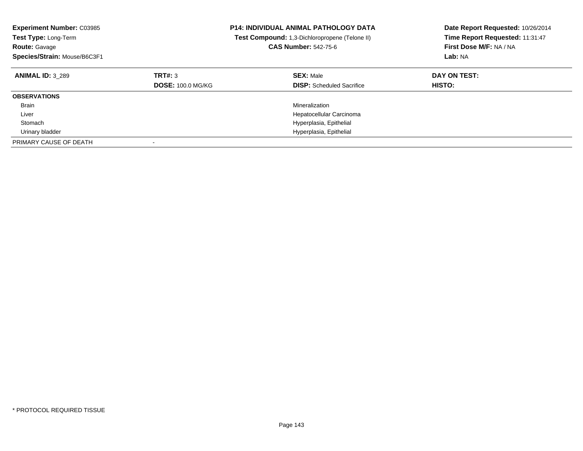| <b>Experiment Number: C03985</b><br><b>Test Type: Long-Term</b><br><b>Route: Gavage</b><br>Species/Strain: Mouse/B6C3F1 |                                     | <b>P14: INDIVIDUAL ANIMAL PATHOLOGY DATA</b><br>Test Compound: 1,3-Dichloropropene (Telone II)<br><b>CAS Number: 542-75-6</b> | Date Report Requested: 10/26/2014<br>Time Report Requested: 11:31:47<br>First Dose M/F: NA / NA<br>Lab: NA |
|-------------------------------------------------------------------------------------------------------------------------|-------------------------------------|-------------------------------------------------------------------------------------------------------------------------------|------------------------------------------------------------------------------------------------------------|
| <b>ANIMAL ID: 3 289</b>                                                                                                 | TRT#: 3<br><b>DOSE: 100.0 MG/KG</b> | <b>SEX: Male</b><br><b>DISP:</b> Scheduled Sacrifice                                                                          | DAY ON TEST:<br><b>HISTO:</b>                                                                              |
| <b>OBSERVATIONS</b>                                                                                                     |                                     |                                                                                                                               |                                                                                                            |
| <b>Brain</b>                                                                                                            |                                     | Mineralization                                                                                                                |                                                                                                            |
| Liver                                                                                                                   |                                     | Hepatocellular Carcinoma                                                                                                      |                                                                                                            |
| Stomach                                                                                                                 |                                     | Hyperplasia, Epithelial                                                                                                       |                                                                                                            |
| Urinary bladder                                                                                                         |                                     | Hyperplasia, Epithelial                                                                                                       |                                                                                                            |
| PRIMARY CAUSE OF DEATH                                                                                                  |                                     |                                                                                                                               |                                                                                                            |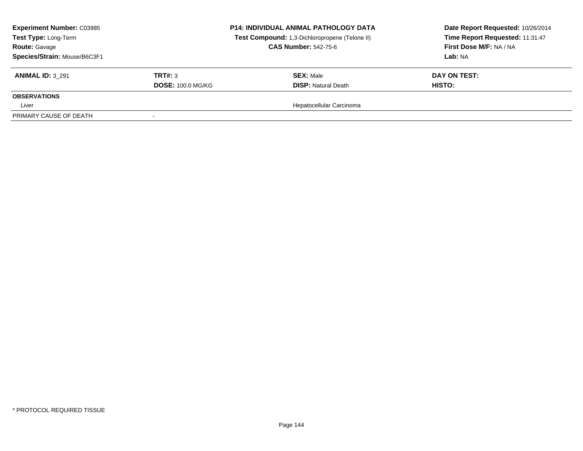| <b>Experiment Number: C03985</b><br><b>Test Type: Long-Term</b><br><b>Route: Gavage</b><br>Species/Strain: Mouse/B6C3F1 |                          | <b>P14: INDIVIDUAL ANIMAL PATHOLOGY DATA</b><br>Test Compound: 1,3-Dichloropropene (Telone II)<br><b>CAS Number: 542-75-6</b> | Date Report Requested: 10/26/2014<br>Time Report Requested: 11:31:47<br>First Dose M/F: NA / NA<br>Lab: NA |
|-------------------------------------------------------------------------------------------------------------------------|--------------------------|-------------------------------------------------------------------------------------------------------------------------------|------------------------------------------------------------------------------------------------------------|
| <b>ANIMAL ID: 3 291</b>                                                                                                 | TRT#: 3                  | <b>SEX: Male</b>                                                                                                              | DAY ON TEST:                                                                                               |
|                                                                                                                         | <b>DOSE: 100.0 MG/KG</b> | <b>DISP: Natural Death</b>                                                                                                    | HISTO:                                                                                                     |
| <b>OBSERVATIONS</b>                                                                                                     |                          |                                                                                                                               |                                                                                                            |
| Liver                                                                                                                   |                          | Hepatocellular Carcinoma                                                                                                      |                                                                                                            |
| PRIMARY CAUSE OF DEATH                                                                                                  |                          |                                                                                                                               |                                                                                                            |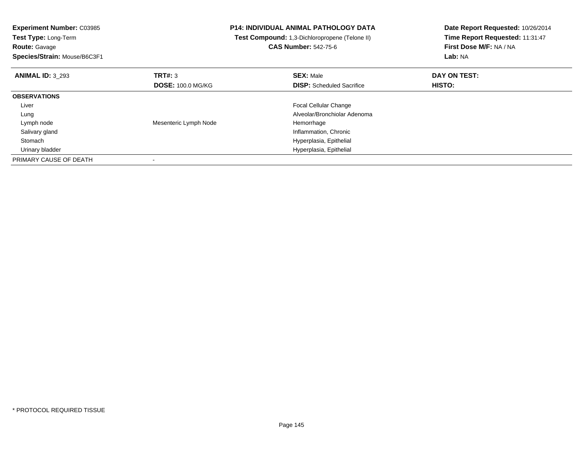| <b>Experiment Number: C03985</b><br>Test Type: Long-Term<br><b>Route: Gavage</b><br>Species/Strain: Mouse/B6C3F1 |                          | P14: INDIVIDUAL ANIMAL PATHOLOGY DATA<br>Test Compound: 1,3-Dichloropropene (Telone II)<br><b>CAS Number: 542-75-6</b> | Date Report Requested: 10/26/2014<br>Time Report Requested: 11:31:47<br>First Dose M/F: NA / NA<br>Lab: NA |
|------------------------------------------------------------------------------------------------------------------|--------------------------|------------------------------------------------------------------------------------------------------------------------|------------------------------------------------------------------------------------------------------------|
| <b>ANIMAL ID: 3 293</b>                                                                                          | TRT#: 3                  | <b>SEX: Male</b>                                                                                                       | DAY ON TEST:                                                                                               |
|                                                                                                                  | <b>DOSE: 100.0 MG/KG</b> | <b>DISP:</b> Scheduled Sacrifice                                                                                       | <b>HISTO:</b>                                                                                              |
| <b>OBSERVATIONS</b>                                                                                              |                          |                                                                                                                        |                                                                                                            |
| Liver                                                                                                            |                          | <b>Focal Cellular Change</b>                                                                                           |                                                                                                            |
| Lung                                                                                                             |                          | Alveolar/Bronchiolar Adenoma                                                                                           |                                                                                                            |
| Lymph node                                                                                                       | Mesenteric Lymph Node    | Hemorrhage                                                                                                             |                                                                                                            |
| Salivary gland                                                                                                   |                          | Inflammation, Chronic                                                                                                  |                                                                                                            |
| Stomach                                                                                                          |                          | Hyperplasia, Epithelial                                                                                                |                                                                                                            |
| Urinary bladder                                                                                                  |                          | Hyperplasia, Epithelial                                                                                                |                                                                                                            |
| PRIMARY CAUSE OF DEATH                                                                                           |                          |                                                                                                                        |                                                                                                            |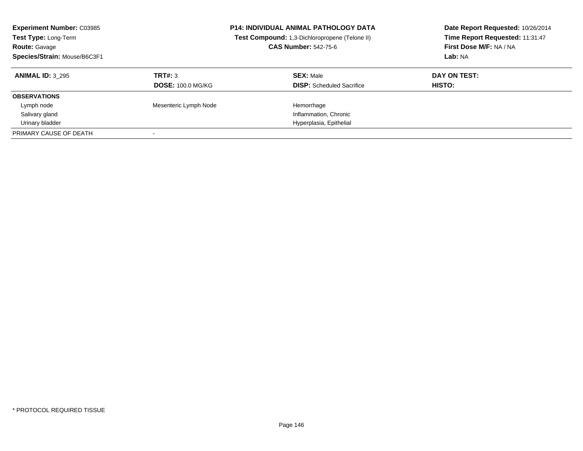| <b>Experiment Number: C03985</b><br>Test Type: Long-Term<br><b>Route: Gavage</b><br>Species/Strain: Mouse/B6C3F1 |                          | <b>P14: INDIVIDUAL ANIMAL PATHOLOGY DATA</b><br>Test Compound: 1,3-Dichloropropene (Telone II)<br><b>CAS Number: 542-75-6</b> | Date Report Requested: 10/26/2014<br>Time Report Requested: 11:31:47<br>First Dose M/F: NA / NA<br>Lab: NA |
|------------------------------------------------------------------------------------------------------------------|--------------------------|-------------------------------------------------------------------------------------------------------------------------------|------------------------------------------------------------------------------------------------------------|
| <b>ANIMAL ID: 3 295</b>                                                                                          | TRT#: 3                  | <b>SEX: Male</b>                                                                                                              | DAY ON TEST:                                                                                               |
|                                                                                                                  | <b>DOSE: 100.0 MG/KG</b> | <b>DISP:</b> Scheduled Sacrifice                                                                                              | HISTO:                                                                                                     |
| <b>OBSERVATIONS</b>                                                                                              |                          |                                                                                                                               |                                                                                                            |
| Lymph node                                                                                                       | Mesenteric Lymph Node    | Hemorrhage                                                                                                                    |                                                                                                            |
| Salivary gland                                                                                                   |                          | Inflammation, Chronic                                                                                                         |                                                                                                            |
| Urinary bladder                                                                                                  |                          | Hyperplasia, Epithelial                                                                                                       |                                                                                                            |
| PRIMARY CAUSE OF DEATH                                                                                           |                          |                                                                                                                               |                                                                                                            |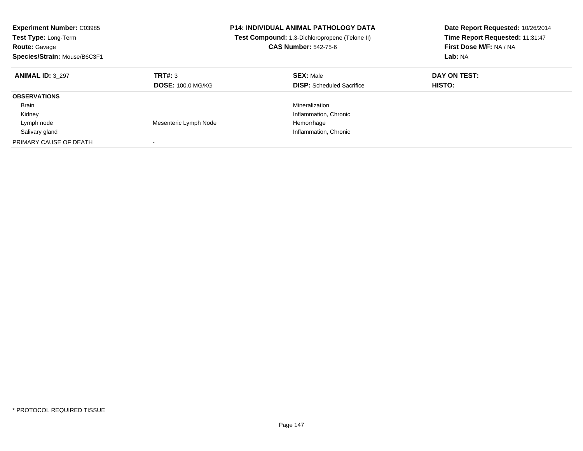| <b>Experiment Number: C03985</b><br><b>Test Type: Long-Term</b><br><b>Route: Gavage</b><br>Species/Strain: Mouse/B6C3F1 |                                     | <b>P14: INDIVIDUAL ANIMAL PATHOLOGY DATA</b><br>Test Compound: 1,3-Dichloropropene (Telone II)<br><b>CAS Number: 542-75-6</b> | Date Report Requested: 10/26/2014<br>Time Report Requested: 11:31:47<br>First Dose M/F: NA / NA<br>Lab: NA |
|-------------------------------------------------------------------------------------------------------------------------|-------------------------------------|-------------------------------------------------------------------------------------------------------------------------------|------------------------------------------------------------------------------------------------------------|
| <b>ANIMAL ID: 3 297</b>                                                                                                 | TRT#: 3<br><b>DOSE: 100.0 MG/KG</b> | <b>SEX: Male</b><br><b>DISP:</b> Scheduled Sacrifice                                                                          | DAY ON TEST:<br><b>HISTO:</b>                                                                              |
| <b>OBSERVATIONS</b>                                                                                                     |                                     |                                                                                                                               |                                                                                                            |
| <b>Brain</b>                                                                                                            |                                     | Mineralization                                                                                                                |                                                                                                            |
| Kidney                                                                                                                  |                                     | Inflammation, Chronic                                                                                                         |                                                                                                            |
| Lymph node                                                                                                              | Mesenteric Lymph Node               | Hemorrhage                                                                                                                    |                                                                                                            |
| Salivary gland                                                                                                          |                                     | Inflammation, Chronic                                                                                                         |                                                                                                            |
| PRIMARY CAUSE OF DEATH                                                                                                  |                                     |                                                                                                                               |                                                                                                            |